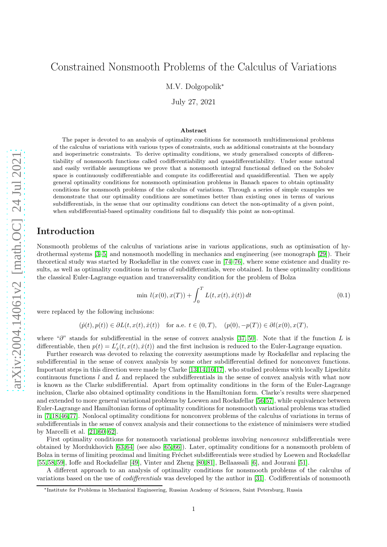# Constrained Nonsmooth Problems of the Calculus of Variations

M.V. Dolgopolik<sup>∗</sup>

July 27, 2021

#### Abstract

The paper is devoted to an analysis of optimality conditions for nonsmooth multidimensional problems of the calculus of variations with various types of constraints, such as additional constraints at the boundary and isoperimetric constraints. To derive optimality conditions, we study generalised concepts of differentiability of nonsmooth functions called codifferentiability and quasidifferentiability. Under some natural and easily verifiable assumptions we prove that a nonsmooth integral functional defined on the Sobolev space is continuously codifferentiable and compute its codifferential and quasidifferential. Then we apply general optimality conditions for nonsmooth optimisation problems in Banach spaces to obtain optimality conditions for nonsmooth problems of the calculus of variations. Through a series of simple examples we demonstrate that our optimality conditions are sometimes better than existing ones in terms of various subdifferentials, in the sense that our optimality conditions can detect the non-optimality of a given point, when subdifferential-based optimality conditions fail to disqualify this point as non-optimal.

# Introduction

Nonsmooth problems of the calculus of variations arise in various applications, such as optimisation of hydrothermal systems [\[3–](#page-25-0)[5\]](#page-26-0) and nonsmooth modelling in mechanics and engineering (see monograph [\[29\]](#page-27-0)). Their theoretical study was started by Rockafellar in the convex case in [\[74](#page-28-0)[–76\]](#page-29-0), where some existence and duality results, as well as optimality conditions in terms of subdifferentials, were obtained. In these optimality conditions the classical Euler-Lagrange equation and transversality condition for the problem of Bolza

<span id="page-0-0"></span>
$$
\min l(x(0), x(T)) + \int_0^T L(t, x(t), \dot{x}(t)) dt \tag{0.1}
$$

were replaced by the following inclusions:

$$
(\dot{p}(t), p(t)) \in \partial L(t, x(t), \dot{x}(t)) \quad \text{for a.e. } t \in (0, T), \quad (p(0), -p(T)) \in \partial l(x(0), x(T),
$$

where " $\partial$ " stands for subdifferential in the sense of convex analysis [\[37,](#page-27-1) [50\]](#page-27-2). Note that if the function L is differentiable, then  $p(t) = L'_x(t, x(t), \dot{x}(t))$  and the first inclusion is reduced to the Euler-Lagrange equation.

Further research was devoted to relaxing the convexity assumptions made by Rockafellar and replacing the subdifferential in the sense of convex analysis by some other subdifferential defined for nonconvex functions. Important steps in this direction were made by Clarke [\[13,](#page-26-1)[14,](#page-26-2)[16,](#page-26-3)[17\]](#page-26-4), who studied problems with locally Lipschitz continuous functions  $l$  and  $L$  and replaced the subdifferentials in the sense of convex analysis with what now is known as the Clarke subdifferential. Apart from optimality conditions in the form of the Euler-Lagrange inclusion, Clarke also obtained optimality conditions in the Hamiltonian form. Clarke's results were sharpened and extended to more general variational problems by Loewen and Rockafellar [\[56,](#page-28-1)[57\]](#page-28-2), while equivalence between Euler-Lagrange and Hamiltonian forms of optimality conditions for nonsmooth variational problems was studied in [\[7,](#page-26-5) [18,](#page-26-6) [46,](#page-27-3) [77\]](#page-29-1). Nonlocal optimality conditions for nonconvex problems of the calculus of variations in terms of subdifferentials in the sense of convex analysis and their connections to the existence of minimisers were studied by Marcelli et al. [\[21,](#page-26-7) [60](#page-28-3)[–62\]](#page-28-4).

First optimality conditions for nonsmooth variational problems involving *nonconvex* subdifferentials were obtained by Mordukhovich [\[63,](#page-28-5) [64\]](#page-28-6) (see also [\[65,](#page-28-7) [66\]](#page-28-8)). Later, optimality conditions for a nonsmooth problem of Bolza in terms of limiting proximal and limiting Fréchet subdifferentials were studied by Loewen and Rockafellar [\[55,](#page-28-9) [58,](#page-28-10) [59\]](#page-28-11), Ioffe and Rockafellar [\[49\]](#page-27-4), Vinter and Zheng [\[80,](#page-29-2) [81\]](#page-29-3), Bellaassali [\[6\]](#page-26-8), and Jourani [\[51\]](#page-27-5).

A different approach to an analysis of optimality conditions for nonsmooth problems of the calculus of variations based on the use of codifferentials was developed by the author in [\[31\]](#page-27-6). Codifferentials of nonsmooth

<sup>∗</sup> Institute for Problems in Mechanical Engineering, Russian Academy of Sciences, Saint Petersburg, Russia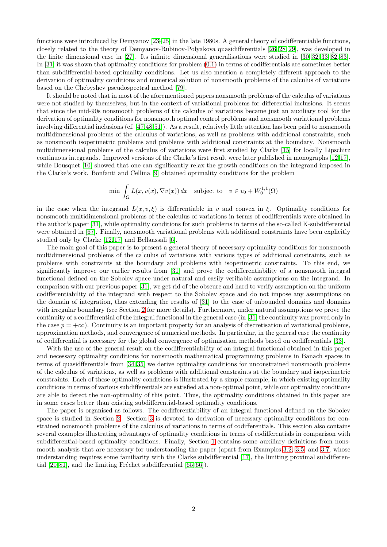functions were introduced by Demyanov [\[23–](#page-26-9)[25\]](#page-26-10) in the late 1980s. A general theory of codifferentiable functions, closely related to the theory of Demyanov-Rubinov-Polyakova quasidifferentials [\[26,](#page-26-11) [28,](#page-26-12) [29\]](#page-27-0), was developed in the finite dimensional case in [\[27\]](#page-26-13). Its infinite dimensional generalisations were studied in [\[30,](#page-27-7) [32,](#page-27-8) [33,](#page-27-9) [82,](#page-29-4) [83\]](#page-29-5). In [\[31\]](#page-27-6) it was shown that optimality conditions for problem [\(0.1\)](#page-0-0) in terms of codifferentials are sometimes better than subdifferential-based optimality conditions. Let us also mention a completely different approach to the derivation of optimality conditions and numerical solution of nonsmooth problems of the calculus of variations based on the Chebyshev pseudospectral method [\[79\]](#page-29-6).

It should be noted that in most of the aforementioned papers nonsmooth problems of the calculus of variations were not studied by themselves, but in the context of variational problems for differential inclusions. It seems that since the mid-90s nonsmooth problems of the calculus of variations became just an auxiliary tool for the derivation of optimality conditions for nonsmooth optimal control problems and nonsmooth variational problems involving differential inclusions (cf. [\[47,](#page-27-10)[48,](#page-27-11)[51\]](#page-27-5)). As a result, relatively little attention has been paid to nonsmooth multidimensional problems of the calculus of variations, as well as problems with additional constraints, such as nonsmooth isoperimetric problems and problems with additional constraints at the boundary. Nonsmooth multidimensional problems of the calculus of variations were first studied by Clarke [\[15\]](#page-26-14) for locally Lipschitz continuous integrands. Improved versions of the Clarke's first result were later published in monographs [\[12,](#page-26-15)[17\]](#page-26-4), while Bousquet [\[10\]](#page-26-16) showed that one can significantly relax the growth conditions on the integrand imposed in the Clarke's work. Bonfanti and Cellina [\[9\]](#page-26-17) obtained optimality conditions for the problem

$$
\min \, \int_{\Omega} L(x,v(x),\nabla v(x)) \, dx \quad \text{subject to} \quad v \in v_0 + W_0^{1,1}(\Omega)
$$

in the case when the integrand  $L(x, v, \xi)$  is differentiable in v and convex in  $\xi$ . Optimality conditions for nonsmooth multidimensional problems of the calculus of variations in terms of codifferentials were obtained in the author's paper [\[31\]](#page-27-6), while optimality conditions for such problems in terms of the so-called K-subdifferential were obtained in [\[67\]](#page-28-12). Finally, nonsmooth variational problems with additional constraints have been explicitly studied only by Clarke [\[12,](#page-26-15) [17\]](#page-26-4) and Bellaassali [\[6\]](#page-26-8).

The main goal of this paper is to present a general theory of necessary optimality conditions for nonsmooth multidimensional problems of the calculus of variations with various types of additional constraints, such as problems with constraints at the boundary and problems with isoperimetric constraints. To this end, we significantly improve our earlier results from [\[31\]](#page-27-6) and prove the codifferentiability of a nonsmooth integral functional defined on the Sobolev space under natural and easily verifiable assumptions on the integrand. In comparison with our previous paper [\[31\]](#page-27-6), we get rid of the obscure and hard to verify assumption on the uniform codifferentiability of the integrand with respect to the Sobolev space and do not impose any assumptions on the domain of integration, thus extending the results of [\[31\]](#page-27-6) to the case of unbounded domains and domains with irregular boundary (see Section [2](#page-4-0) for more details). Furthermore, under natural assumptions we prove the continuity of a codifferential of the integral functional in the general case (in [\[31\]](#page-27-6) the continuity was proved only in the case  $p = +\infty$ ). Continuity is an important property for an analysis of discretisation of variational problems, approximation methods, and convergence of numerical methods. In particular, in the general case the continuity of codifferential is necessary for the global convergence of optimisation methods based on codifferentials [\[33\]](#page-27-9).

With the use of the general result on the codifferentiability of an integral functional obtained in this paper and necessary optimality conditions for nonsmooth mathematical programming problems in Banach spaces in terms of quasidfferentials from [\[34,](#page-27-12) [35\]](#page-27-13) we derive optimality conditions for unconstrained nonsmooth problems of the calculus of variations, as well as problems with additional constraints at the boundary and isoperimetric constraints. Each of these optimality conditions is illustrated by a simple example, in which existing optimality conditions in terms of various subdifferentials are satisfied at a non-optimal point, while our optimality conditions are able to detect the non-optimality of this point. Thus, the optimality conditions obtained in this paper are in some cases better than existing subdifferential-based optimality conditions.

The paper is organised as follows. The codifferentiability of an integral functional defined on the Sobolev space is studied in Section [2.](#page-4-0) Section [3](#page-16-0) is devoted to derivation of necessary optimality conditions for constrained nonsmooth problems of the calculus of variations in terms of codifferentials. This section also contains several examples illustrating advantages of optimality conditions in terms of codifferentials in comparison with subdifferential-based optimality conditions. Finally, Section [1](#page-2-0) contains some auxiliary definitions from nonsmooth analysis that are necessary for understanding the paper (apart from Examples [3.2,](#page-17-0) [3.5,](#page-20-0) and [3.7,](#page-23-0) whose understanding requires some familiarity with the Clarke subdifferential [\[17\]](#page-26-4), the limiting proximal subdifferential  $[20, 81]$  $[20, 81]$ , and the limiting Fréchet subdifferential  $[65, 66]$  $[65, 66]$ ).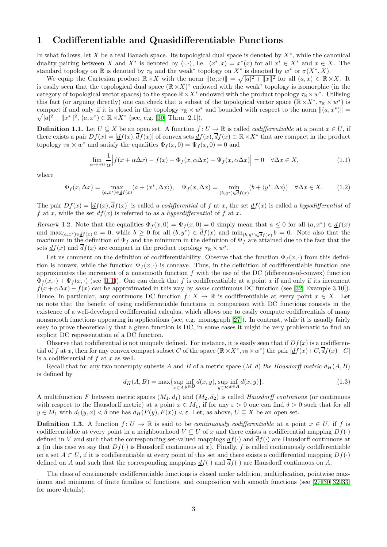# <span id="page-2-0"></span>1 Codifferentiable and Quasidifferentiable Functions

In what follows, let X be a real Banach space. Its topological dual space is denoted by  $X^*$ , while the canonical duality pairing between X and  $X^*$  is denoted by  $\langle \cdot, \cdot \rangle$ , i.e.  $\langle x^*, x \rangle = x^*(x)$  for all  $x^* \in X^*$  and  $x \in X$ . The standard topology on  $\mathbb R$  is denoted by  $\tau_{\mathbb R}$  and the weak<sup>\*</sup> topology on  $X^*$  is denoted by  $w^*$  or  $\sigma(X^*, X)$ .

We equip the Cartesian product  $\mathbb{R} \times X$  with the norm  $||(a, x)|| = \sqrt{|a|^2 + ||x||^2}$  for all  $(a, x) \in \mathbb{R} \times X$ . It is easily seen that the topological dual space  $(\mathbb{R} \times X)^*$  endowed with the weak<sup>\*</sup> topology is isomorphic (in the category of topological vector spaces) to the space  $\mathbb{R} \times X^*$  endowed with the product topology  $\tau_{\mathbb{R}} \times w^*$ . Utilising this fact (or arguing directly) one can check that a subset of the topological vector space  $(\mathbb{R} \times X^*, \tau_{\mathbb{R}} \times w^*)$  is compact if and only if it is closed in the topology  $\tau \times w^*$  and bounded with respect to the norm  $||(a, x^*)|| = \sqrt{|a|^2 + ||x^*||^2}$ ,  $(a, x^*) \in \mathbb{R} \times X^*$  (see, e.g. [30, Thrm, 2.1]).  $|a|^2 + ||x^*||^2$ ,  $(a, x^*) \in \mathbb{R} \times X^*$  (see, e.g. [\[30,](#page-27-7) Thrm. 2.1]).

<span id="page-2-3"></span>**Definition 1.1.** Let  $U \subseteq X$  be an open set. A function  $f: U \to \mathbb{R}$  is called *codifferentiable* at a point  $x \in U$ , if there exists a pair  $Df(x) = [df(x), df(x)]$  of convex sets  $df(x), df(x) \subset \mathbb{R} \times X^*$  that are compact in the product topology  $\tau_{\mathbb{R}} \times w^*$  and satisfy the equalities  $\Phi_f(x, 0) = \Psi_f(x, 0) = 0$  and

<span id="page-2-1"></span>
$$
\lim_{\alpha \to +0} \frac{1}{\alpha} \Big| f(x + \alpha \Delta x) - f(x) - \Phi_f(x, \alpha \Delta x) - \Psi_f(x, \alpha \Delta x) \Big| = 0 \quad \forall \Delta x \in X,
$$
\n(1.1)

where

<span id="page-2-2"></span>
$$
\Phi_f(x,\Delta x) = \max_{(a,x^*) \in \underline{df}(x)} (a + \langle x^*, \Delta x \rangle), \quad \Psi_f(x,\Delta x) = \min_{(b,y^*) \in \overline{df}(x)} (b + \langle y^*, \Delta x \rangle) \quad \forall \Delta x \in X. \tag{1.2}
$$

The pair  $Df(x) = [df(x), df(x)]$  is called a *codifferential* of f at x, the set  $df(x)$  is called a *hypodifferential* of f at x, while the set  $\overline{d}f(x)$  is referred to as a hyperdifferential of f at x.

Remark 1.2. Note that the equalities  $\Phi_f(x,0) = \Psi_f(x,0) = 0$  simply mean that  $a \leq 0$  for all  $(a, x^*) \in \underline{df}(x)$ and  $\max_{(a,x^*)\in \underline{df}(x)} a = 0$ , while  $b \ge 0$  for all  $(b,y^*) \in \overline{df}(x)$  and  $\min_{(b,y^*)\in \overline{df}(x)} b = 0$ . Note also that the maximum in the definition of  $\Phi_f$  and the minimum in the definition of  $\Psi_f$  are attained due to the fact that the sets  $\underline{d}f(x)$  and  $\overline{d}f(x)$  are compact in the product topology  $\tau_{\mathbb{R}} \times w^*$ .

Let us comment on the definition of codifferentiability. Observe that the function  $\Phi_f(x, \cdot)$  from this definition is convex, while the function  $\Psi_f(x, \cdot)$  is concave. Thus, in the definition of codifferentiable function one approximates the increment of a nonsmooth function  $f$  with the use of the DC (difference-of-convex) function  $\Phi_f(x, \cdot) + \Psi_f(x, \cdot)$  (see [\(1.1\)](#page-2-1)). One can check that f is codifferentiable at a point x if and only if its increment  $f(x + \alpha \Delta x) - f(x)$  can be approximated in this way by some continuous DC function (see [\[32,](#page-27-8) Example 3.10]). Hence, in particular, any continuous DC function  $f: X \to \mathbb{R}$  is codifferentiable at every point  $x \in X$ . Let us note that the benefit of using codifferentiable functions in comparison with DC functions consists in the existence of a well-developed codifferential calculus, which allows one to easily compute codifferentials of many nonsmooth functions appearing in applications (see, e.g. monograph [\[27\]](#page-26-13)). In contrast, while it is usually fairly easy to prove theoretically that a given function is DC, in some cases it might be very problematic to find an explicit DC representation of a DC function.

Observe that codifferential is not uniquely defined. For instance, it is easily seen that if  $Df(x)$  is a codifferential of f at x, then for any convex compact subset C of the space  $(\mathbb{R} \times X^*, \tau_{\mathbb{R}} \times w^*)$  the pair  $[\underline{df}(x) + C, \overline{df}(x) - C]$ is a codifferential of  $f$  at  $x$  as well.

Recall that for any two nonempty subsets A and B of a metric space  $(M, d)$  the Hausdorff metric  $d_H(A, B)$ is defined by

<span id="page-2-4"></span>
$$
d_H(A, B) = \max\{\sup_{x \in A} \inf_{y \in B} d(x, y), \sup_{y \in B} \inf_{x \in A} d(x, y)\}.
$$
 (1.3)

A multifunction F between metric spaces  $(M_1, d_1)$  and  $(M_2, d_2)$  is called Hausdorff continuous (or continuous with respect to the Hausdorff metric) at a point  $x \in M_1$ , if for any  $\varepsilon > 0$  one can find  $\delta > 0$  such that for all  $y \in M_1$  with  $d_1(y, x) < \delta$  one has  $d_H(F(y), F(x)) < \varepsilon$ . Let, as above,  $U \subseteq X$  be an open set.

**Definition 1.3.** A function  $f: U \to \mathbb{R}$  is said to be *continuously codifferentiable* at a point  $x \in U$ , if f is codifferentiable at every point in a neighbourhood  $V \subseteq U$  of x and there exists a codifferential mapping  $Df(\cdot)$ defined in V and such that the corresponding set-valued mappings  $df(\cdot)$  and  $df(\cdot)$  are Hausdorff continuous at x (in this case we say that  $Df(\cdot)$  is Hausdorff continuous at x). Finally, f is called continuously codifferentiable on a set  $A \subset U$ , if it is codifferentiable at every point of this set and there exists a codifferential mapping  $Df(\cdot)$ defined on A and such that the corresponding mappings  $df(\cdot)$  and  $df(\cdot)$  are Hausdorff continuous on A.

The class of continuously codifferentiable functions is closed under addition, multiplication, pointwise maximum and minimum of finite families of functions, and composition with smooth functions (see [\[27,](#page-26-13) [30,](#page-27-7) [32,](#page-27-8) [33\]](#page-27-9) for more details).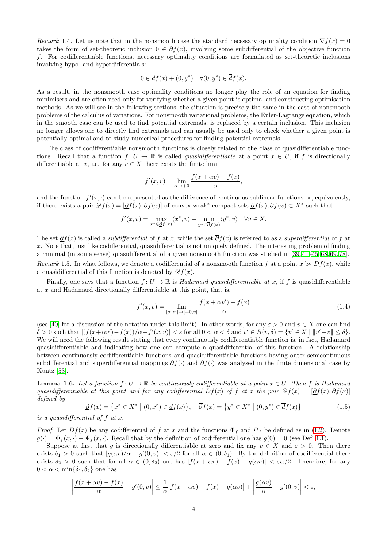Remark 1.4. Let us note that in the nonsmooth case the standard necessary optimality condition  $\nabla f(x) = 0$ takes the form of set-theoretic inclusion  $0 \in \partial f(x)$ , involving some subdifferential of the objective function f. For codifferentiable functions, necessary optimality conditions are formulated as set-theoretic inclusions involving hypo- and hyperdifferentials:

$$
0 \in \underline{d}f(x) + (0, y^*) \quad \forall (0, y^*) \in \overline{d}f(x).
$$

As a result, in the nonsmooth case optimality conditions no longer play the role of an equation for finding minimisers and are often used only for verifying whether a given point is optimal and constructing optimisation methods. As we will see in the following sections, the situation is precisely the same in the case of nonsmooth problems of the calculus of variations. For nonsmooth variational problems, the Euler-Lagrange equation, which in the smooth case can be used to find potential extremals, is replaced by a certain inclusion. This inclusion no longer allows one to directly find extremals and can usually be used only to check whether a given point is potentially optimal and to study numerical procedures for finding potential extremals.

The class of codifferentiable nonsmooth functions is closely related to the class of quasidifferentiable functions. Recall that a function  $f: U \to \mathbb{R}$  is called *quasidifferentiable* at a point  $x \in U$ , if f is directionally differentiable at x, i.e. for any  $v \in X$  there exists the finite limit

$$
f'(x,v) = \lim_{\alpha \to +0} \frac{f(x+\alpha v) - f(x)}{\alpha},
$$

and the function  $f'(x, \cdot)$  can be represented as the difference of continuous sublinear functions or, equivalently, if there exists a pair  $\mathscr{D}f(x) = [\underline{\partial}f(x), \overline{\partial}f(x)]$  of convex weak<sup>\*</sup> compact sets  $\underline{\partial}f(x), \overline{\partial}f(x) \subset X^*$  such that

$$
f'(x,v) = \max_{x^* \in \underline{\partial} f(x)} \langle x^*, v \rangle + \min_{y^* \in \overline{\partial} f(x)} \langle y^*, v \rangle \quad \forall v \in X.
$$

The set  $\partial f(x)$  is called a *subdifferential* of f at x, while the set  $\overline{\partial} f(x)$  is referred to as a *superdifferential* of f at x. Note that, just like codifferential, quasidifferential is not uniquely defined. The interesting problem of finding a minimal (in some sense) quasidifferential of a given nonsmooth function was studied in [\[39,](#page-27-14) [41](#page-27-15)[–45,](#page-27-16) [68,](#page-28-13) [69,](#page-28-14) [78\]](#page-29-7). Remark 1.5. In what follows, we denote a codifferential of a nonsmooth function f at a point x by  $Df(x)$ , while a quasidifferential of this function is denoted by  $\mathscr{D}f(x)$ .

Finally, one says that a function  $f: U \to \mathbb{R}$  is Hadamard quasidifferentiable at x, if f is quasidifferentiable at  $x$  and Hadamard directionally differentiable at this point, that is,

<span id="page-3-1"></span>
$$
f'(x,v) = \lim_{[\alpha,v'] \to [+0,v]} \frac{f(x + \alpha v') - f(x)}{\alpha}
$$
\n(1.4)

(see [\[40\]](#page-27-17) for a discussion of the notation under this limit). In other words, for any  $\varepsilon > 0$  and  $v \in X$  one can find  $\delta > 0$  such that  $|(f(x+\alpha v')-f(x))/\alpha - f'(x,v)| < \varepsilon$  for all  $0 < \alpha < \delta$  and  $v' \in B(v,\delta) = \{v' \in X \mid ||v'-v|| \leq \delta\}.$ We will need the following result stating that every continuously codifferentiable function is, in fact, Hadamard quasidifferentiable and indicating how one can compute a quasidifferential of this function. A relationship between continuously codifferentiable functions and quasidifferentiable functions having outer semicontinuous subdifferential and superdifferential mappings  $\partial f(\cdot)$  and  $\overline{\partial} f(\cdot)$  was analysed in the finite dimensional case by Kuntz [\[53\]](#page-28-15).

<span id="page-3-2"></span>**Lemma 1.6.** Let a function  $f: U \to \mathbb{R}$  be continuously codifferentiable at a point  $x \in U$ . Then f is Hadamard quasidifferentiable at this point and for any codifferential Df(x) of f at x the pair  $\mathscr{D}f(x) = [\partial f(x), \overline{\partial} f(x)]$ defined by

<span id="page-3-0"></span>
$$
\underline{\partial}f(x) = \left\{ x^* \in X^* \mid (0, x^*) \in \underline{d}f(x) \right\}, \quad \overline{\partial}f(x) = \left\{ y^* \in X^* \mid (0, y^*) \in \overline{d}f(x) \right\} \tag{1.5}
$$

is a quasidifferential of  $f$  at  $x$ .

*Proof.* Let  $Df(x)$  be any codifferential of f at x and the functions  $\Phi_f$  and  $\Psi_f$  be defined as in [\(1.2\)](#page-2-2). Denote  $g(\cdot) = \Phi_f(x, \cdot) + \Psi_f(x, \cdot)$ . Recall that by the definition of codifferential one has  $g(0) = 0$  (see Def. [1.1\)](#page-2-3).

Suppose at first that g is directionally differentiable at zero and fix any  $v \in X$  and  $\varepsilon > 0$ . Then there exists  $\delta_1 > 0$  such that  $|g(\alpha v)/\alpha - g'(0, v)| < \varepsilon/2$  for all  $\alpha \in (0, \delta_1)$ . By the definition of codifferential there exists  $\delta_2 > 0$  such that for all  $\alpha \in (0, \delta_2)$  one has  $|f(x + \alpha v) - f(x) - g(\alpha v)| < \varepsilon \alpha/2$ . Therefore, for any  $0 < \alpha < \min\{\delta_1, \delta_2\}$  one has

$$
\left|\frac{f(x+\alpha v)-f(x)}{\alpha}-g'(0,v)\right|\leq \frac{1}{\alpha}\left|f(x+\alpha v)-f(x)-g(\alpha v)\right|+\left|\frac{g(\alpha v)}{\alpha}-g'(0,v)\right|<\varepsilon,
$$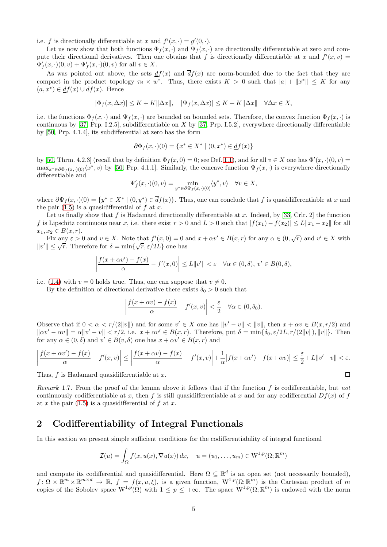i.e. f is directionally differentiable at x and  $f'(x, \cdot) = g'(0, \cdot)$ .

Let us now show that both functions  $\Phi_f(x, \cdot)$  and  $\Psi_f(x, \cdot)$  are directionally differentiable at zero and compute their directional derivatives. Then one obtains that f is directionally differentiable at x and  $f'(x, v) =$  $\Phi'_{f}(x,\cdot)(0,v) + \Psi'_{f}(x,\cdot)(0,v)$  for all  $v \in X$ .

As was pointed out above, the sets  $df(x)$  and  $df(x)$  are norm-bounded due to the fact that they are compact in the product topology  $\tau_{\mathbb{R}} \times w^*$ . Thus, there exists  $K > 0$  such that  $|a| + \|x^*\| \leq K$  for any  $(a, x^*) \in \underline{df}(x) \cup \overline{df}(x)$ . Hence

$$
|\Phi_f(x,\Delta x)|\leq K+K\|\Delta x\|,\quad |\Psi_f(x,\Delta x)|\leq K+K\|\Delta x\|\quad \forall \Delta x\in X,
$$

i.e. the functions  $\Phi_f(x, \cdot)$  and  $\Psi_f(x, \cdot)$  are bounded on bounded sets. Therefore, the convex function  $\Phi_f(x, \cdot)$  is continuous by  $[37, Prp. I.2.5]$ , subdifferentiable on X by  $[37, Prp. I.5.2]$ , everywhere directionally differentiable by [\[50,](#page-27-2) Prp. 4.1.4], its subdifferential at zero has the form

$$
\partial \Phi_f(x, \cdot)(0) = \{ x^* \in X^* \mid (0, x^*) \in \underline{d}f(x) \}
$$

by [\[50,](#page-27-2) Thrm. 4.2.3] (recall that by definition  $\Phi_f(x, 0) = 0$ ; see Def. [1.1\)](#page-2-3), and for all  $v \in X$  one has  $\Phi'(x, \cdot)(0, v) =$  $\max_{x^* \in \partial \Phi_f(x, \cdot)(0)} \langle x^*, v \rangle$  by [\[50,](#page-27-2) Prp. 4.1.1]. Similarly, the concave function  $\Psi_f(x, \cdot)$  is everywhere directionally differentiable and

$$
\Psi'_f(x,\cdot)(0,v)=\min_{y^*\in \partial \Psi_f(x,\cdot)(0)}\langle y^*,v\rangle\quad \forall v\in X,
$$

where  $\partial \Psi_f(x, \cdot)(0) = \{y^* \in X^* \mid (0, y^*) \in \overline{d}f(x)\}\.$  Thus, one can conclude that f is quasidifferentiable at x and the pair  $(1.5)$  is a quasidifferential of f at x.

Let us finally show that f is Hadamard directionally differentiable at x. Indeed, by [\[33,](#page-27-9) Crlr. 2] the function f is Lipschitz continuous near x, i.e. there exist  $r > 0$  and  $L > 0$  such that  $|f(x_1) - f(x_2)| \le L \|x_1 - x_2\|$  for all  $x_1, x_2 \in B(x,r)$ .

Fix any  $\varepsilon > 0$  and  $v \in X$ . Note that  $f'(x, 0) = 0$  and  $x + \alpha v' \in B(x, r)$  for any  $\alpha \in (0, \sqrt{r})$  and  $v' \in X$  with  $||v'|| \leq \sqrt{r}$ . Therefore for  $\delta = \min\{\sqrt{r}, \varepsilon/2L\}$  one has

$$
\left|\frac{f(x+\alpha v') - f(x)}{\alpha} - f'(x,0)\right| \le L\|v'\| < \varepsilon \quad \forall \alpha \in (0,\delta), \ v' \in B(0,\delta),
$$

i.e. [\(1.4\)](#page-3-1) with  $v = 0$  holds true. Thus, one can suppose that  $v \neq 0$ .

By the definition of directional derivative there exists  $\delta_0 > 0$  such that

$$
\left|\frac{f(x+\alpha v)-f(x)}{\alpha}-f'(x,v)\right|<\frac{\varepsilon}{2}\quad\forall\alpha\in(0,\delta_0).
$$

Observe that if  $0 < \alpha < r/(2||v||)$  and for some  $v' \in X$  one has  $||v' - v|| < ||v||$ , then  $x + \alpha v \in B(x, r/2)$  and  $\|\alpha v' - \alpha v\| = \alpha \|v' - v\| < r/2$ , i.e.  $x + \alpha v' \in B(x, r)$ . Therefore, put  $\delta = \min{\delta_0, \varepsilon/2L, r/(2||v||), ||v||}$ . Then for any  $\alpha \in (0, \delta)$  and  $v' \in B(v, \delta)$  one has  $x + \alpha v' \in B(x, r)$  and

$$
\left|\frac{f(x+\alpha v') - f(x)}{\alpha} - f'(x,v)\right| \le \left|\frac{f(x+\alpha v) - f(x)}{\alpha} - f'(x,v)\right| + \frac{1}{\alpha}\left|f(x+\alpha v') - f(x+\alpha v)\right| \le \frac{\varepsilon}{2} + L\|v' - v\| < \varepsilon.
$$

 $\Box$ 

Thus,  $f$  is Hadamard quasidifferentiable at  $x$ .

<span id="page-4-1"></span>Remark 1.7. From the proof of the lemma above it follows that if the function f is codifferentiable, but not continuously codifferentiable at x, then f is still quasidifferentiable at x and for any codifferential  $Df(x)$  of f at x the pair  $(1.5)$  is a quasidifferential of f at x.

# <span id="page-4-0"></span>2 Codifferentiability of Integral Functionals

In this section we present simple sufficient conditions for the codifferentiability of integral functional

$$
\mathcal{I}(u) = \int_{\Omega} f(x, u(x), \nabla u(x)) dx, \quad u = (u_1, \dots, u_m) \in W^{1, p}(\Omega; \mathbb{R}^m)
$$

and compute its codifferential and quasidifferential. Here  $\Omega \subseteq \mathbb{R}^d$  is an open set (not necessarily bounded),  $f: \Omega \times \mathbb{R}^m \times \mathbb{R}^{m \times d} \to \mathbb{R}, f = f(x, u, \xi)$ , is a given function,  $W^{1,p}(\Omega; \mathbb{R}^m)$  is the Cartesian product of m copies of the Sobolev space  $W^{1,p}(\Omega)$  with  $1 \leq p \leq +\infty$ . The space  $W^{1,p}(\Omega;\mathbb{R}^m)$  is endowed with the norm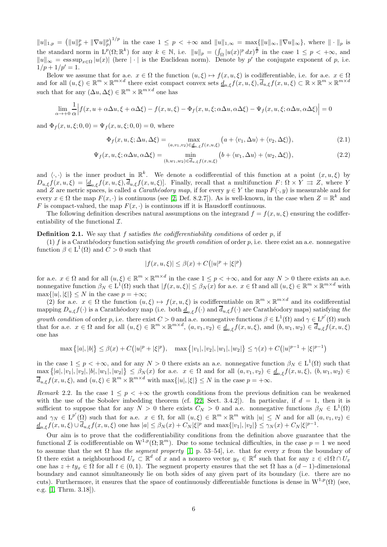$||u||_{1,p} = (||u||_p^p + ||\nabla u||_p^p)^{1/p}$  in the case  $1 \leq p < +\infty$  and  $||u||_{1,\infty} = \max{||u||_{\infty}, ||\nabla u||_{\infty}}$ , where  $|| \cdot ||_p$  is the standard norm in  $L^p(\Omega;\mathbb{R}^k)$  for any  $k \in \mathbb{N}$ , i.e.  $||u||_p = (\int_{\Omega} |u(x)|^p dx)^{\frac{1}{p}}$  in the case  $1 \leq p < +\infty$ , and  $||u||_{\infty} = \operatorname{ess} \sup_{x \in \Omega} |u(x)|$  (here  $|\cdot|$  is the Euclidean norm). Denote by p' the conjugate exponent of p, i.e.  $1/p + 1/p' = 1.$ 

Below we assume that for a.e.  $x \in \Omega$  the function  $(u, \xi) \mapsto f(x, u, \xi)$  is codifferentiable, i.e. for a.e.  $x \in \Omega$ and for all  $(u,\xi) \in \mathbb{R}^m \times \mathbb{R}^{m \times d}$  there exist compact convex sets  $\underline{d}_{u,\xi}f(x,u,\xi), \overline{d}_{u,\xi}f(x,u,\xi) \subset \mathbb{R} \times \mathbb{R}^m \times \mathbb{R}^{m \times d}$ such that for any  $(\Delta u, \Delta \xi) \in \mathbb{R}^m \times \mathbb{R}^{m \times d}$  one has

$$
\lim_{\alpha \to +0} \frac{1}{\alpha} \Big| f(x, u + \alpha \Delta u, \xi + \alpha \Delta \xi) - f(x, u, \xi) - \Phi_f(x, u, \xi; \alpha \Delta u, \alpha \Delta \xi) - \Psi_f(x, u, \xi; \alpha \Delta u, \alpha \Delta \xi) \Big| = 0
$$

and  $\Phi_f(x, u, \xi; 0, 0) = \Psi_f(x, u, \xi; 0, 0) = 0$ , where

$$
\Phi_f(x, u, \xi; \Delta u, \Delta \xi) = \max_{(a, v_1, v_2) \in \underline{d}_{u, \xi} f(x, u, \xi)} \left( a + \langle v_1, \Delta u \rangle + \langle v_2, \Delta \xi \rangle \right),\tag{2.1}
$$

$$
\Psi_f(x, u, \xi; \alpha \Delta u, \alpha \Delta \xi) = \min_{(b, w_1, w_2) \in \overline{d}_{u, \xi} f(x, u, \xi)} \left( b + \langle w_1, \Delta u \rangle + \langle w_2, \Delta \xi \rangle \right),\tag{2.2}
$$

and  $\langle \cdot, \cdot \rangle$  is the inner product in  $\mathbb{R}^k$ . We denote a codifferential of this function at a point  $(x, u, \xi)$  by  $D_{u,\xi}f(x,u,\xi) = [\underline{d}_{u,\xi}f(x,u,\xi), \overline{d}_{u,\xi}f(x,u,\xi)].$  Finally, recall that a multifunction  $F: \Omega \times Y \implies Z$ , where Y and Z are metric spaces, is called a *Carathéodory map*, if for every  $y \in Y$  the map  $F(\cdot, y)$  is measurable and for every  $x \in \Omega$  the map  $F(x, \cdot)$  is continuous (see [\[2,](#page-25-1) Def. 8.2.7]). As is well-known, in the case when  $Z = \mathbb{R}^k$  and F is compact-valued, the map  $F(x, \cdot)$  is continuous iff it is Hausdorff continuous.

The following definition describes natural assumptions on the integrand  $f = f(x, u, \xi)$  ensuring the codifferentiability of the functional  $\mathcal{I}$ .

### <span id="page-5-1"></span>**Definition 2.1.** We say that  $f$  satisfies the codifferentiability conditions of order  $p$ , if

(1) f is a Carathéodory function satisfying the growth condition of order p, i.e. there exist an a.e. nonnegative function  $\beta \in L^1(\Omega)$  and  $C > 0$  such that

<span id="page-5-2"></span><span id="page-5-0"></span>
$$
|f(x,u,\xi)|\leq \beta(x)+C\big(|u|^p+|\xi|^p\big)
$$

for a.e.  $x \in \Omega$  and for all  $(u, \xi) \in \mathbb{R}^m \times \mathbb{R}^{m \times d}$  in the case  $1 \leq p < +\infty$ , and for any  $N > 0$  there exists an a.e. nonnegative function  $\beta_N \in L^1(\Omega)$  such that  $|f(x, u, \xi)| \leq \beta_N(x)$  for a.e.  $x \in \Omega$  and all  $(u, \xi) \in \mathbb{R}^m \times \mathbb{R}^{m \times d}$  with  $\max\{|u|, |\xi|\} \leq N$  in the case  $p = +\infty$ ;

(2) for a.e.  $x \in \Omega$  the function  $(u, \xi) \mapsto f(x, u, \xi)$  is codifferentiable on  $\mathbb{R}^m \times \mathbb{R}^{m \times d}$  and its codifferential mapping  $D_{u,\xi}f(\cdot)$  is a Carathéodory map (i.e. both  $\underline{d}_{u,\xi}f(\cdot)$  and  $\overline{d}_{u,\xi}f(\cdot)$  are Carathéodory maps) satisfying the growth condition of order p, i.e. there exist  $C > 0$  and a.e. nonnegative functions  $\beta \in L^1(\Omega)$  and  $\gamma \in L^{p'}(\Omega)$  such that for a.e.  $x \in \Omega$  and for all  $(u,\xi) \in \mathbb{R}^m \times \mathbb{R}^{m \times d}$ ,  $(a,v_1,v_2) \in \underline{d}_{u,\xi}f(x,u,\xi)$ , and  $(b,w_1,w_2) \in \overline{d}_{u,\xi}f(x,u,\xi)$ one has

$$
\max\left\{|a|,|b|\right\} \leq \beta(x) + C\left(|u|^p + |\xi|^p\right), \quad \max\left\{|v_1|, |v_2|, |w_1|, |w_2|\right\} \leq \gamma(x) + C\left(|u|^{p-1} + |\xi|^{p-1}\right)
$$

in the case  $1 \leq p < +\infty$ , and for any  $N > 0$  there exists an a.e. nonnegative function  $\beta_N \in L^1(\Omega)$  such that  $\max\{|a|, |v_1|, |v_2|, |b|, |w_1|, |w_2|\} \leq \beta_N(x)$  for a.e.  $x \in \Omega$  and for all  $(a, v_1, v_2) \in \underline{d}_{u,\xi}f(x, u, \xi)$ ,  $(b, w_1, w_2) \in$  $\overline{d}_{u,\xi}f(x, u, \xi)$ , and  $(u, \xi) \in \mathbb{R}^m \times \mathbb{R}^{m \times d}$  with  $\max\{|u|, |\xi|\} \leq N$  in the case  $p = +\infty$ .

Remark 2.2. In the case  $1 \leq p \leq +\infty$  the growth conditions from the previous definition can be weakened with the use of the Sobolev imbedding theorem (cf. [\[22,](#page-26-19) Sect. 3.4.2]). In particular, if  $d = 1$ , then it is sufficient to suppose that for any  $N > 0$  there exists  $C_N > 0$  and a.e. nonnegative functions  $\beta_N \in L^1(\Omega)$ and  $\gamma_N \in L^{p'}(\Omega)$  such that for a.e.  $x \in \Omega$ , for all  $(u,\xi) \in \mathbb{R}^m \times \mathbb{R}^m$  with  $|u| \leq N$  and for all  $(a, v_1, v_2) \in$  $\underline{d}_{u,\xi} f(x, u, \xi) \cup \overline{d}_{u,\xi} f(x, u, \xi)$  one has  $|a| \leq \beta_N(x) + C_N |\xi|^p$  and  $\max\{|v_1|, |v_2|\} \leq \gamma_N(x) + C_N |\xi|^{p-1}$ .

Our aim is to prove that the codifferentiability conditions from the definition above guarantee that the functional  $\mathcal I$  is codifferentiable on  $W^{1,p}(\Omega;\mathbb{R}^m)$ . Due to some technical difficulties, in the case  $p=1$  we need to assume that the set  $\Omega$  has the segment property [\[1,](#page-25-2) p. 53–54], i.e. that for every x from the boundary of  $\Omega$  there exist a neighbourhood  $U_x \subset \mathbb{R}^d$  of x and a nonzero vector  $y_x \in \mathbb{R}^d$  such that for any  $z \in cl \Omega \cap U_x$ one has  $z + ty_x \in \Omega$  for all  $t \in (0,1)$ . The segment property ensures that the set  $\Omega$  has a  $(d-1)$ -dimensional boundary and cannot simultaneously lie on both sides of any given part of its boundary (i.e. there are no cuts). Furthermore, it ensures that the space of continuously differentiable functions is dense in  $W^{1,p}(\Omega)$  (see, e.g. [\[1,](#page-25-2) Thrm. 3.18]).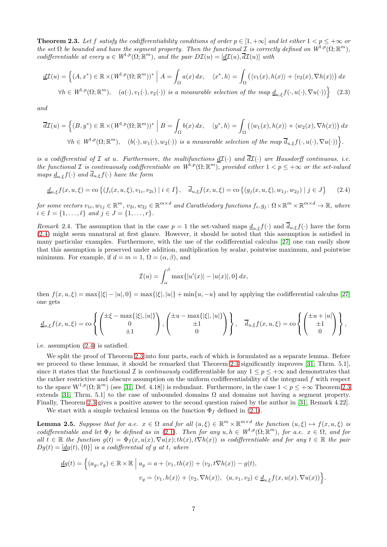<span id="page-6-1"></span>**Theorem 2.3.** Let f satisfy the codifferentiability conditions of order  $p \in [1, +\infty]$  and let either  $1 < p \leq +\infty$  or the set  $\Omega$  be bounded and have the segment property. Then the functional  $\mathcal{I}$  is correctly defined on  $W^{1,p}(\Omega;\mathbb{R}^m)$ , codifferentiable at every  $u \in W^{1,p}(\Omega; \mathbb{R}^m)$ , and the pair  $D\mathcal{I}(u) = [\underline{d\mathcal{I}}(u), \overline{d\mathcal{I}}(u)]$  with

$$
\underline{d\mathcal{I}}(u) = \left\{ (A, x^*) \in \mathbb{R} \times (W^{1, p}(\Omega; \mathbb{R}^m))^* \; \Big| \; A = \int_{\Omega} a(x) \, dx, \quad \langle x^*, h \rangle = \int_{\Omega} \left( \langle v_1(x), h(x) \rangle + \langle v_2(x), \nabla h(x) \rangle \right) dx \right\}
$$

 $\forall h \in W^{1,p}(\Omega; \mathbb{R}^m)$ ,  $(a(\cdot), v_1(\cdot), v_2(\cdot))$  is a measurable selection of the map  $\underline{d}_{u,\xi}f(\cdot, u(\cdot), \nabla u(\cdot))$  (2.3)

and

$$
\overline{d\mathcal{I}}(u) = \left\{ (B, y^*) \in \mathbb{R} \times (W^{1, p}(\Omega; \mathbb{R}^m))^* \; \Big| \; B = \int_{\Omega} b(x) \, dx, \quad \langle y^*, h \rangle = \int_{\Omega} \left( \langle w_1(x), h(x) \rangle + \langle w_2(x), \nabla h(x) \rangle \right) dx \; \forall h \in W^{1, p}(\Omega; \mathbb{R}^m), \quad (b(\cdot), w_1(\cdot), w_2(\cdot)) \; \text{is a measurable selection of the map } \overline{d}_{u, \xi} f(\cdot, u(\cdot), \nabla u(\cdot)) \right\}.
$$

is a codifferential of  $\mathcal I$  at u. Furthermore, the multifunctions  $\underline{d\mathcal I}(\cdot)$  and  $\overline{d\mathcal I}(\cdot)$  are Hausdorff continuous, i.e. the functional  $\mathcal I$  is continuously codifferentiable on  $W^{1,p}(\Omega;\mathbb R^m)$ , provided either  $1 < p \leq +\infty$  or the set-valued maps  $\underline{d}_{u,\xi}f(\cdot)$  and  $\overline{d}_{u,\xi}f(\cdot)$  have the form

<span id="page-6-0"></span>
$$
\underline{d}_{u,\xi} f(x, u, \xi) = \text{co}\left\{ (f_i(x, u, \xi), v_{1i}, v_{2i}) \mid i \in I \right\}, \quad \overline{d}_{u,\xi} f(x, u, \xi) = \text{co}\left\{ (g_j(x, u, \xi), w_{1j}, w_{2j}) \mid j \in J \right\} \tag{2.4}
$$

for some vectors  $v_{1i}, w_{1j} \in \mathbb{R}^m$ ,  $v_{2i}, w_{2j} \in \mathbb{R}^{m \times d}$  and Carathéodory functions  $f_i, g_j \colon \Omega \times \mathbb{R}^m \times \mathbb{R}^{m \times d} \to \mathbb{R}$ , where  $i \in I = \{1, \ldots, \ell\}$  and  $j \in J = \{1, \ldots, r\}.$ 

Remark 2.4. The assumption that in the case  $p = 1$  the set-valued maps  $d_{u,\xi}f(\cdot)$  and  $\overline{d}_{u,\xi}f(\cdot)$  have the form [\(2.4\)](#page-6-0) might seem unnatural at first glance. However, it should be noted that this assumption is satisfied in many particular examples. Furthermore, with the use of the codifferential calculus [\[27\]](#page-26-13) one can easily show that this assumption is preserved under addition, multiplication by scalar, pointwise maximum, and pointwise minimum. For example, if  $d = m = 1$ ,  $\Omega = (\alpha, \beta)$ , and

<span id="page-6-3"></span>
$$
\mathcal{I}(u) = \int_{\alpha}^{\beta} \max\{|u'(x)| - |u(x)|, 0\} dx,
$$

then  $f(x, u, \xi) = \max\{|\xi| - |u|, 0\} = \max\{|\xi|, |u|\} + \min\{u, -u\}$  and by applying the codifferential calculus [\[27\]](#page-26-13) one gets

$$
\underline{d}_{u,\xi}f(x,u,\xi) = \cos\left\{ \begin{pmatrix} \pm \xi - \max\{|\xi|, |u|\} \\ 0 \\ \pm 1 \end{pmatrix}, \begin{pmatrix} \pm u - \max\{|\xi|, |u|\} \\ \pm 1 \\ 0 \end{pmatrix} \right\}, \quad \overline{d}_{u,\xi}f(x,u,\xi) = \cos\left\{ \begin{pmatrix} \pm u + |u| \\ \pm 1 \\ 0 \end{pmatrix} \right\},\,
$$

i.e. assumption [\(2.4\)](#page-6-0) is satisfied.

We split the proof of Theorem [2.3](#page-6-1) into four parts, each of which is formulated as a separate lemma. Before we proceed to these lemmas, it should be remarked that Theorem [2.3](#page-6-1) significantly improves [\[31,](#page-27-6) Thrm. 5.1], since it states that the functional I is *continuously* codifferentiable for any  $1 \le p \le +\infty$  and demonstrates that the rather restrictive and obscure assumption on the uniform codifferentiability of the integrand  $f$  with respect to the space  $W^{1,p}(\Omega;\mathbb{R}^m)$  (see [\[31,](#page-27-6) Def. 4.18]) is redundant. Furthermore, in the case  $1 < p \leq +\infty$  Theorem [2.3](#page-6-1) extends [\[31,](#page-27-6) Thrm. 5.1] to the case of unbounded domains  $\Omega$  and domains not having a segment property. Finally, Theorem [2.3](#page-6-1) gives a positive answer to the second question raised by the author in [\[31,](#page-27-6) Remark 4.22].

We start with a simple technical lemma on the function  $\Phi_f$  defined in [\(2.1\)](#page-5-0).

<span id="page-6-2"></span>**Lemma 2.5.** Suppose that for a.e.  $x \in \Omega$  and for all  $(u,\xi) \in \mathbb{R}^m \times \mathbb{R}^{m \times d}$  the function  $(u,\xi) \mapsto f(x,u,\xi)$  is codifferentiable and let  $\Phi_f$  be defined as in [\(2.1\)](#page-5-0). Then for any  $u, h \in W^{1,p}(\Omega; \mathbb{R}^m)$ , for a.e.  $x \in \Omega$ , and for all  $t \in \mathbb{R}$  the function  $g(t) = \Phi_f(x, u(x), \nabla u(x); th(x), t \nabla h(x))$  is codifferentiable and for any  $t \in \mathbb{R}$  the pair  $Dg(t) = [dq(t), \{0\}]$  is a codifferential of g at t, where

$$
\underline{d}g(t) = \left\{ (a_g, v_g) \in \mathbb{R} \times \mathbb{R} \middle| a_g = a + \langle v_1, th(x) \rangle + \langle v_2, t \nabla h(x) \rangle - g(t), \right\}
$$
  

$$
v_g = \langle v_1, h(x) \rangle + \langle v_2, \nabla h(x) \rangle, \quad (a, v_1, v_2) \in \underline{d}_{u, \xi} f(x, u(x), \nabla u(x)) \right\}.
$$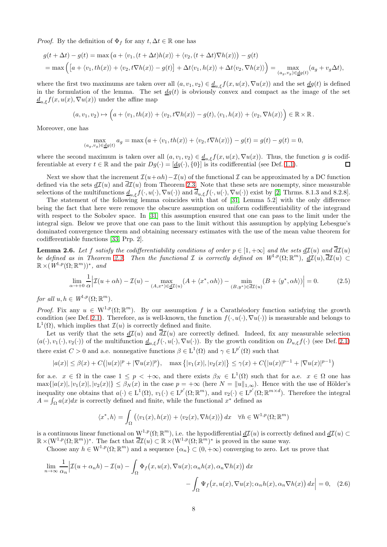*Proof.* By the definition of  $\Phi_f$  for any  $t, \Delta t \in \mathbb{R}$  one has

$$
g(t + \Delta t) - g(t) = \max (a + \langle v_1, (t + \Delta t)h(x) \rangle + \langle v_2, (t + \Delta t) \nabla h(x) \rangle) - g(t)
$$
  
= 
$$
\max \left( [a + \langle v_1, th(x) \rangle + \langle v_2, t \nabla h(x) \rangle - g(t) \right] + \Delta t \langle v_1, h(x) \rangle + \Delta t \langle v_2, \nabla h(x) \rangle = \max_{(a_g, v_g) \in \underline{dg}(t)} (a_g + v_g \Delta t),
$$

where the first two maximums are taken over all  $(a, v_1, v_2) \in \underline{d}_{u,\xi} f(x, u(x), \nabla u(x))$  and the set  $\underline{d}g(t)$  is defined in the formulation of the lemma. The set  $\frac{dg(t)}{dt}$  is obviously convex and compact as the image of the set  $\underline{d}_{u,\xi}f(x,u(x),\nabla u(x))$  under the affine map

$$
(a, v_1, v_2) \mapsto \left(a + \langle v_1, th(x) \rangle + \langle v_2, t \nabla h(x) \rangle - g(t), \langle v_1, h(x) \rangle + \langle v_2, \nabla h(x) \rangle \right) \in \mathbb{R} \times \mathbb{R}.
$$

Moreover, one has

$$
\max_{(a_g,v_g)\in\underline{d}g(t)}a_g=\max\big(a+\langle v_1,th(x)\rangle+\langle v_2,t\nabla h(x)\rangle\big)-g(t)=g(t)-g(t)=0,
$$

where the second maximum is taken over all  $(a, v_1, v_2) \in \underline{d}_{u,\xi} f(x, u(x), \nabla u(x))$ . Thus, the function g is codif-<br>ferentiable at every  $t \in \mathbb{R}$  and the pair  $Da(\cdot) = [da(\cdot), \{0\}]$  is its codifferential (see Def. 1.1). ferentiable at every  $t \in \mathbb{R}$  and the pair  $Dg(\cdot) = [dg(\cdot), \{0\}]$  is its codifferential (see Def. [1.1\)](#page-2-3).

Next we show that the increment  $\mathcal{I}(u+\alpha h)-\mathcal{I}(u)$  of the functional  $\mathcal I$  can be approximated by a DC function defined via the sets  $d\mathcal{I}(u)$  and  $\overline{d\mathcal{I}}(u)$  from Theorem [2.3.](#page-6-1) Note that these sets are nonempty, since measurable selections of the multifunctions  $\underline{d}_{u,\xi}f(\cdot,u(\cdot),\nabla u(\cdot))$  and  $\overline{d}_{u,\xi}f(\cdot,u(\cdot),\nabla u(\cdot))$  exist by [\[2,](#page-25-1) Thrms. 8.1.3 and 8.2.8].

The statement of the following lemma coincides with that of [\[31,](#page-27-6) Lemma 5.2] with the only difference being the fact that here were remove the obscure assumption on uniform codifferentiability of the integrand with respect to the Sobolev space. In [\[31\]](#page-27-6) this assumption ensured that one can pass to the limit under the integral sign. Below we prove that one can pass to the limit without this assumption by applying Lebesgue's dominated convergence theorem and obtaining necessary estimates with the use of the mean value theorem for codifferentiable functions [\[33,](#page-27-9) Prp. 2].

<span id="page-7-2"></span>**Lemma 2.6.** Let f satisfy the codifferentiability conditions of order  $p \in [1, +\infty]$  and the sets  $d\mathcal{I}(u)$  and  $\overline{d\mathcal{I}}(u)$ be defined as in Theorem [2.3.](#page-6-1) Then the functional  $\mathcal I$  is correctly defined on  $W^{1,p}(\Omega;\mathbb R^m)$ ,  $\underline{d\mathcal I}(u), \overline{d\mathcal I}(u) \subset$  $\mathbb{R} \times (W^{1,p}(\Omega;\mathbb{R}^m))^*$ , and

<span id="page-7-1"></span>
$$
\lim_{\alpha \to +0} \frac{1}{\alpha} \Big| \mathcal{I}(u + \alpha h) - \mathcal{I}(u) - \max_{(A, x^*) \in \underline{d\mathcal{I}}(u)} (A + \langle x^*, \alpha h \rangle) - \min_{(B, y^*) \in \overline{d\mathcal{I}}(u)} (B + \langle y^*, \alpha h \rangle) \Big| = 0. \tag{2.5}
$$

for all  $u, h \in W^{1,p}(\Omega; \mathbb{R}^m)$ .

*Proof.* Fix any  $u \in W^{1,p}(\Omega;\mathbb{R}^m)$ . By our assumption f is a Carathéodory function satisfying the growth condition (see Def. [2.1\)](#page-5-1). Therefore, as is well-known, the function  $f(\cdot, u(\cdot), \nabla u(\cdot))$  is measurable and belongs to  $L^1(\Omega)$ , which implies that  $\mathcal{I}(u)$  is correctly defined and finite.

Let us verify that the sets  $d\mathcal{I}(u)$  and  $\overline{d\mathcal{I}}(u)$  are correctly defined. Indeed, fix any measurable selection  $(a(\cdot), v_1(\cdot), v_2(\cdot))$  of the multifunction  $\underline{d}_{u,\xi} f(\cdot, u(\cdot), \nabla u(\cdot))$ . By the growth condition on  $D_{u,\xi} f(\cdot)$  (see Def. [2.1\)](#page-5-1) there exist  $C > 0$  and a.e. nonnegative functions  $\beta \in L^1(\Omega)$  and  $\gamma \in L^{p'}(\Omega)$  such that

$$
|a(x)| \leq \beta(x) + C(|u(x)|^p + |\nabla u(x)|^p), \quad \max\{|v_1(x)|, |v_2(x)|\} \leq \gamma(x) + C(|u(x)|^{p-1} + |\nabla u(x)|^{p-1})
$$

for a.e.  $x \in \Omega$  in the case  $1 \leq p < +\infty$ , and there exists  $\beta_N \in L^1(\Omega)$  such that for a.e.  $x \in \Omega$  one has  $\max\{|a(x)|, |v_1(x)|, |v_2(x)|\} \leq \beta_N(x)$  in the case  $p = +\infty$  (here  $N = ||u||_{1,\infty}$ ). Hence with the use of Hölder's inequality one obtains that  $a(\cdot) \in L^1(\Omega)$ ,  $v_1(\cdot) \in L^{p'}(\Omega; \mathbb{R}^m)$ , and  $v_2(\cdot) \in L^{p'}(\Omega; \mathbb{R}^{m \times d})$ . Therefore the integral  $A = \int_{\Omega} a(x)dx$  is correctly defined and finite, while the functional  $x^*$  defined as

<span id="page-7-0"></span>
$$
\langle x^*, h \rangle = \int_{\Omega} \left( \langle v_1(x), h(x) \rangle + \langle v_2(x), \nabla h(x) \rangle \right) dx \quad \forall h \in W^{1,p}(\Omega; \mathbb{R}^m)
$$

is a continuous linear functional on  $W^{1,p}(\Omega;\mathbb{R}^m)$ , i.e. the hypodifferential  $\underline{d}\mathcal{I}(u)$  is correctly defined and  $\underline{d}\mathcal{I}(u) \subset$  $\mathbb{R} \times (\mathcal{W}^{1,p}(\Omega;\mathbb{R}^m))^*$ . The fact that  $\overline{d\mathcal{I}(u)} \subset \mathbb{R} \times (\mathcal{W}^{1,p}(\Omega;\mathbb{R}^m))^*$  is proved in the same way.

Choose any  $h \in W^{1,p}(\Omega;\mathbb{R}^m)$  and a sequence  $\{\alpha_n\} \subset (0, +\infty)$  converging to zero. Let us prove that

$$
\lim_{n \to \infty} \frac{1}{\alpha_n} \Big| \mathcal{I}(u + \alpha_n h) - \mathcal{I}(u) - \int_{\Omega} \Phi_f(x, u(x), \nabla u(x); \alpha_n h(x), \alpha_n \nabla h(x)) dx - \int_{\Omega} \Psi_f(x, u(x), \nabla u(x); \alpha_n h(x), \alpha_n \nabla h(x)) dx \Big| = 0, \quad (2.6)
$$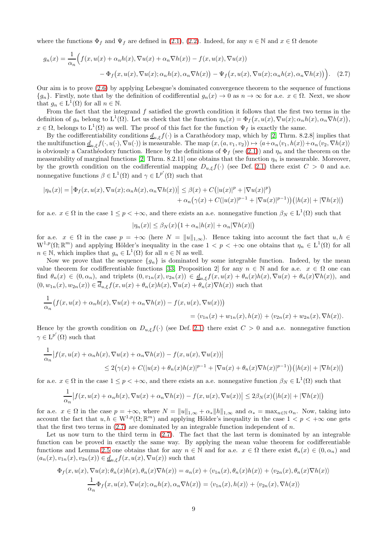where the functions  $\Phi_f$  and  $\Psi_f$  are defined in [\(2.1\)](#page-5-0), [\(2.2\)](#page-5-2). Indeed, for any  $n \in \mathbb{N}$  and  $x \in \Omega$  denote

$$
g_n(x) = \frac{1}{\alpha_n} \Big( f(x, u(x) + \alpha_n h(x), \nabla u(x) + \alpha_n \nabla h(x)) - f(x, u(x), \nabla u(x))
$$

$$
- \Phi_f(x, u(x), \nabla u(x); \alpha_n h(x), \alpha_n \nabla h(x)) - \Psi_f(x, u(x), \nabla u(x); \alpha_n h(x), \alpha_n \nabla h(x)) \Big). \tag{2.7}
$$

Our aim is to prove [\(2.6\)](#page-7-0) by applying Lebesgue's dominated convergence theorem to the sequence of functions  ${g_n}$ . Firstly, note that by the definition of codifferential  $g_n(x) \to 0$  as  $n \to \infty$  for a.e.  $x \in \Omega$ . Next, we show that  $g_n \in L^1(\Omega)$  for all  $n \in \mathbb{N}$ .

From the fact that the integrand  $f$  satisfied the growth condition it follows that the first two terms in the definition of  $g_n$  belong to  $L^1(\Omega)$ . Let us check that the function  $\eta_n(x) = \Phi_f(x, u(x), \nabla u(x); \alpha_n h(x), \alpha_n \nabla h(x)),$  $x \in \Omega$ , belongs to  $L^1(\Omega)$  as well. The proof of this fact for the function  $\Psi_f$  is exactly the same.

By the codifferentiability conditions  $\underline{d}_{u,\xi}f(\cdot)$  is a Carathéodory map, which by [\[2,](#page-25-1) Thrm. 8.2.8] implies that the multifunction  $\underline{d}_{u,\xi}f(\cdot,u(\cdot),\nabla u(\cdot))$  is measurable. The map  $(x,(a,v_1,v_2))\mapsto \langle a+\alpha_n\langle v_1,h(x)\rangle+\alpha_n\langle v_2,\nabla h(x)\rangle$ is obviously a Carathéodory function. Hence by the definitions of  $\Phi_f$  (see [\(2.1\)](#page-5-0)) and  $\eta_n$  and the theorem on the measurability of marginal functions [\[2,](#page-25-1) Thrm. 8.2.11] one obtains that the function  $\eta_n$  is measurable. Moreover, by the growth condition on the codifferential mapping  $D_{u,\xi}f(\cdot)$  (see Def. [2.1\)](#page-5-1) there exist  $C > 0$  and a.e. nonnegative functions  $\beta \in L^1(\Omega)$  and  $\gamma \in L^{p'}(\Omega)$  such that

$$
|\eta_n(x)| = \left| \Phi_f(x, u(x), \nabla u(x); \alpha_n h(x), \alpha_n \nabla h(x)) \right| \leq \beta(x) + C\left( |u(x)|^p + |\nabla u(x)|^p \right) + \alpha_n \left( \gamma(x) + C(|u(x)|^{p-1} + |\nabla u(x)|^{p-1}) \right) \left( |h(x)| + |\nabla h(x)| \right)
$$

for a.e.  $x \in \Omega$  in the case  $1 \le p < +\infty$ , and there exists an a.e. nonnegative function  $\beta_N \in L^1(\Omega)$  such that

<span id="page-8-0"></span>
$$
|\eta_n(x)| \leq \beta_N(x) \big(1 + \alpha_n |h(x)| + \alpha_n |\nabla h(x)|\big)
$$

for a.e.  $x \in \Omega$  in the case  $p = +\infty$  (here  $N = ||u||_{1,\infty}$ ). Hence taking into account the fact that  $u, h \in$  $W^{1,p}(\Omega;\mathbb{R}^m)$  and applying Hölder's inequality in the case  $1 < p < +\infty$  one obtains that  $\eta_n \in L^1(\Omega)$  for all  $n \in \mathbb{N}$ , which implies that  $g_n \in L^1(\Omega)$  for all  $n \in \mathbb{N}$  as well.

Now we prove that the sequence  $\{g_n\}$  is dominated by some integrable function. Indeed, by the mean value theorem for codifferentiable functions [\[33,](#page-27-9) Proposition 2] for any  $n \in \mathbb{N}$  and for a.e.  $x \in \Omega$  one can find  $\theta_n(x) \in (0, \alpha_n)$ , and triplets  $(0, v_{1n}(x), v_{2n}(x)) \in \underline{d}_{u,\xi} f(x, u(x) + \theta_n(x)h(x), \nabla u(x) + \theta_n(x)\nabla h(x))$ , and  $(0, w_{1n}(x), w_{2n}(x)) \in \overline{d}_{u,\xi}f(x, u(x) + \theta_n(x)h(x), \nabla u(x) + \theta_n(x)\nabla h(x))$  such that

$$
\frac{1}{\alpha_n} \big( f(x, u(x) + \alpha_n h(x), \nabla u(x) + \alpha_n \nabla h(x)) - f(x, u(x), \nabla u(x)) \big) \n= \langle v_{1n}(x) + w_{1n}(x), h(x) \rangle + \langle v_{2n}(x) + w_{2n}(x), \nabla h(x) \rangle.
$$

Hence by the growth condition on  $D_{u,\xi}f(\cdot)$  (see Def. [2.1\)](#page-5-1) there exist  $C > 0$  and a.e. nonnegative function  $\gamma \in L^{p'}(\Omega)$  such that

$$
\frac{1}{\alpha_n} \left| f(x, u(x) + \alpha_n h(x), \nabla u(x) + \alpha_n \nabla h(x)) - f(x, u(x), \nabla u(x)) \right|
$$
  
\n
$$
\leq 2(\gamma(x) + C(|u(x) + \theta_n(x)h(x)|^{p-1} + |\nabla u(x) + \theta_n(x)\nabla h(x)|^{p-1})) (|h(x)| + |\nabla h(x)|)
$$

for a.e.  $x \in \Omega$  in the case  $1 \le p < +\infty$ , and there exists an a.e. nonnegative function  $\beta_N \in L^1(\Omega)$  such that

$$
\frac{1}{\alpha_n} \big| f(x, u(x) + \alpha_n h(x), \nabla u(x) + \alpha_n \nabla h(x)) - f(x, u(x), \nabla u(x)) \big| \le 2\beta_N(x) \big( |h(x)| + |\nabla h(x)| \big)
$$

for a.e.  $x \in \Omega$  in the case  $p = +\infty$ , where  $N = ||u||_{1,\infty} + \alpha_* ||h||_{1,\infty}$  and  $\alpha_* = \max_{n \in \mathbb{N}} \alpha_n$ . Now, taking into account the fact that  $u, h \in W^{1,p}(\Omega; \mathbb{R}^m)$  and applying Hölder's inequality in the case  $1 < p < +\infty$  one gets that the first two terms in  $(2.7)$  are dominated by an integrable function independent of n.

Let us now turn to the third term in [\(2.7\)](#page-8-0). The fact that the last term is dominated by an integrable function can be proved in exactly the same way. By applying the mean value theorem for codifferentiable functions and Lemma [2.5](#page-6-2) one obtains that for any  $n \in \mathbb{N}$  and for a.e.  $x \in \Omega$  there exist  $\theta_n(x) \in (0, \alpha_n)$  and  $(a_n(x), v_{1n}(x), v_{2n}(x)) \in \underline{d}_{u,\xi} f(x, u(x), \nabla u(x))$  such that

$$
\Phi_f(x, u(x), \nabla u(x); \theta_n(x)h(x), \theta_n(x)\nabla h(x)) = a_n(x) + \langle v_{1n}(x), \theta_n(x)h(x) \rangle + \langle v_{2n}(x), \theta_n(x)\nabla h(x) \rangle
$$

$$
\frac{1}{\alpha_n} \Phi_f(x, u(x), \nabla u(x); \alpha_n h(x), \alpha_n \nabla h(x)) = \langle v_{1n}(x), h(x) \rangle + \langle v_{2n}(x), \nabla h(x) \rangle
$$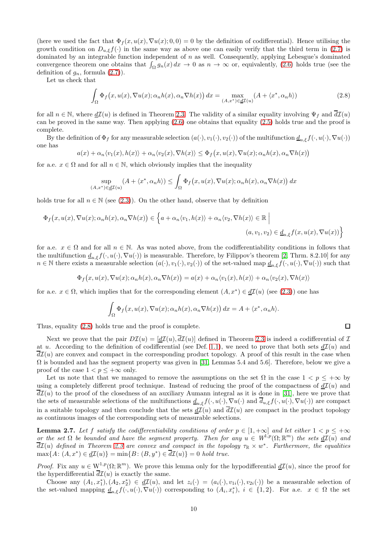(here we used the fact that  $\Phi_f(x, u(x), \nabla u(x); 0, 0) = 0$  by the definition of codifferential). Hence utilising the growth condition on  $D_{u,\xi}f(\cdot)$  in the same way as above one can easily verify that the third term in [\(2.7\)](#page-8-0) is dominated by an integrable function independent of  $n$  as well. Consequently, applying Lebesgue's dominated convergence theorem one obtains that  $\int_{\Omega} g_n(x) dx \to 0$  as  $n \to \infty$  or, equivalently, [\(2.6\)](#page-7-0) holds true (see the definition of  $g_n$ , formula  $(2.7)$ ).

Let us check that

<span id="page-9-0"></span>
$$
\int_{\Omega} \Phi_f(x, u(x), \nabla u(x); \alpha_n h(x), \alpha_n \nabla h(x)) dx = \max_{(A, x^*) \in \underline{d}(\mathcal{I}(u))} (A + \langle x^*, \alpha_n h \rangle)
$$
\n(2.8)

for all  $n \in \mathbb{N}$ , where  $d\mathcal{I}(u)$  is defined in Theorem [2.3.](#page-6-1) The validity of a similar equality involving  $\Psi_f$  and  $\overline{d\mathcal{I}}(u)$ can be proved in the same way. Then applying [\(2.6\)](#page-7-0) one obtains that equality [\(2.5\)](#page-7-1) holds true and the proof is complete.

By the definition of  $\Phi_f$  for any measurable selection  $(a(\cdot), v_1(\cdot), v_2(\cdot))$  of the multifunction  $\underline{d}_{u,\xi}f(\cdot, u(\cdot), \nabla u(\cdot))$ one has

 $a(x) + \alpha_n \langle v_1(x), h(x) \rangle + \alpha_n \langle v_2(x), \nabla h(x) \rangle \leq \Phi_f(x, u(x), \nabla u(x); \alpha_n h(x), \alpha_n \nabla h(x))$ 

for a.e.  $x \in \Omega$  and for all  $n \in \mathbb{N}$ , which obviously implies that the inequality

$$
\sup_{(A,x^*)\in \underline{d}\mathcal{I}(u)} (A + \langle x^*, \alpha_n h \rangle) \le \int_{\Omega} \Phi_f(x, u(x), \nabla u(x); \alpha_n h(x), \alpha_n \nabla h(x)) dx
$$

holds true for all  $n \in \mathbb{N}$  (see [\(2.3\)](#page-6-3)). On the other hand, observe that by definition

$$
\Phi_f(x, u(x), \nabla u(x); \alpha_n h(x), \alpha_n \nabla h(x)) \in \left\{ a + \alpha_n \langle v_1, h(x) \rangle + \alpha_n \langle v_2, \nabla h(x) \rangle \in \mathbb{R} \mid
$$
\n
$$
(a, v_1, v_2) \in \underline{d}_{u, \xi} f(x, u(x), \nabla u(x)) \right\}
$$

for a.e.  $x \in \Omega$  and for all  $n \in \mathbb{N}$ . As was noted above, from the codifferentiability conditions in follows that the multifunction  $\underline{d}_{u,\xi}f(\cdot,u(\cdot),\nabla u(\cdot))$  is measurable. Therefore, by Filippov's theorem [\[2,](#page-25-1) Thrm. 8.2.10] for any  $n \in \mathbb{N}$  there exists a measurable selection  $(a(\cdot), v_1(\cdot), v_2(\cdot))$  of the set-valued map  $\underline{d}_{u,\xi}f(\cdot, u(\cdot), \nabla u(\cdot))$  such that

$$
\Phi_f(x, u(x), \nabla u(x); \alpha_n h(x), \alpha_n \nabla h(x)) = a(x) + \alpha_n \langle v_1(x), h(x) \rangle + \alpha_n \langle v_2(x), \nabla h(x) \rangle
$$

for a.e.  $x \in \Omega$ , which implies that for the corresponding element  $(A, x^*) \in \underline{d\mathcal{I}}(u)$  (see [\(2.3\)](#page-6-3)) one has

$$
\int_{\Omega} \Phi_f(x, u(x), \nabla u(x); \alpha_n h(x), \alpha_n \nabla h(x)) dx = A + \langle x^*, \alpha_n h \rangle.
$$

Thus, equality [\(2.8\)](#page-9-0) holds true and the proof is complete.

Next we prove that the pair  $D\mathcal{I}(u) = [d\mathcal{I}(u), \overline{d\mathcal{I}}(u)]$  defined in Theorem [2.3](#page-6-1) is indeed a codifferential of  $\mathcal{I}$ at u. According to the definition of codifferential (see Def. [1.1\)](#page-2-3), we need to prove that both sets  $d\mathcal{I}(u)$  and  $\overline{d\mathcal{I}}(u)$  are convex and compact in the corresponding product topology. A proof of this result in the case when  $\Omega$  is bounded and has the segment property was given in [\[31,](#page-27-6) Lemmas 5.4 and 5.6]. Therefore, below we give a proof of the case  $1 < p < +\infty$  only.

Let us note that that we managed to remove the assumptions on the set  $\Omega$  in the case  $1 < p \leq +\infty$  by using a completely different proof technique. Instead of reducing the proof of the compactness of  $d\mathcal{I}(u)$  and  $\overline{d\mathcal{I}}(u)$  to the proof of the closedness of an auxiliary Aumann integral as it is done in [\[31\]](#page-27-6), here we prove that the sets of measurable selections of the multifunctions  $\underline{d}_{u,\xi}f(\cdot,u(\cdot),\nabla u(\cdot))$  and  $\overline{d}_{u,\xi}f(\cdot,u(\cdot),\nabla u(\cdot))$  are compact in a suitable topology and then conclude that the sets  $d\mathcal{I}(u)$  and  $\overline{d\mathcal{I}}(u)$  are compact in the product topology as continuous images of the corresponding sets of measurable selections.

**Lemma 2.7.** Let f satisfy the codifferentiability conditions of order  $p \in [1, +\infty]$  and let either  $1 < p \leq +\infty$ or the set  $\Omega$  be bounded and have the segment property. Then for any  $u \in W^{1,p}(\Omega;\mathbb{R}^m)$  the sets  $\underline{d}I(u)$  and  $\overline{dI}(u)$  defined in Theorem [2.3](#page-6-1) are convex and compact in the topology  $\tau_R \times w^*$ . Furthermore, the equalities  $\max\{A\colon (A, x^*) \in \underline{d\mathcal{I}}(u)\} = \min\{B\colon (B, y^*) \in \overline{d\mathcal{I}}(u)\} = 0 \text{ hold true.}$ 

*Proof.* Fix any  $u \in W^{1,p}(\Omega;\mathbb{R}^m)$ . We prove this lemma only for the hypodifferential  $d\mathcal{I}(u)$ , since the proof for the hyperdifferential  $\overline{d\mathcal{I}}(u)$  is exactly the same.

Choose any  $(A_1, x_1^*), (A_2, x_2^*) \in \underline{d\mathcal{I}}(u)$ , and let  $z_i(\cdot) = (a_i(\cdot), v_{1i}(\cdot), v_{2i}(\cdot))$  be a measurable selection of the set-valued mapping  $\underline{d}_{u,\xi}f(\cdot,u(\cdot),\nabla u(\cdot))$  corresponding to  $(A_i,x_i^*), i \in \{1,2\}$ . For a.e.  $x \in \Omega$  the set

 $\Box$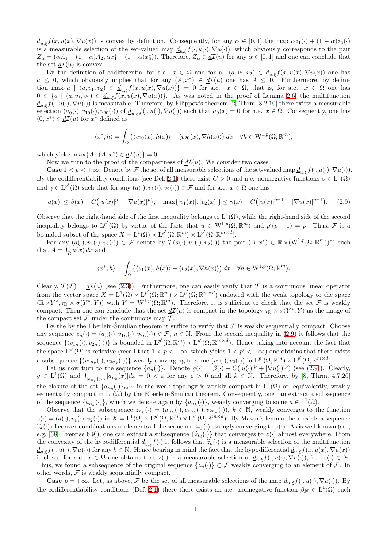$d_{u,\xi}f(x,u(x),\nabla u(x))$  is convex by definition. Consequently, for any  $\alpha \in [0,1]$  the map  $\alpha z_1(\cdot) + (1-\alpha)z_2(\cdot)$ is a measurable selection of the set-valued map  $\underline{d}_{u,\xi}f(\cdot,u(\cdot),\nabla u(\cdot))$ , which obviously corresponds to the pair  $Z_{\alpha} = (\alpha A_1 + (1 - \alpha)A_2, \alpha x_1^* + (1 - \alpha)x_2^*)$ . Therefore,  $Z_{\alpha} \in \underline{d\mathcal{I}}(u)$  for any  $\alpha \in [0, 1]$  and one can conclude that the set  $d\mathcal{I}(u)$  is convex.

By the definition of codifferential for a.e.  $x \in \Omega$  and for all  $(a, v_1, v_2) \in \underline{d}_{u,\xi} f(x, u(x), \nabla u(x))$  one has  $a \leq 0$ , which obviously implies that for any  $(A, x^*) \in d\mathcal{I}(u)$  one has  $A \leq 0$ . Furthermore, by definition max $\{a \mid (a, v_1, v_2) \in \underline{d}_{u,\xi}f(x, u(x), \nabla u(x))\} = 0$  for a.e.  $x \in \Omega$ , that is, for a.e.  $x \in \Omega$  one has  $0 \in \{a \mid (a, v_1, v_2) \in \underline{d}_{u,\xi}f(x, u(x), \nabla u(x))\}.$  As was noted in the proof of Lemma [2.6,](#page-7-2) the multifunction  $d_{u,\xi}f(\cdot,u(\cdot),\nabla u(\cdot))$  is measurable. Therefore, by Filippov's theorem [\[2,](#page-25-1) Thrm. 8.2.10] there exists a measurable selection  $(a_0(\cdot), v_{10}(\cdot), v_{20}(\cdot))$  of  $\underline{d}_{u,\xi}f(\cdot, u(\cdot), \nabla u(\cdot))$  such that  $a_0(x) = 0$  for a.e.  $x \in \Omega$ . Consequently, one has  $(0, x^*) \in \underline{d}I(u)$  for  $x^*$  defined as

$$
\langle x^*, h \rangle = \int_{\Omega} \left( \langle v_{10}(x), h(x) \rangle + \langle v_{20}(x), \nabla h(x) \rangle \right) dx \quad \forall h \in W^{1,p}(\Omega; \mathbb{R}^m),
$$

which yields  $\max\{A: (A, x^*) \in \underline{d\mathcal{I}}(u)\} = 0.$ 

Now we turn to the proof of the compactness of  $d\mathcal{I}(u)$ . We consider two cases.

**Case**  $1 < p < +\infty$ . Denote by F the set of all measurable selections of the set-valued map  $\underline{d}_{u,\varepsilon}f(\cdot,u(\cdot),\nabla u(\cdot)).$ By the codifferentiability conditions (see Def. [2.1\)](#page-5-1) there exist  $C > 0$  and a.e. nonnegative functions  $\beta \in L^1(\Omega)$ and  $\gamma \in L^{p'}(\Omega)$  such that for any  $(a(\cdot), v_1(\cdot), v_2(\cdot)) \in \mathcal{F}$  and for a.e.  $x \in \Omega$  one has

<span id="page-10-0"></span>
$$
|a(x)| \leq \beta(x) + C\big(|u(x)|^p + |\nabla u(x)|^p\big), \quad \max\{|v_1(x)|, |v_2(x)|\} \leq \gamma(x) + C\big(|u(x)|^{p-1} + |\nabla u(x)|^{p-1}\big). \tag{2.9}
$$

Observe that the right-hand side of the first inequality belongs to  $L^1(\Omega)$ , while the right-hand side of the second inequality belongs to  $L^{p'}(\Omega)$  by virtue of the facts that  $u \in W^{1,p}(\Omega;\mathbb{R}^m)$  and  $p'(p-1) = p$ . Thus, F is a bounded subset of the space  $X = L^1(\Omega) \times L^{p'}(\Omega; \mathbb{R}^m) \times L^{p'}(\Omega; \mathbb{R}^{m \times d})$ .

For any  $(a(\cdot), v_1(\cdot), v_2(\cdot)) \in \mathcal{F}$  denote by  $\mathcal{T}(a(\cdot), v_1(\cdot), v_2(\cdot))$  the pair  $(A, x^*) \in \mathbb{R} \times (W^{1,p}(\Omega; \mathbb{R}^m))^*$  such that  $A = \int_{\Omega} a(x) dx$  and

$$
\langle x^*, h \rangle = \int_{\Omega} \left( \langle v_1(x), h(x) \rangle + \langle v_2(x), \nabla h(x) \rangle \right) dx \quad \forall h \in W^{1, p}(\Omega; \mathbb{R}^m).
$$

Clearly,  $\mathcal{T}(\mathcal{F}) = d\mathcal{I}(u)$  (see [\(2.3\)](#page-6-3)). Furthermore, one can easily verify that  $\mathcal T$  is a continuous linear operator from the vector space  $X = L^1(\Omega) \times L^{p'}(\Omega; \mathbb{R}^m) \times L^{p'}(\Omega; \mathbb{R}^{m \times d})$  endowed with the weak topology to the space  $(\mathbb{R} \times Y^*, \tau_{\mathbb{R}} \times \sigma(Y^*, Y))$  with  $Y = W^{1,p}(\Omega; \mathbb{R}^m)$ . Therefore, it is sufficient to check that the set F is weakly compact. Then one can conclude that the set  $\underline{d}\mathcal{I}(u)$  is compact in the topology  $\tau_{\mathbb{R}} \times \sigma(Y^*, Y)$  as the image of the compact set  $\mathcal F$  under the continuous map  $\mathcal T$ .

By the by the Eberlein-Smulian theorem it suffice to verify that  $\mathcal F$  is weakly sequentially compact. Choose any sequence  $z_n(\cdot) = (a_n(\cdot), v_{1n}(\cdot), v_{2n}(\cdot)) \in \mathcal{F}, n \in \mathbb{N}$ . From the second inequality in [\(2.9\)](#page-10-0) it follows that the sequence  $\{(v_{1n}(\cdot), v_{2n}(\cdot))\}$  is bounded in  $L^{p'}(\Omega; \mathbb{R}^m) \times L^{p'}(\Omega; \mathbb{R}^{m \times d})$ . Hence taking into account the fact that the space  $L^{p'}(\Omega)$  is reflexive (recall that  $1 < p < +\infty$ , which yields  $1 < p' < +\infty$ ) one obtains that there exists a subsequence  $\{(v_{1n_k}(\cdot), v_{2n_k}(\cdot))\}$  weakly converging to some  $(v_1(\cdot), v_2(\cdot))$  in  $L^{p'}(\Omega; \mathbb{R}^m) \times L^{p'}(\Omega; \mathbb{R}^{m \times d})$ .

Let us now turn to the sequence  $\{a_n(\cdot)\}\$ . Denote  $g(\cdot) = \beta(\cdot) + C(|u(\cdot)|^p + |\nabla u(\cdot)|^p)$  (see [\(2.9\)](#page-10-0)). Clearly,  $g \in L^1(\Omega)$  and  $\int_{|a_{n_k}|>g} |a_{n_k}(x)|dx = 0 < \varepsilon$  for any  $\varepsilon > 0$  and all  $k \in \mathbb{N}$ . Therefore, by [\[8,](#page-26-20) Thrm. 4.7.20] the closure of the set  $\{a_{n_k}(\cdot)\}_{n\in\mathbb{N}}$  in the weak topology is weakly compact in  $L^1(\Omega)$  or, equivalently, weakly sequentially compact in  $L^1(\Omega)$  by the Eberlein-Smulian theorem. Consequently, one can extract a subsequence of the sequence  $\{a_{n_k}(\cdot)\}\$ , which we denote again by  $\{a_{n_k}(\cdot)\}\$ , weakly converging to some  $a \in L^1(\Omega)$ .

Observe that the subsequence  $z_{n_k}(\cdot) = (a_{n_k}(\cdot), v_{1n_k}(\cdot), v_{2n_k}(\cdot)), k \in \mathbb{N}$ , weakly converges to the function  $z(\cdot) = (a(\cdot), v_1(\cdot), v_2(\cdot))$  in  $X = L^1(\Omega) \times L^{p'}(\Omega; \mathbb{R}^m) \times L^{p'}(\Omega; \mathbb{R}^{m \times d})$ . By Mazur's lemma there exists a sequence  $\hat{z}_k(\cdot)$  of convex combinations of elements of the sequence  $z_{n_k}(\cdot)$  strongly converging to  $z(\cdot)$ . As is well-known (see, e.g. [\[38,](#page-27-18) Exercise 6.9]), one can extract a subsequence  $\{\hat{z}_{k_l}(\cdot)\}$  that converges to  $z(\cdot)$  almost everywhere. From the convexity of the hypodifferential  $d_{u,\xi}f(\cdot)$  it follows that  $\hat{z}_k(\cdot)$  is a measurable selection of the multifunction  $\underline{d}_{u,\xi}f(\cdot,u(\cdot),\nabla u(\cdot))$  for any  $k\in\mathbb{N}$ . Hence bearing in mind the fact that the hypodifferential  $\underline{d}_{u,\xi}f(x,u(x),\nabla u(x))$ is closed for a.e.  $x \in \Omega$  one obtains that  $z(\cdot)$  is a measurable selection of  $\underline{d}_{u,\xi}f(\cdot,u(\cdot),\nabla u(\cdot))$ , i.e.  $z(\cdot) \in \mathcal{F}$ . Thus, we found a subsequence of the original sequence  $\{z_n(\cdot)\}\subset\mathcal{F}$  weakly converging to an element of  $\mathcal{F}$ . In other words,  $F$  is weakly sequentially compact.

**Case**  $p = +\infty$ . Let, as above, F be the set of all measurable selections of the map  $\underline{d}_{u,\xi}f(\cdot, u(\cdot), \nabla u(\cdot))$ . By the codifferentiability conditions (Def. [2.1\)](#page-5-1) there there exists an a.e. nonnegative function  $\beta_N \in L^1(\Omega)$  such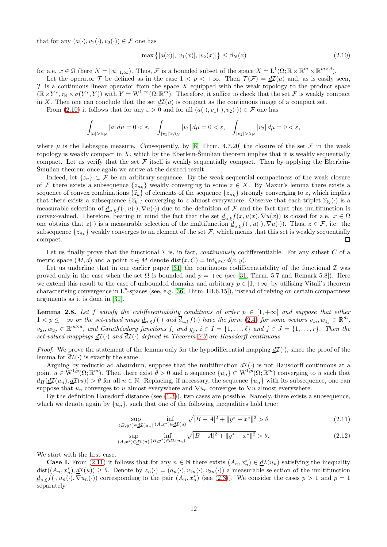that for any  $(a(\cdot), v_1(\cdot), v_2(\cdot)) \in \mathcal{F}$  one has

<span id="page-11-0"></span>
$$
\max\{|a(x)|, |v_1(x)|, |v_2(x)|\} \le \beta_N(x) \tag{2.10}
$$

for a.e.  $x \in \Omega$  (here  $N = ||u||_{1,\infty}$ ). Thus, F is a bounded subset of the space  $X = L^1(\Omega; \mathbb{R} \times \mathbb{R}^m \times \mathbb{R}^{m \times d})$ .

Let the operator  $\mathcal T$  be defined as in the case  $1 < p < +\infty$ . Then  $\mathcal T(\mathcal F) = d\mathcal I(u)$  and, as is easily seen,  $\mathcal T$  is a continuous linear operator from the space X equipped with the weak topology to the product space  $(\mathbb{R} \times Y^*, \tau_{\mathbb{R}} \times \sigma(Y^*, Y))$  with  $Y = W^{1,\infty}(\Omega; \mathbb{R}^m)$ . Therefore, it suffice to check that the set  $\mathcal F$  is weakly compact in X. Then one can conclude that the set  $d\mathcal{I}(u)$  is compact as the continuous image of a compact set.

From [\(2.10\)](#page-11-0) it follows that for any  $\varepsilon > 0$  and for all  $(a(\cdot), v_1(\cdot), v_2(\cdot)) \in \mathcal{F}$  one has

$$
\int_{|a|>\beta_N}|a|\,d\mu=0<\varepsilon,\quad \int_{|v_1|>\beta_N}|v_1|\,d\mu=0<\varepsilon,\quad \int_{|v_2|>\beta_N}|v_2|\,d\mu=0<\varepsilon,
$$

where  $\mu$  is the Lebesgue measure. Consequently, by [\[8,](#page-26-20) Thrm. 4.7.20] the closure of the set  $\mathcal F$  in the weak topology is weakly compact in  $X$ , which by the Eberlein-Smulian theorem implies that it is weakly sequentially compact. Let us verify that the set  $\mathcal F$  itself is weakly sequentially compact. Then by applying the Eberlein-Smulian theorem once again we arrive at the desired result.

Indeed, let  $\{z_n\} \subset \mathcal{F}$  be an arbitrary sequence. By the weak sequential compactness of the weak closure of F there exists a subsequence  $\{z_{n_k}\}\$  weakly converging to some  $z \in X$ . By Mazur's lemma there exists a sequence of convex combinations  $\{\hat{z}_k\}$  of elements of the sequence  $\{z_{n_k}\}$  strongly converging to z, which implies that there exists a subsequence  $\{\hat{z}_{k_l}\}$  converging to z almost everywhere. Observe that each triplet  $\hat{z}_{k_l}(\cdot)$  is a measurable selection of  $\underline{d}_{u,\xi}f(\cdot,u(\cdot),\nabla u(\cdot))$  due to the definition of F and the fact that this multifunction is convex-valued. Therefore, bearing in mind the fact that the set  $d_{u,\xi}f(x, u(x), \nabla u(x))$  is closed for a.e.  $x \in \Omega$ one obtains that  $z(\cdot)$  is a measurable selection of the multifunction  $d_{u,\xi}f(\cdot,u(\cdot),\nabla u(\cdot))$ . Thus,  $z \in \mathcal{F}$ , i.e. the subsequence  $\{z_{n_k}\}$  weakly converges to an element of the set  $\mathcal{F}$ , which means that this set is weakly sequentially compact.

Let us finally prove that the functional  $\mathcal I$  is, in fact, *continuously* codifferentiable. For any subset  $C$  of a metric space  $(M, d)$  and a point  $x \in M$  denote  $dist(x, C) = inf_{y \in C} d(x, y)$ .

Let us underline that in our earlier paper [\[31\]](#page-27-6) the continuous codifferentiability of the functional  $\mathcal I$  was proved only in the case when the set  $\Omega$  is bounded and  $p = +\infty$  (see [\[31,](#page-27-6) Thrm. 5.7 and Remark 5.8]). Here we extend this result to the case of unbounded domains and arbitrary  $p \in [1, +\infty]$  by utilising Vitali's theorem characterising convergence in  $L^p$ -spaces (see, e.g. [\[36,](#page-27-19) Thrm. III.6.15]), instead of relying on certain compactness arguments as it is done in [\[31\]](#page-27-6).

**Lemma 2.8.** Let f satisfy the codifferentiability conditions of order  $p \in [1, +\infty]$  and suppose that either  $1 < p \leq +\infty$  or the set-valued maps  $\underline{d}_{u,\xi}f(\cdot)$  and  $\overline{d}_{u,\xi}f(\cdot)$  have the form  $(2.4)$  for some vectors  $v_{1i}, w_{1j} \in \mathbb{R}^m$ ,  $v_{2i}, w_{2j} \in \mathbb{R}^{m \times d}$ , and Carathéodory functions  $f_i$  and  $g_j$ ,  $i \in I = \{1, \ldots, \ell\}$  and  $j \in J = \{1, \ldots, r\}$ . Then the set-valued mappings  $\underline{dI}(\cdot)$  and  $\overline{dI}(\cdot)$  defined in Theorem [2.3](#page-6-1) are Hausdorff continuous.

*Proof.* We prove the statement of the lemma only for the hypodifferential mapping  $d\mathcal{I}(\cdot)$ , since the proof of the lemma for  $d\mathcal{I}(\cdot)$  is exactly the same.

Arguing by reductio ad absurdum, suppose that the multifunction  $d\mathcal{I}(\cdot)$  is not Hausdorff continuous at a point  $u \in W^{1,p}(\Omega;\mathbb{R}^m)$ . Then there exist  $\theta > 0$  and a sequence  $\{u_n\} \subset W^{1,p}(\Omega;\mathbb{R}^m)$  converging to u such that  $d_H(\underline{d\mathcal{I}}(u_n), \underline{d\mathcal{I}}(u)) > \theta$  for all  $n \in \mathbb{N}$ . Replacing, if necessary, the sequence  $\{u_n\}$  with its subsequence, one can suppose that  $u_n$  converges to u almost everywhere and  $\nabla u_n$  converges to  $\nabla u$  almost everywhere.

By the definition Hausdorff distance (see [\(1.3\)](#page-2-4)), two cases are possible. Namely, there exists a subsequence, which we denote again by  $\{u_n\}$ , such that one of the following inequalities hold true:

<span id="page-11-2"></span><span id="page-11-1"></span>
$$
\sup_{(B,y^*)\in \underline{d\mathcal{I}}(u_n)} \inf_{(A,x^*)\in \underline{d\mathcal{I}}(u)} \sqrt{|B-A|^2 + \|y^*-x^*\|^2} > \theta
$$
\n(2.11)

$$
\sup_{(A,x^*)\in \underline{d\mathcal{I}}(u)} \inf_{(B,y^*)\in \underline{d\mathcal{I}}(u_n)} \sqrt{|B-A|^2 + \|y^*-x^*\|^2} > \theta.
$$
\n(2.12)

We start with the first case.

**Case I.** From [\(2.11\)](#page-11-1) it follows that for any  $n \in \mathbb{N}$  there exists  $(A_n, x_n^*) \in d\mathcal{I}(u_n)$  satisfying the inequality  $dist((A_n, x_n^n), \underline{d\mathcal{I}}(u)) \geq \theta$ . Denote by  $z_n(\cdot) = (a_n(\cdot), v_{1n}(\cdot), v_{2n}(\cdot))$  a measurable selection of the multifunction  $\underline{d}_{u,\xi}f(\cdot,u_n(\cdot),\nabla u_n(\cdot))$  corresponding to the pair  $(A_n,x_n^*)$  (see [\(2.3\)](#page-6-3)). We consider the cases  $p>1$  and  $p=1$ separately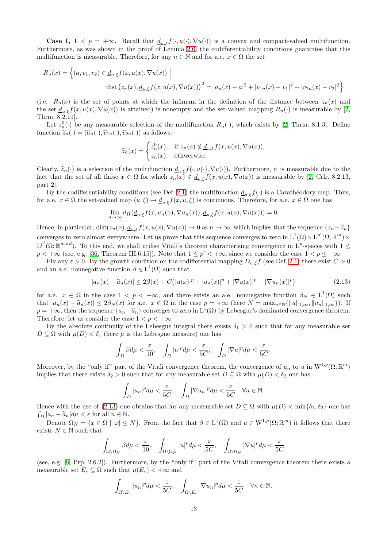**Case I,**  $1 < p = +\infty$ . Recall that  $\underline{d}_{u \in f}(\cdot, u(\cdot), \nabla u(\cdot))$  is a convex and compact-valued multifunction. Furthermore, as was shown in the proof of Lemma [2.6,](#page-7-2) the codifferentiability conditions guarantee that this multifunction is measurable. Therefore, for any  $n \in \mathbb{N}$  and for a.e.  $x \in \Omega$  the set

$$
R_n(x) = \left\{ (a, v_1, v_2) \in \underline{d}_{u,\xi} f(x, u(x), \nabla u(x)) \; \Big| \; \text{dist} \left( z_n(x), \underline{d}_{u,\xi} f(x, u(x), \nabla u(x)) \right)^2 = |a_n(x) - a|^2 + |v_{1n}(x) - v_1|^2 + |v_{2n}(x) - v_2|^2 \right\}
$$

(i.e.  $R_n(x)$  is the set of points at which the infimum in the definition of the distance between  $z_n(x)$  and the set  $\underline{d}_{u,\xi}f(x,u(x),\nabla u(x))$  is attained) is nonempty and the set-valued mapping  $R_n(\cdot)$  is measurable by [\[2,](#page-25-1) Thrm. 8.2.11].

Let  $z_n^0(\cdot)$  be any measurable selection of the multifunction  $R_n(\cdot)$ , which exists by [\[2,](#page-25-1) Thrm. 8.1.3]. Define function  $\hat{z}_n(\cdot) = (\hat{a}_n(\cdot), \hat{v}_{1n}(\cdot), \hat{v}_{2n}(\cdot))$  as follows:

$$
\widehat{z}_n(x) = \begin{cases} z_n^0(x), & \text{if } z_n(x) \notin \underline{d}_{u,\xi} f(x, u(x), \nabla u(x)), \\ z_n(x), & \text{otherwise.} \end{cases}
$$

Clearly,  $\hat{z}_n(\cdot)$  is a selection of the multifunction  $\underline{d}_{u,\xi}f(\cdot,u(\cdot),\nabla u(\cdot))$ . Furthermore, it is measurable due to the fact that the set of all those  $x \in \Omega$  for which  $z_n(x) \notin \underline{d}_{u,\xi} f(x, u(x), \nabla u(x))$  is measurable by [\[2,](#page-25-1) Crlr. 8.2.13, part 2].

By the codifferentiability conditions (see Def. [2.1\)](#page-5-1) the multifunction  $\underline{d}_{u,\xi}f(\cdot)$  is a Carathéodory map. Thus, for a.e.  $x \in \Omega$  the set-valued map  $(u, \xi) \mapsto \underline{d}_{u,\xi}f(x, u, \xi)$  is continuous. Therefore, for a.e.  $x \in \Omega$  one has

$$
\lim_{n \to \infty} d_H(\underline{d}_{u,\xi}f(x, u_n(x), \nabla u_n(x)), \underline{d}_{u,\xi}f(x, u(x), \nabla u(x))) = 0.
$$

Hence, in particular,  $dist(z_n(x), \underline{d}_{u,\xi}f(x, u(x), \nabla u(x)) \to 0$  as  $n \to \infty$ , which implies that the sequence  $\{z_n-\widehat{z}_n\}$ converges to zero almost everywhere. Let us prove that this sequence converges to zero in  $L^1(\Omega) \times L^{p'}(\Omega; \mathbb{R}^m) \times$  $L^{p'}(\Omega;\mathbb{R}^{m\times d})$ . To this end, we shall utilise Vitali's theorem characterising convergence in  $L^p$ -spaces with  $1 \leq$  $p < +\infty$  (see, e.g. [\[36,](#page-27-19) Theorem III.6.15]). Note that  $1 \le p' < +\infty$ , since we consider the case  $1 < p \le +\infty$ .

Fix any  $\varepsilon > 0$ . By the growth condition on the codifferential mapping  $D_{u,\xi}f$  (see Def. [2.1\)](#page-5-1) there exist  $C > 0$ and an a.e. nonnegative function  $\beta \in L^1(\Omega)$  such that

<span id="page-12-0"></span>
$$
|a_n(x) - \widehat{a}_n(x)| \le 2\beta(x) + C(|u(x)|^p + |u_n(x)|^p + |\nabla u(x)|^p + |\nabla u_n(x)|^p)
$$
\n(2.13)

for a.e.  $x \in \Omega$  in the case  $1 < p < +\infty$ , and there exists an a.e. nonnegative function  $\beta_N \in L^1(\Omega)$  such that  $|a_n(x) - \hat{a}_n(x)| \leq 2\beta_N(x)$  for a.e.  $x \in \Omega$  in the case  $p = +\infty$  (here  $N = \max_{n \in \mathbb{N}} \{||u||_{1,\infty}, ||u_n||_{1,\infty}\}\)$ . If  $p = +\infty$ , then the sequence  $\{a_n - \hat{a}_n\}$  converges to zero in  $L^1(\Omega)$  by Lebesgue's dominated convergence theorem. Therefore, let us consider the case  $1 < p < +\infty$ .

By the absolute continuity of the Lebesgue integral there exists  $\delta_1 > 0$  such that for any measurable set  $D \subseteq \Omega$  with  $\mu(D) < \delta_1$  (here  $\mu$  is the Lebesgue measure) one has

$$
\int_D \beta d\mu < \frac{\varepsilon}{10}, \quad \int_D |u|^p d\mu < \frac{\varepsilon}{5C}, \quad \int_D |\nabla u|^p d\mu < \frac{\varepsilon}{5C}.
$$

Moreover, by the "only if" part of the Vitali convergence theorem, the convergence of  $u_n$  to u in  $W^{1,p}(\Omega;\mathbb{R}^m)$ implies that there exists  $\delta_2 > 0$  such that for any measurable set  $D \subseteq \Omega$  with  $\mu(D) < \delta_2$  one has

$$
\int_D |u_n|^p d\mu < \frac{\varepsilon}{5C}, \quad \int_D |\nabla u_n|^p d\mu < \frac{\varepsilon}{5C} \quad \forall n \in \mathbb{N}.
$$

Hence with the use of [\(2.13\)](#page-12-0) one obtains that for any measurable set  $D \subseteq \Omega$  with  $\mu(D) < \min\{\delta_1, \delta_2\}$  one has  $\int_D |a_n - \widehat{a}_n| d\mu < \varepsilon$  for all  $n \in \mathbb{N}$ .

Denote  $\Omega_N = \{x \in \Omega \mid |x| \leq N\}$ . From the fact that  $\beta \in L^1(\Omega)$  and  $u \in W^{1,p}(\Omega;\mathbb{R}^m)$  it follows that there exists  $N \in \mathbb{N}$  such that

$$
\int_{\Omega\backslash\Omega_N}\beta d\mu<\frac{\varepsilon}{10},\quad \int_{\Omega\backslash\Omega_N}|u|^pd\mu<\frac{\varepsilon}{5C},\quad \int_{\Omega\backslash\Omega_N}|\nabla u|^pd\mu<\frac{\varepsilon}{5C}
$$

(see, e.g. [\[8,](#page-26-20) Prp. 2.6.2]). Furthermore, by the "only if" part of the Vitali convergence theorem there exists a measurable set  $E_{\varepsilon} \subseteq \Omega$  such that  $\mu(E_{\varepsilon}) < +\infty$  and

$$
\int_{\Omega\setminus E_{\varepsilon}}|u_n|^p d\mu < \frac{\varepsilon}{5C}, \quad \int_{\Omega\setminus E_{\varepsilon}}|\nabla u_n|^p d\mu < \frac{\varepsilon}{5C} \quad \forall n \in \mathbb{N}.
$$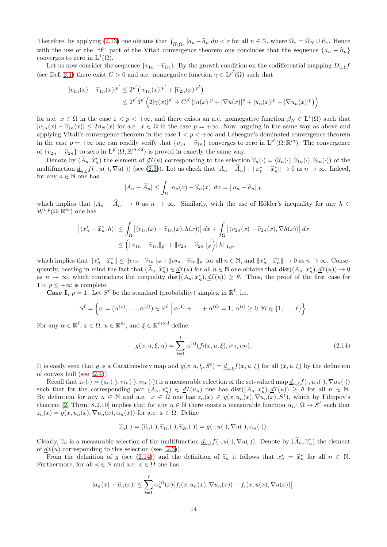Therefore, by applying [\(2.13\)](#page-12-0) one obtains that  $\int_{\Omega \setminus \Omega_{\varepsilon}} |a_n - \widehat{a}_n| d\mu < \varepsilon$  for all  $n \in \mathbb{N}$ , where  $\Omega_{\varepsilon} = \Omega_N \cup E_{\varepsilon}$ . Hence with the use of the "if" part of the Vitali convergence theorem one concludes that the sequence  $\{a_n - \hat{a}_n\}$ converges to zero in  $L^1(\Omega)$ .

Let us now consider the sequence  $\{v_{1n} - \hat{v}_{1n}\}\$ . By the growth condition on the codifferential mapping  $D_{u,\xi}f$ (see Def. [2.1\)](#page-5-1) there exist  $C > 0$  and a.e. nonnegative function  $\gamma \in L^{p'}(\Omega)$  such that

$$
|v_{1n}(x) - \widehat{v}_{1n}(x)|^{p'} \le 2^{p'} (|v_{1n}(x)|^{p'} + |\widehat{v}_{2n}(x)|^{p'})
$$
  

$$
\le 2^{p'} 3^{p'} (2|\gamma(x)|^{p'} + C^{p'} (|u(x)|^{p} + |\nabla u(x)|^{p} + |u_n(x)|^{p} + |\nabla u_n(x)|^{p}))
$$

for a.e.  $x \in \Omega$  in the case  $1 < p < +\infty$ , and there exists an a.e. nonnegative function  $\beta_N \in L^1(\Omega)$  such that  $|v_{1n}(x) - \hat{v}_{1n}(x)| \leq 2\beta_N(x)$  for a.e.  $x \in \Omega$  in the case  $p = +\infty$ . Now, arguing in the same way as above and applying Vitali's convergence theorem in the case  $1 < p < +\infty$  and Lebesgue's dominated convergence theorem in the case  $p = +\infty$  one can readily verify that  $\{v_{1n} - \hat{v}_{1n}\}$  converges to zero in  $L^{p'}(\Omega; \mathbb{R}^m)$ . The convergence of  $\{v_{2n} - \hat{v}_{2n}\}\)$  to zero in  $L^{p'}(\Omega;\mathbb{R}^{m\times d})$  is proved in exactly the same way.

Denote by  $(\widehat{A}_n, \widehat{x}_n^*)$  the element of  $\underline{d\mathcal{I}}(u)$  corresponding to the selection  $\widehat{z}_n(\cdot) = (\widehat{a}_n(\cdot), \widehat{v}_{1n}(\cdot), \widehat{v}_{2n}(\cdot))$  of the multifunction  $\underline{d}_{u,\xi}f(\cdot,u(\cdot),\nabla u(\cdot))$  (see [\(2.3\)](#page-6-3)). Let us check that  $|A_n - \hat{A}_n| + ||x_n^* - \hat{x}_n^*|| \to 0$  as  $n \to \infty$ . Indeed, for any  $n \in \mathbb{N}$  one has

$$
|A_n - \widehat{A}_n| \le \int_{\Omega} |a_n(x) - \widehat{a}_n(x)| dx = ||a_n - \widehat{a}_n||_1,
$$

which implies that  $|A_n - \hat{A}_n| \to 0$  as  $n \to \infty$ . Similarly, with the use of Hölder's inequality for any  $h \in$  $W^{1,p}(\Omega;\mathbb{R}^m)$  one has

$$
\left| \langle x_n^* - \widehat{x}_n^*, h \rangle \right| \leq \int_{\Omega} \left| \langle v_{1n}(x) - \widehat{v}_{1n}(x), h(x) \rangle \right| dx + \int_{\Omega} \left| \langle v_{2n}(x) - \widehat{v}_{2n}(x), \nabla h(x) \rangle \right| dx
$$
  

$$
\leq \left( \|v_{1n} - \widehat{v}_{1n}\|_{p'} + \|v_{2n} - \widehat{v}_{2n}\|_{p'} \right) \|h\|_{1,p},
$$

which implies that  $||x_n^* - \hat{x}_n^*|| \le ||v_{1n} - \hat{v}_{1n}||_{p'} + ||v_{2n} - \hat{v}_{2n}||_{p'}$  for all  $n \in \mathbb{N}$ , and  $||x_n^* - \hat{x}_n^*|| \to 0$  as  $n \to \infty$ . Consequently, bearing in mind the fact that  $(\widehat{A}_n, \widehat{x}_n^*) \in \underline{d\mathcal{I}}(u)$  for all  $n \in \mathbb{N}$  one obtains that  $dist((A_n, x_n^*), \underline{d\mathcal{I}}(u)) \to 0$ as  $n \to \infty$ , which contradicts the inequality dist $((A_n, x_n^*), d\mathcal{I}(u)) \geq \theta$ . Thus, the proof of the first case for  $1 < p \leq +\infty$  is complete.

**Case I,**  $p = 1$ . Let  $S^{\ell}$  be the standard (probability) simplex in  $\mathbb{R}^{\ell}$ , i.e.

$$
S^{\ell} = \left\{ \alpha = (\alpha^{(1)}, \dots, \alpha^{(\ell)}) \in \mathbb{R}^{\ell} \mid \alpha^{(1)} + \dots + \alpha^{(\ell)} = 1, \ \alpha^{(i)} \ge 0 \ \forall i \in \{1, \dots, \ell\} \right\}.
$$

For any  $\alpha \in \mathbb{R}^{\ell}$ ,  $x \in \Omega$ ,  $u \in \mathbb{R}^{m}$ , and  $\xi \in \mathbb{R}^{m \times d}$  define

<span id="page-13-0"></span>
$$
g(x, u, \xi, \alpha) = \sum_{i=1}^{l} \alpha^{(i)}(f_i(x, u, \xi), v_{1i}, v_{2i}).
$$
\n(2.14)

It is easily seen that g is a Carathéodory map and  $g(x, u, \xi, S^\ell) = \underline{d}_{u,\xi} f(x, u, \xi)$  for all  $(x, u, \xi)$  by the definition of convex hull (see [\(2.4\)](#page-6-0)).

Recall that  $z_n(\cdot) = (a_n(\cdot), v_{1n}(\cdot), v_{2n}(\cdot))$  is a measurable selection of the set-valued map  $\underline{d}_{u,\xi} f(\cdot, u_n(\cdot), \nabla u_n(\cdot))$ such that for the corresponding pair  $(A_n, x_n^*) \in \underline{d\mathcal{I}}(u_n)$  one has  $\text{dist}((A_n, x_n^*), \underline{d\mathcal{I}}(u)) \geq \theta$  for all  $n \in \mathbb{N}$ . By definition for any  $n \in \mathbb{N}$  and a.e.  $x \in \Omega$  one has  $z_n(x) \in g(x, u_n(x), \nabla u_n(x), S^\ell)$ , which by Filippov's theorem [\[2,](#page-25-1) Thrm. 8.2.10] implies that for any  $n \in \mathbb{N}$  there exists a measurable function  $\alpha_n : \Omega \to S^{\ell}$  such that  $z_n(x) = g(x, u_n(x), \nabla u_n(x), \alpha_n(x))$  for a.e.  $x \in \Omega$ . Define

$$
\widehat{z}_n(\cdot) = (\widehat{a}_n(\cdot), \widehat{v}_{1n}(\cdot), \widehat{v}_{2n}(\cdot)) = g(\cdot, u(\cdot), \nabla u(\cdot), \alpha_n(\cdot)).
$$

Clearly,  $\hat{z}_n$  is a measurable selection of the multifunction  $\underline{d}_{u,\xi}f(\cdot,u(\cdot),\nabla u(\cdot))$ . Denote by  $(\hat{A}_n,\hat{x}_n^*)$  the element of  $\underline{d}\mathcal{I}(u)$  corresponding to this selection (see [\(2.3\)](#page-6-3)).

From the definition of g (see [\(2.14\)](#page-13-0)) and the definition of  $\hat{z}_n$  it follows that  $x_n^* = \hat{x}_n^*$  for all  $n \in \mathbb{N}$ . Furthermore, for all  $n \in \mathbb{N}$  and a.e.  $x \in \Omega$  one has

$$
|a_n(x) - \widehat{a}_n(x)| \leq \sum_{i=1}^{\ell} \alpha_n^{(i)}(x) |f_i(x, u_n(x), \nabla u_n(x)) - f_i(x, u(x), \nabla u(x))|.
$$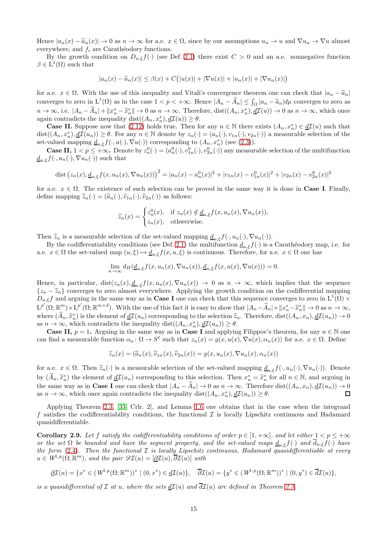Hence  $|a_n(x) - \hat{a}_n(x)| \to 0$  as  $n \to \infty$  for a.e.  $x \in \Omega$ , since by our assumptions  $u_n \to u$  and  $\nabla u_n \to \nabla u$  almost everywhere, and  $f_i$  are Carathéodory functions.

By the growth condition on  $D_{u,\xi}f(\cdot)$  (see Def. [2.1\)](#page-5-1) there exist  $C > 0$  and an a.e. nonnegative function  $\beta \in L^1(\Omega)$  such that

$$
|a_n(x) - \widehat{a}_n(x)| \le \beta(x) + C(|u(x)| + |\nabla u(x)| + |u_n(x)| + |\nabla u_n(x)|)
$$

for a.e.  $x \in \Omega$ . With the use of this inequality and Vitali's convergence theorem one can check that  $|a_n - \hat{a}_n|$ converges to zero in  $L^1(\Omega)$  as in the case  $1 < p < +\infty$ . Hence  $|A_n - \hat{A}_n| \leq \int_{\Omega} |a_n - \hat{a}_n| d\mu$  converges to zero as  $n \to \infty$ , i.e.  $|A_n - \hat{A}_n| + \|x_n^* - \hat{x}_n^*\| \to 0$  as  $n \to \infty$ . Therefore, dist $((A_n, x_n^*), \underline{d\mathcal{I}}(u)) \to 0$  as  $n \to \infty$ , which once again contradicts the inequality  $dist((A_n, x_n^*), d\mathcal{I}(u)) \geq \theta$ .

**Case II.** Suppose now that  $(2.12)$  holds true. Then for any  $n \in \mathbb{N}$  there exists  $(A_n, x_n^*) \in \underline{dI}(u)$  such that  $dist((A_n, x_n^n), d\mathcal{I}(u_n)) \geq \theta$ . For any  $n \in \mathbb{N}$  denote by  $z_n(\cdot) = (a_n(\cdot), v_{1n}(\cdot), v_{2n}(\cdot))$  a measurable selection of the set-valued mapping  $\underline{d}_{u,\xi} f(\cdot, u(\cdot), \nabla u(\cdot))$  corresponding to  $(A_n, x_n^*)$  (see [\(2.3\)](#page-6-3)).

**Case II,**  $1 \le p \le +\infty$ . Denote by  $z_n^0(\cdot) = (a_n^0(\cdot), v_{1n}^0(\cdot), v_{2n}^0(\cdot))$  any measurable selection of the multifunction  $\underline{d}_{u,\xi}f(\cdot,u_n(\cdot),\nabla u_n(\cdot))$  such that

dist 
$$
(z_n(x), \underline{d}_{u,\xi}f(x, u_n(x), \nabla u_n(x)))^2 = |a_n(x) - a_n^0(x)|^2 + |v_{1n}(x) - v_{1n}^0(x)|^2 + |v_{2n}(x) - v_{2n}^0(x)|^2
$$

for a.e.  $x \in \Omega$ . The existence of such selection can be proved in the same way it is done in **Case I**. Finally, define mapping  $\hat{z}_n(\cdot) = (\hat{a}_n(\cdot), \hat{v}_{1n}(\cdot), \hat{v}_{2n}(\cdot))$  as follows:

$$
\widehat{z}_n(x) = \begin{cases} z_n^0(x), & \text{if } z_n(x) \notin \underline{d}_{u,\xi} f(x, u_n(x), \nabla u_n(x)), \\ z_n(x), & \text{otherwise.} \end{cases}
$$

Then  $\hat{z}_n$  is a measurable selection of the set-valued mapping  $\underline{d}_{u,\xi}f(\cdot,u_n(\cdot), \nabla u_n(\cdot)).$ 

By the codifferentiability conditions (see Def. [2.1\)](#page-5-1) the multifunction  $d_{u,\xi}f(\cdot)$  is a Carathéodory map, i.e. for a.e.  $x \in \Omega$  the set-valued map  $(u, \xi) \mapsto \underline{d}_{u,\xi}f(x, u, \xi)$  is continuous. Therefore, for a.e.  $x \in \Omega$  one has

$$
\lim_{n \to \infty} d_H(\underline{d}_{u,\xi}f(x, u_n(x), \nabla u_n(x)), \underline{d}_{u,\xi}f(x, u(x), \nabla u(x))) = 0.
$$

Hence, in particular,  $dist(z_n(x), d_{u,\xi}f(x, u_n(x), \nabla u_n(x))) \to 0$  as  $n \to \infty$ , which implies that the sequence  $\{z_n - \hat{z}_n\}$  converges to zero almost everywhere. Applying the growth condition on the codifferential mapping  $D_{u,\xi}f$  and arguing in the same way as in **Case I** one can check that this sequence converges to zero in  $L^1(\Omega) \times$  $L^{p'}(\Omega;\mathbb{R}^m)\times L^{p'}(\Omega;\mathbb{R}^{m\times d})$ . With the use of this fact it is easy to show that  $|A_n-\hat{A}_n|+||x_n^*-\hat{x}_n^*||\to 0$  as  $n\to\infty$ , where  $(\hat{A}_n, \hat{x}_n^*)$  is the element of  $\underline{d\mathcal{I}}(u_n)$  corresponding to the selection  $\hat{z}_n$ . Therefore, dist $((A_n, x_n), \underline{d\mathcal{I}}(u_n)) \to 0$ as  $n \to \infty$ , which contradicts the inequality dist $((A_n, x_n^*), \underline{d\mathcal{I}}(u_n)) \geq \theta$ .

**Case II,**  $p = 1$ . Arguing in the same way as in **Case I** and applying Filippov's theorem, for any  $n \in \mathbb{N}$  one can find a measurable function  $\alpha_n \colon \Omega \to S^\ell$  such that  $z_n(x) = g(x, u(x), \nabla u(x), \alpha_n(x))$  for a.e.  $x \in \Omega$ . Define

$$
\widehat{z}_n(x) = (\widehat{a}_n(x), \widehat{v}_{1n}(x), \widehat{v}_{2n}(x)) = g(x, u_n(x), \nabla u_n(x), \alpha_n(x))
$$

for a.e.  $x \in \Omega$ . Then  $\widehat{z}_n(\cdot)$  is a measurable selection of the set-valued mapping  $\underline{d}_{u,\xi}f(\cdot, u_n(\cdot), \nabla u_n(\cdot))$ . Denote by  $(\widehat{A}_n, \widehat{x}_n^*)$  the element of  $\underline{d\mathcal{I}}(u_n)$  corresponding to this selection. Then  $x_n^* = \widehat{x}_n^*$  for all  $n \in \mathbb{N}$ , and arguing in the same way as in **Case I** one can check that  $|A_n - \hat{A}_n| \to 0$  as  $n \to \infty$ . Therefore dist $((A_n, x_n), d\mathcal{I}(u_n)) \to 0$  as  $n \to \infty$ , which once again contradicts the inequality dist $((A_n, x_n), d\mathcal{I}(u_n)) > \theta$ . as  $n \to \infty$ , which once again contradicts the inequality dist $((A_n, x_n^*), d\mathcal{I}(u_n)) \geq \theta$ .

Applying Theorem [2.3,](#page-6-1) [\[33,](#page-27-9) Crlr. 2], and Lemma [1.6](#page-3-2) one obtains that in the case when the integrand f satisfies the codifferentiability conditions, the functional  $\mathcal I$  is locally Lipschitz continuous and Hadamard quasidifferentiable.

<span id="page-14-0"></span>**Corollary 2.9.** Let f satisfy the codifferentiability conditions of order  $p \in [1, +\infty]$ , and let either  $1 < p \le +\infty$ or the set  $\Omega$  be bounded and have the segment property, and the set-valued maps  $d_{u,\xi}f(\cdot)$  and  $\overline{d}_{u,\xi}f(\cdot)$  have the form  $(2.4)$ . Then the functional  $\mathcal I$  is locally Lipschitz continuous, Hadamard quasidifferentiable at every  $u \in W^{1,p}(\Omega;\mathbb{R}^m)$ , and the pair  $\mathscr{D}I(u) = [\underline{\partial}I(u), \overline{\partial}I(u)]$  with

$$
\underline{\partial \mathcal{I}}(u) = \{x^* \in (W^{1,p}(\Omega;\mathbb{R}^m))^* \mid (0, x^*) \in \underline{d\mathcal{I}}(u)\}, \quad \overline{\partial \mathcal{I}}(u) = \{y^* \in (W^{1,p}(\Omega;\mathbb{R}^m))^* \mid (0, y^*) \in \overline{d\mathcal{I}}(u)\},
$$

is a quasidifferential of  $\mathcal I$  at u, where the sets  $d\mathcal I(u)$  and  $\overline{d\mathcal I(u)}$  are defined in Theorem [2.3.](#page-6-1)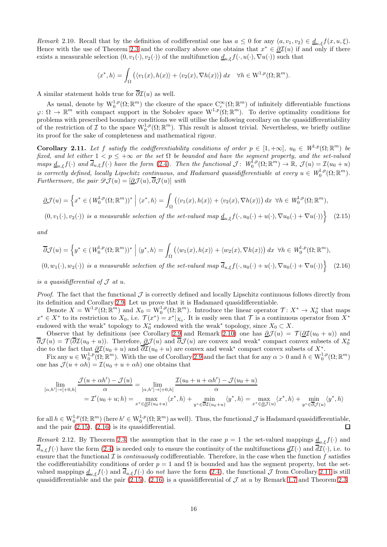<span id="page-15-0"></span>Remark 2.10. Recall that by the definition of codifferential one has  $a \leq 0$  for any  $(a, v_1, v_2) \in \underline{d}_{u,\xi} f(x, u, \xi)$ . Hence with the use of Theorem [2.3](#page-6-1) and the corollary above one obtains that  $x^* \in \partial \mathcal{I}(u)$  if and only if there exists a measurable selection  $(0, v_1(\cdot), v_2(\cdot))$  of the multifunction  $\underline{d}_{u,\epsilon} f(\cdot, u(\cdot), \nabla u(\cdot))$  such that

<span id="page-15-1"></span>
$$
\langle x^*, h \rangle = \int_{\Omega} \left( \langle v_1(x), h(x) \rangle + \langle v_2(x), \nabla h(x) \rangle \right) dx \quad \forall h \in W^{1,p}(\Omega; \mathbb{R}^m).
$$

A similar statement holds true for  $\overline{\partial}\mathcal{I}(u)$  as well.

As usual, denote by  $\mathbb{W}_0^{1,p}(\Omega;\mathbb{R}^m)$  the closure of the space  $\mathbb{C}_c^{\infty}(\Omega;\mathbb{R}^m)$  of infinitely differentiable functions  $\varphi \colon \Omega \to \mathbb{R}^m$  with compact support in the Sobolev space  $W^{1,p}(\Omega;\mathbb{R}^m)$ . To derive optimality conditions for problems with prescribed boundary conditions we will utilise the following corollary on the quasidifferentiability of the restriction of  $\mathcal I$  to the space  $\mathrm{W}^{1,p}_0(\Omega;\mathbb{R}^m)$ . This result is almost trivial. Nevertheless, we briefly outline its proof for the sake of completeness and mathematical rigour.

<span id="page-15-3"></span>**Corollary 2.11.** Let f satisfy the codifferentiability conditions of order  $p \in [1, +\infty]$ ,  $u_0 \in W^{1,p}(\Omega; \mathbb{R}^m)$  be fixed, and let either  $1 < p \leq +\infty$  or the set  $\Omega$  be bounded and have the segment property, and the set-valued maps  $\underline{d}_{u,\xi}f(\cdot)$  and  $\overline{d}_{u,\xi}f(\cdot)$  have the form [\(2.4\)](#page-6-0). Then the functional  $\mathcal{J}$ :  $W_0^{\tilde{1},p}(\Omega;\mathbb{R}^m) \to \mathbb{R}$ ,  $\mathcal{J}(u) = \mathcal{I}(u_0 + u)$ is correctly defined, locally Lipschitz continuous, and Hadamard quasidifferentiable at every  $u \in W_0^{1,p}(\Omega; \mathbb{R}^m)$ . Furthermore, the pair  $\mathscr{D}J(u) = [\partial \mathcal{J}(u), \overline{\partial} \mathcal{J}(u)]$  with

$$
\underline{\partial}\mathcal{J}(u) = \left\{ x^* \in (W_0^{1,p}(\Omega;\mathbb{R}^m))^* \; \middle| \; \langle x^*,h\rangle = \int_{\Omega} \left( \langle v_1(x),h(x) \rangle + \langle v_2(x),\nabla h(x) \rangle \right) dx \; \; \forall h \in W_0^{1,p}(\Omega;\mathbb{R}^m),\right\}
$$

 $(0, v_1(\cdot), v_2(\cdot))$  is a measurable selection of the set-valued map  $\underline{d}_{u,\xi}f(\cdot, u_0(\cdot) + u(\cdot), \nabla u_0(\cdot) + \nabla u(\cdot))$  (2.15)

and

<span id="page-15-2"></span>
$$
\overline{\partial}\mathcal{J}(u) = \left\{y^* \in (W_0^{1,p}(\Omega;\mathbb{R}^m))^* \; \Big| \; \langle y^*,h\rangle = \int_{\Omega} \left( \langle w_1(x),h(x) \rangle + \langle w_2(x),\nabla h(x) \rangle \right) dx \; \; \forall h \in W_0^{1,p}(\Omega;\mathbb{R}^m),\right\}
$$

 $(0, w_1(\cdot), w_2(\cdot))$  is a measurable selection of the set-valued map  $\overline{d}_{u,\xi}f(\cdot, u_0(\cdot) + u(\cdot), \nabla u_0(\cdot) + \nabla u(\cdot))$ (2.16)

is a quasidifferential of  $\mathcal J$  at  $u$ .

*Proof.* The fact that the functional  $\mathcal{J}$  is correctly defined and locally Lipschitz continuous follows directly from its definition and Corollary [2.9.](#page-14-0) Let us prove that it is Hadamard quasidifferentiable.

Denote  $X = W^{1,p}(\Omega;\mathbb{R}^m)$  and  $X_0 = W^{1,p}_0(\Omega;\mathbb{R}^m)$ . Introduce the linear operator  $\mathcal{T}: X^* \to X_0^*$  that maps  $x^* \in X^*$  to its restriction to  $X_0$ , i.e.  $\mathcal{T}(x^*) = x^*|_{X_0}$ . It is easily seen that  $\mathcal T$  is a continuous operator from  $X^*$ endowed with the weak<sup>∗</sup> topology to  $X_0^*$  endowed with the weak<sup>∗</sup> topology, since  $X_0 \subset X$ .

Observe that by definitions (see Corollary [2.9](#page-14-0) and Remark [2.10\)](#page-15-0) one has  $\partial \mathcal{J}(u) = \mathcal{T}(\partial \mathcal{I}(u_0 + u))$  and  $\overline{\partial}\mathcal{J}(u) = \mathcal{T}(\overline{\partial}\mathcal{I}(u_0+u))$ . Therefore,  $\underline{\partial}\mathcal{J}(u)$  and  $\overline{\partial}\mathcal{J}(u)$  are convex and weak\* compact convex subsets of  $X_0^*$  $\partial U(u) = \int (\partial \mathcal{L}(u_0 + u))$ . Therefore,  $\partial U(u)$  and  $\partial U(u)$  are convex and weak \* compact convex subsets of  $X^*$ .

Fix any  $u \in W_0^{1,p}(\Omega;\mathbb{R}^m)$ . With the use of Corollary [2.9](#page-14-0) and the fact that for any  $\alpha > 0$  and  $h \in W_0^{1,p}(\Omega;\mathbb{R}^m)$ one has  $\mathcal{J}(u + \alpha h) = \mathcal{I}(u_0 + u + \alpha h)$  one obtains that

$$
\lim_{[\alpha,h'] \to [+0,h]} \frac{\mathcal{J}(u + \alpha h') - \mathcal{J}(u)}{\alpha} = \lim_{[\alpha,h'] \to [+0,h]} \frac{\mathcal{I}(u_0 + u + \alpha h') - \mathcal{J}(u_0 + u)}{\alpha}
$$
\n
$$
= \mathcal{I}'(u_0 + u; h) = \max_{x^* \in \mathcal{QI}(u_0 + u)} \langle x^*, h \rangle + \min_{y^* \in \overline{\partial I}(u_0 + u)} \langle y^*, h \rangle = \max_{x^* \in \mathcal{QJ}(u)} \langle x^*, h \rangle + \min_{y^* \in \overline{\partial J}(u)} \langle y^*, h \rangle
$$

for all  $h \in W_0^{1,p}(\Omega;\mathbb{R}^m)$  (here  $h' \in W_0^{1,p}(\Omega;\mathbb{R}^m)$  as well). Thus, the functional  $\mathcal J$  is Hadamard quasidifferentiable, and the pair [\(2.15\)](#page-15-1), [\(2.16\)](#page-15-2) is its quasidifferential.

<span id="page-15-4"></span>Remark 2.12. By Theorem [2.3,](#page-6-1) the assumption that in the case  $p = 1$  the set-valued mappings  $d_{n,\xi}f(\cdot)$  and  $\overline{d}_{u,\xi}f(\cdot)$  have the form [\(2.4\)](#page-6-0) is needed only to ensure the continuity of the multifunctions  $\underline{d}\mathcal{I}(\cdot)$  and  $\overline{d}\mathcal{I}(\cdot)$ , i.e. to ensure that the functional  $\mathcal I$  is *continuously* codifferentiable. Therefore, in the case when the function f satisfies the codifferentiability conditions of order  $p = 1$  and  $\Omega$  is bounded and has the segment property, but the setvalued mappings  $\underline{d}_{u,\xi}f(\cdot)$  and  $\overline{d}_{u,\xi}f(\cdot)$  do not have the form [\(2.4\)](#page-6-0), the functional  $\overline{\mathcal{J}}$  from Corollary [2.11](#page-15-3) is still quasidifferentiable and the pair [\(2.15\)](#page-15-1), [\(2.16\)](#page-15-2) is a quasidifferential of  $\mathcal J$  at u by Remark [1.7](#page-4-1) and Theorem [2.3.](#page-6-1)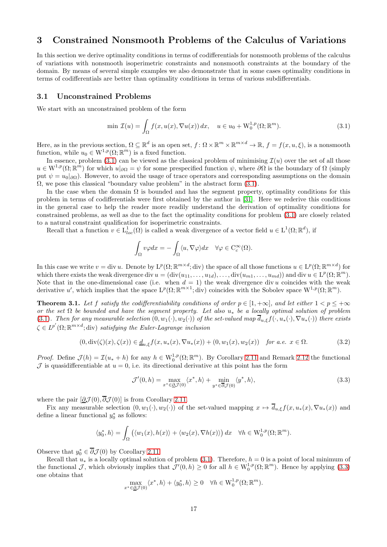# <span id="page-16-0"></span>3 Constrained Nonsmooth Problems of the Calculus of Variations

In this section we derive optimality conditions in terms of codifferentials for nonsmooth problems of the calculus of variations with nonsmooth isoperimetric constraints and nonsmooth constraints at the boundary of the domain. By means of several simple examples we also demonstrate that in some cases optimality conditions in terms of codifferentials are better than optimality conditions in terms of various subdifferentials.

### 3.1 Unconstrained Problems

We start with an unconstrained problem of the form

<span id="page-16-1"></span>
$$
\min \mathcal{I}(u) = \int_{\Omega} f(x, u(x), \nabla u(x)) dx, \quad u \in u_0 + \mathcal{W}_0^{1, p}(\Omega; \mathbb{R}^m). \tag{3.1}
$$

Here, as in the previous section,  $\Omega \subseteq \mathbb{R}^d$  is an open set,  $f: \Omega \times \mathbb{R}^m \times \mathbb{R}^{m \times d} \to \mathbb{R}$ ,  $f = f(x, u, \xi)$ , is a nonsmooth function, while  $u_0 \in W^{1,p}(\Omega;\mathbb{R}^m)$  is a fixed function.

In essence, problem [\(3.1\)](#page-16-1) can be viewed as the classical problem of minimising  $\mathcal{I}(u)$  over the set of all those  $u \in W^{1,p}(\Omega;\mathbb{R}^m)$  for which  $u|_{\partial\Omega} = \psi$  for some prespecified function  $\psi$ , where  $\partial\Omega$  is the boundary of  $\Omega$  (simply put  $\psi = u_0|_{\partial\Omega}$ ). However, to avoid the usage of trace operators and corresponding assumptions on the domain  $\Omega$ , we pose this classical "boundary value problem" in the abstract form [\(3.1\)](#page-16-1).

In the case when the domain  $\Omega$  is bounded and has the segment property, optimality conditions for this problem in terms of codifferentials were first obtained by the author in [\[31\]](#page-27-6). Here we rederive this conditions in the general case to help the reader more readily understand the derivation of optimality conditions for constrained problems, as well as due to the fact the optimality conditions for problem [\(3.1\)](#page-16-1) are closely related to a natural constraint qualification for isoperimetric constraints.

Recall that a function  $v \in L^1_{loc}(\Omega)$  is called a weak divergence of a vector field  $u \in L^1(\Omega;\mathbb{R}^d)$ , if

$$
\int_{\Omega}v\varphi dx=-\int_{\Omega}\langle u,\nabla \varphi\rangle dx\quad\forall\varphi\in{\rm C^{\infty}_c}(\Omega).
$$

In this case we write  $v = \text{div } u$ . Denote by  $L^p(\Omega; \mathbb{R}^{m \times d}; \text{div})$  the space of all those functions  $u \in L^p(\Omega; \mathbb{R}^{m \times d})$  for which there exists the weak divergence div  $u = (\text{div}(u_{11}, \ldots, u_{1d}), \ldots, \text{div}(u_{m1}, \ldots, u_{md}))$  and div  $u \in L^p(\Omega; \mathbb{R}^m)$ . Note that in the one-dimensional case (i.e. when  $d = 1$ ) the weak divergence div u coincides with the weak derivative u', which implies that the space  $L^p(\Omega;\mathbb{R}^{m\times 1};\text{div})$  coincides with the Sobolev space  $W^{1,p}(\Omega;\mathbb{R}^m)$ .

<span id="page-16-4"></span>**Theorem 3.1.** Let f satisfy the codifferentiability conditions of order  $p \in [1, +\infty]$ , and let either  $1 < p \le +\infty$ or the set  $\Omega$  be bounded and have the segment property. Let also  $u_*$  be a locally optimal solution of problem [\(3.1\)](#page-16-1). Then for any measurable selection  $(0, w_1(\cdot), w_2(\cdot))$  of the set-valued map  $\overline{d}_{u,\xi}f(\cdot, u_*(\cdot), \nabla u_*(\cdot))$  there exists  $\zeta \in L^{p'}(\Omega;\mathbb{R}^{m \times d};\text{div})$  satisfying the Euler-Lagrange inclusion

<span id="page-16-3"></span>
$$
(0, \operatorname{div}(\zeta)(x), \zeta(x)) \in \underline{d}_{u,\xi} f(x, u_*(x), \nabla u_*(x)) + (0, w_1(x), w_2(x)) \quad \text{for a.e. } x \in \Omega. \tag{3.2}
$$

*Proof.* Define  $\mathcal{J}(h) = \mathcal{I}(u_* + h)$  for any  $h \in W_0^{1,p}(\Omega;\mathbb{R}^m)$ . By Corollary [2.11](#page-15-3) and Remark [2.12](#page-15-4) the functional  $\mathcal J$  is quasidifferentiable at  $u = 0$ , i.e. its directional derivative at this point has the form

<span id="page-16-2"></span>
$$
\mathcal{J}'(0,h) = \max_{x^* \in \underline{\partial}\mathcal{J}(0)} \langle x^*, h \rangle + \min_{y^* \in \overline{\partial}\mathcal{J}(0)} \langle y^*, h \rangle,
$$
\n(3.3)

where the pair  $[\partial \mathcal{J}(0), \overline{\partial} \mathcal{J}(0)]$  is from Corollary [2.11.](#page-15-3)

Fix any measurable selection  $(0, w_1(\cdot), w_2(\cdot))$  of the set-valued mapping  $x \mapsto \overline{d}_{u,\xi}f(x, u_*(x), \nabla u_*(x))$  and define a linear functional  $y_0^*$  as follows:

$$
\langle y_0^*,h\rangle = \int_{\Omega} \left( \langle w_1(x), h(x)\rangle + \langle w_2(x), \nabla h(x)\rangle \right) dx \quad \forall h \in W_0^{1,p}(\Omega; \mathbb{R}^m).
$$

Observe that  $y_0^* \in \overline{\partial} \mathcal{J}(0)$  by Corollary [2.11.](#page-15-3)

Recall that  $u_*$  is a locally optimal solution of problem [\(3.1\)](#page-16-1). Therefore,  $h = 0$  is a point of local minimum of the functional J, which obviously implies that  $\mathcal{J}'(0, h) \geq 0$  for all  $h \in W_0^{1,p}(\Omega; \mathbb{R}^m)$ . Hence by applying [\(3.3\)](#page-16-2) one obtains that

$$
\max_{x^* \in \underline{\partial} \mathcal{J}(0)} \langle x^*, h \rangle + \langle y_0^*, h \rangle \ge 0 \quad \forall h \in \mathrm{W}^{1,p}_0(\Omega; \mathbb{R}^m).
$$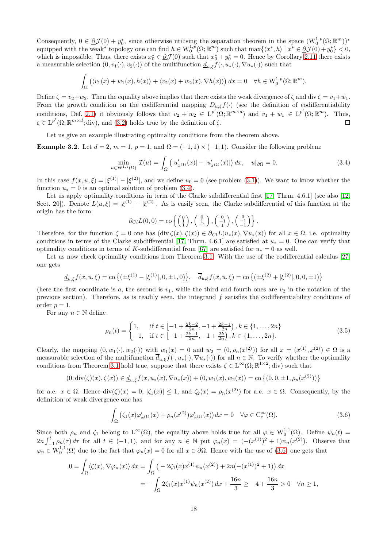Consequently,  $0 \in \underline{\partial} \mathcal{J}(0) + y_0^*$ , since otherwise utilising the separation theorem in the space  $(\mathcal{W}_0^{1,p}(\Omega;\mathbb{R}^m))^*$ equipped with the weak<sup>∗</sup> topology one can find  $h \in W_0^{1,p}(\Omega; \mathbb{R}^m)$  such that  $\max\{\langle x^*, h \rangle \mid x^* \in \partial \mathcal{J}(0) + y_0^* \} < 0$ , which is impossible. Thus, there exists  $x_0^* \in \partial \mathcal{J}(0)$  such that  $x_0^* + y_0^* = 0$ . Hence by Corollary [2.11](#page-15-3) there exists a measurable selection  $(0, v_1(\cdot), v_2(\cdot))$  of the multifunction  $\underline{d}_{u,\xi}f(\cdot, u_*(\cdot), \nabla u_*(\cdot))$  such that

$$
\int_{\Omega} \left( \langle v_1(x) + w_1(x), h(x) \rangle + \langle v_2(x) + w_2(x), \nabla h(x) \rangle \right) dx = 0 \quad \forall h \in W_0^{1,p}(\Omega; \mathbb{R}^m).
$$

Define  $\zeta = v_2 + w_2$ . Then the equality above implies that there exists the weak divergence of  $\zeta$  and div  $\zeta = v_1 + w_1$ . From the growth condition on the codifferential mapping  $D_{u,\xi}f(\cdot)$  (see the definition of codifferentiability conditions, Def. [2.1\)](#page-5-1) it obviously follows that  $v_2 + w_2 \in L^{p'}(\Omega; \mathbb{R}^{m \times d})$  and  $v_1 + w_1 \in L^{p'}(\Omega; \mathbb{R}^m)$ . Thus,  $\zeta \in L^{p'}(\Omega;\mathbb{R}^{m \times d};\text{div}),$  and  $(3.2)$  holds true by the definition of  $\zeta$ .  $\Box$ 

Let us give an example illustrating optimality conditions from the theorem above.

<span id="page-17-0"></span>Example 3.2. Let  $d = 2$ ,  $m = 1$ ,  $p = 1$ , and  $\Omega = (-1, 1) \times (-1, 1)$ . Consider the following problem:

<span id="page-17-1"></span>
$$
\min_{u \in \mathcal{W}^{1,1}(\Omega)} \mathcal{I}(u) = \int_{\Omega} \left( |u'_{x^{(1)}}(x)| - |u'_{x^{(2)}}(x)| \right) dx, \quad u|_{\partial \Omega} = 0. \tag{3.4}
$$

In this case  $f(x, u, \xi) = |\xi^{(1)}| - |\xi^{(2)}|$ , and we define  $u_0 = 0$  (see problem [\(3.1\)](#page-16-1)). We want to know whether the function  $u_* = 0$  is an optimal solution of problem [\(3.4\)](#page-17-1).

Let us apply optimality conditions in term of the Clarke subdifferential first [\[17,](#page-26-4) Thrm. 4.6.1] (see also [\[12,](#page-26-15) Sect. 20]). Denote  $L(u,\xi) = |\xi^{(1)}| - |\xi^{(2)}|$ . As is easily seen, the Clarke subdifferential of this function at the origin has the form:

$$
\partial_{Cl}L(0,0) = \text{co}\left\{ \begin{pmatrix} 0\\1\\1 \end{pmatrix}, \begin{pmatrix} 0\\1\\-1 \end{pmatrix}, \begin{pmatrix} 0\\-1\\1 \end{pmatrix}, \begin{pmatrix} 0\\-1\\-1 \end{pmatrix} \right\}.
$$

Therefore, for the function  $\zeta = 0$  one has  $(\text{div }\zeta(x), \zeta(x)) \in \partial_{\zeta}L(u_*(x), \nabla u_*(x))$  for all  $x \in \Omega$ , i.e. optimality conditions in terms of the Clarke subdifferential [\[17,](#page-26-4) Thrm. 4.6.1] are satisfied at  $u_* = 0$ . One can verify that optimality conditions in terms of K-subdifferential from [\[67\]](#page-28-12) are satisfied for  $u_* = 0$  as well.

Let us now check optimality conditions from Theorem [3.1.](#page-16-4) With the use of the codifferential calculus [\[27\]](#page-26-13) one gets

$$
\underline{d}_{u,\xi}f(x,u,\xi) = \text{co}\left\{ \left( \pm \xi^{(1)} - |\xi^{(1)}|, 0, \pm 1, 0 \right) \right\}, \quad \overline{d}_{u,\xi}f(x,u,\xi) = \text{co}\left\{ \left( \pm \xi^{(2)} + |\xi^{(2)}|, 0, 0, \pm 1 \right) \right\}
$$

(here the first coordinate is a, the second is  $v_1$ , while the third and fourth ones are  $v_2$  in the notation of the previous section). Therefore, as is readily seen, the integrand  $f$  satisfies the codifferentiability conditions of order  $p=1$ .

For any  $n \in \mathbb{N}$  define

<span id="page-17-3"></span>
$$
\rho_n(t) = \begin{cases} 1, & \text{if } t \in \left[ -1 + \frac{2k-2}{2n}, -1 + \frac{2k-1}{2n} \right), k \in \{ 1, \dots, 2n \} \\ -1, & \text{if } t \in \left[ -1 + \frac{2k-1}{2n}, -1 + \frac{2k}{2n} \right), k \in \{ 1, \dots, 2n \}. \end{cases} \tag{3.5}
$$

Clearly, the mapping  $(0, w_1(\cdot), w_2(\cdot))$  with  $w_1(x) = 0$  and  $w_2 = (0, \rho_n(x^{(2)}))$  for all  $x = (x^{(1)}, x^{(2)}) \in \Omega$  is a measurable selection of the multifunction  $\overline{d}_{u,\xi}f(\cdot,u_*(\cdot),\nabla u_*(\cdot))$  for all  $n \in \mathbb{N}$ . To verify whether the optimality conditions from Theorem [3.1](#page-16-4) hold true, suppose that there exists  $\zeta \in L^{\infty}(\Omega;\mathbb{R}^{1\times2};\text{div})$  such that

$$
(0, \operatorname{div}(\zeta)(x), \zeta(x)) \in \underline{d}_{u,\xi} f(x, u_*(x), \nabla u_*(x)) + (0, w_1(x), w_2(x)) = \operatorname{co} \{(0, 0, \pm 1, \rho_n(x^{(2)}))\}
$$

for a.e.  $x \in \Omega$ . Hence  $\text{div}(\zeta)(x) = 0$ ,  $|\zeta_1(x)| \le 1$ , and  $\zeta_2(x) = \rho_n(x^{(2)})$  for a.e.  $x \in \Omega$ . Consequently, by the definition of weak divergence one has

<span id="page-17-2"></span>
$$
\int_{\Omega} \left( \zeta_1(x) \varphi'_{x^{(1)}}(x) + \rho_n(x^{(2)}) \varphi'_{x^{(2)}}(x) \right) dx = 0 \quad \forall \varphi \in C_c^{\infty}(\Omega). \tag{3.6}
$$

Since both  $\rho_n$  and  $\zeta_1$  belong to  $L^{\infty}(\Omega)$ , the equality above holds true for all  $\varphi \in W_0^{1,1}(\Omega)$ . Define  $\psi_n(t) =$  $2n\int_{-1}^{t} \rho_n(\tau) d\tau$  for all  $t \in (-1,1)$ , and for any  $n \in \mathbb{N}$  put  $\varphi_n(x) = \left(-\frac{x^{(1)}}{2} + 1\right)\psi_n(x^{(2)})$ . Observe that  $\varphi_n \in W_0^{1,1}(\Omega)$  due to the fact that  $\varphi_n(x) = 0$  for all  $x \in \partial\Omega$ . Hence with the use of [\(3.6\)](#page-17-2) one gets that

$$
0 = \int_{\Omega} \langle \zeta(x), \nabla \varphi_n(x) \rangle dx = \int_{\Omega} \left( -2\zeta_1(x)x^{(1)}\psi_n(x^{(2)}) + 2n(-(x^{(1)})^2 + 1) \right) dx
$$
  
= 
$$
- \int_{\Omega} 2\zeta_1(x)x^{(1)}\psi_n(x^{(2)}) dx + \frac{16n}{3} \ge -4 + \frac{16n}{3} > 0 \quad \forall n \ge 1,
$$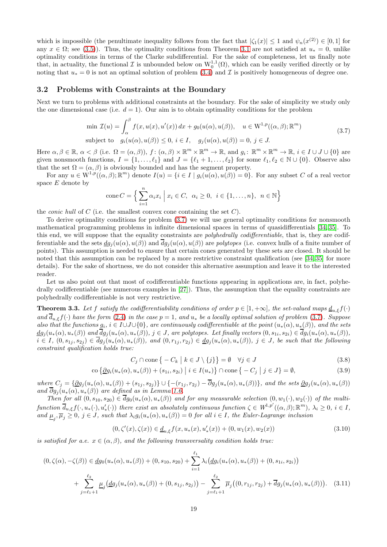which is impossible (the penultimate inequality follows from the fact that  $|\zeta_1(x)| \leq 1$  and  $\psi_n(x^{(2)}) \in [0,1]$  for any  $x \in \Omega$ ; see [\(3.5\)](#page-17-3)). Thus, the optimality conditions from Theorem [3.1](#page-16-4) are not satisfied at  $u_* = 0$ , unlike optimality conditions in terms of the Clarke subdifferential. For the sake of completeness, let us finally note that, in actuality, the functional  $\mathcal I$  is unbounded below on  $\mathrm{W}^{1,1}_0(\Omega)$ , which can be easily verified directly or by noting that  $u_* = 0$  is not an optimal solution of problem [\(3.4\)](#page-17-1) and  $\mathcal I$  is positively homogeneous of degree one.

### 3.2 Problems with Constraints at the Boundary

Next we turn to problems with additional constraints at the boundary. For the sake of simplicity we study only the one dimensional case (i.e.  $d = 1$ ). Our aim is to obtain optimality conditions for the problem

$$
\min \mathcal{I}(u) = \int_{\alpha}^{\beta} f(x, u(x), u'(x)) dx + g_0(u(\alpha), u(\beta)), \quad u \in W^{1, p}((\alpha, \beta); \mathbb{R}^m)
$$
  
subject to  $g_i(u(\alpha), u(\beta)) \le 0, i \in I, \quad g_j(u(\alpha), u(\beta)) = 0, j \in J.$  (3.7)

<span id="page-18-0"></span>Here  $\alpha, \beta \in \mathbb{R}$ ,  $\alpha < \beta$  (i.e.  $\Omega = (\alpha, \beta)$ ),  $f : (\alpha, \beta) \times \mathbb{R}^m \times \mathbb{R}^m \to \mathbb{R}$ , and  $g_i : \mathbb{R}^m \times \mathbb{R}^m \to \mathbb{R}$ ,  $i \in I \cup J \cup \{0\}$  are given nonsmooth functions,  $I = \{1, ..., \ell_1\}$  and  $J = \{\ell_1 + 1, ..., \ell_2\}$  for some  $\ell_1, \ell_2 \in \mathbb{N} \cup \{0\}$ . Observe also that the set  $\Omega = (\alpha, \beta)$  is obviously bounded and has the segment property.

For any  $u \in W^{1,p}((\alpha,\beta);\mathbb{R}^m)$  denote  $I(u) = \{i \in I \mid g_i(u(\alpha),u(\beta)) = 0\}$ . For any subset C of a real vector space E denote by

cone 
$$
C = \left\{ \sum_{i=1}^{n} \alpha_i x_i \mid x_i \in C, \ \alpha_i \ge 0, \ i \in \{1, ..., n\}, \ n \in \mathbb{N} \right\}
$$

the *conic hull* of C (i.e. the smallest convex cone containing the set  $C$ ).

co

To derive optimality conditions for problem [\(3.7\)](#page-18-0) we will use general optimality conditions for nonsmooth mathematical programming problems in infinite dimensional spaces in terms of quasidifferentials [\[34,](#page-27-12) [35\]](#page-27-13). To this end, we will suppose that the equality constraints are *polyhedrally codifferentiable*, that is, they are codifferentiable and the sets  $dg_i(u(\alpha), u(\beta))$  and  $\overline{dg_i}(u(\alpha), u(\beta))$  are polytopes (i.e. convex hulls of a finite number of points). This assumption is needed to ensure that certain cones generated by these sets are closed. It should be noted that this assumption can be replaced by a more restrictive constraint qualification (see [\[34,](#page-27-12) [35\]](#page-27-13) for more details). For the sake of shortness, we do not consider this alternative assumption and leave it to the interested reader.

Let us also point out that most of codifferentiable functions appearing in applications are, in fact, polyhedrally codifferentiable (see numerous examples in [\[27\]](#page-26-13)). Thus, the assumption that the equality constraints are polyhedrally codifferentiable is not very restrictive.

<span id="page-18-5"></span>**Theorem 3.3.** Let f satisfy the codifferentiability conditions of order  $p \in [1, +\infty]$ , the set-valued maps  $\underline{d}_{u,\xi}f(\cdot)$ and  $\overline{d}_{u,\xi}f(\cdot)$  have the form [\(2.4\)](#page-6-0) in the case  $p=1$ , and  $u_*$  be a locally optimal solution of problem [\(3.7\)](#page-18-0). Suppose also that the functions  $g_i$ ,  $i \in I \cup J \cup \{0\}$ , are continuously codifferentiable at the point  $(u_*(\alpha), u_*(\beta))$ , and the sets  $dg_j(u_*(\alpha), u_*(\beta))$  and  $dg_j(u_*(\alpha), u_*(\beta)), j \in J$ , are polytopes. Let finally vectors  $(0, s_{1i}, s_{2i}) \in dg_i(u_*(\alpha), u_*(\beta)),$  $i \in I$ ,  $(0, s_{1i}, s_{2i}) \in \overline{dg_i}(u_*(\alpha), u_*(\beta)),$  and  $(0, r_{1i}, r_{2i}) \in \underline{dg_i}(u_*(\alpha), u_*(\beta)),$   $j \in J$ , be such that the following constraint qualification holds true:

<span id="page-18-2"></span><span id="page-18-1"></span>
$$
C_j \cap \text{cone} \{ -C_k \mid k \in J \setminus \{j\} \} = \emptyset \quad \forall j \in J
$$
\n
$$
(3.8)
$$

$$
o\{\underline{\partial}g_i(u_*(\alpha), u_*(\beta)) + (s_{1i}, s_{2i}) \mid i \in I(u_*)\} \cap \text{cone}\{-C_j \mid j \in J\} = \emptyset,
$$
\n(3.9)

where  $C_j = \{ \underline{\partial} g_j(u_*(\alpha), u_*(\beta)) + (s_{1j}, s_{2j}) \} \cup \{ -(r_{1j}, r_{2j}) - \overline{\partial} g_j(u_*(\alpha), u_*(\beta)) \}$ , and the sets  $\underline{\partial} g_j(u_*(\alpha), u_*(\beta))$ and  $\overline{\partial}g_i(u_*(\alpha), u_*(\beta))$  are defined as in Lemma [1.6.](#page-3-2)

Then for all  $(0, s_{10}, s_{20}) \in \overline{dg_0}(u_*(\alpha), u_*(\beta))$  and for any measurable selection  $(0, w_1(\cdot), w_2(\cdot))$  of the multi $function \overline{d}_{u,\xi}f(\cdot,u_*(\cdot),u'_*(\cdot))$  there exist an absolutely continuous function  $\zeta \in W^{1,p'}((\alpha,\beta);\mathbb{R}^m)$ ,  $\lambda_i \geq 0$ ,  $i \in I$ , and  $\underline{\mu}_j, \overline{\mu}_j \geq 0$ ,  $j \in J$ , such that  $\lambda_i g_i(u_*(\alpha), u_*(\beta)) = 0$  for all  $i \in I$ , the Euler-Lagrange inclusion

<span id="page-18-4"></span><span id="page-18-3"></span>
$$
(0, \zeta'(x), \zeta(x)) \in \underline{d}_{u,\xi} f(x, u_*(x), u'_*(x)) + (0, w_1(x), w_2(x))
$$
\n(3.10)

is satisfied for a.e.  $x \in (\alpha, \beta)$ , and the following transversality condition holds true:

$$
(0, \zeta(\alpha), -\zeta(\beta)) \in \underline{dg}_0(u_*(\alpha), u_*(\beta)) + (0, s_{10}, s_{20}) + \sum_{i=1}^{\ell_1} \lambda_i (\underline{dg}_i(u_*(\alpha), u_*(\beta)) + (0, s_{1i}, s_{2i}))
$$
  
+ 
$$
\sum_{j=\ell_1+1}^{\ell_2} \underline{\mu}_j (\underline{dg}_j(u_*(\alpha), u_*(\beta)) + (0, s_{1j}, s_{2j})) - \sum_{j=\ell_1+1}^{\ell_2} \overline{\mu}_j((0, r_{1j}, r_{2j}) + \overline{d}g_j(u_*(\alpha), u_*(\beta))).
$$
 (3.11)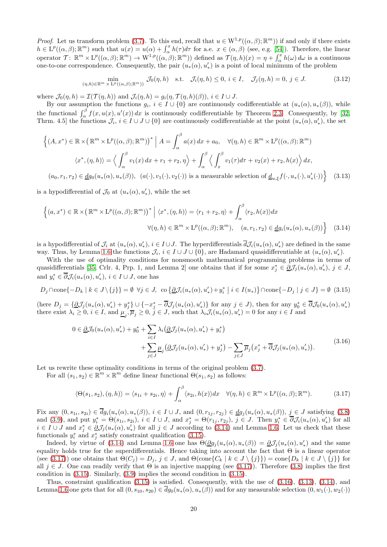*Proof.* Let us transform problem [\(3.7\)](#page-18-0). To this end, recall that  $u \in W^{1,p}((\alpha,\beta);\mathbb{R}^m)$  if and only if there exists  $h \in L^p((\alpha,\beta); \mathbb{R}^m)$  such that  $u(x) = u(\alpha) + \int_{\alpha}^x h(\tau) d\tau$  for a.e.  $x \in (\alpha,\beta)$  (see, e.g. [\[54\]](#page-28-16)). Therefore, the linear operator  $\mathcal{T} \colon \mathbb{R}^m \times L^p((\alpha, \beta); \mathbb{R}^m) \to W^{1,p}((\alpha, \beta); \mathbb{R}^m)$  defined as  $\mathcal{T}(\eta, h)(x) = \eta + \int_{\alpha}^x h(\omega) d\omega$  is a continuous one-to-one correspondence. Consequently, the pair  $(u_*(\alpha), u'_*)$  is a point of local minimum of the problem

<span id="page-19-4"></span>
$$
\min_{(\eta,h)\in\mathbb{R}^m \times L^p((\alpha,\beta);\mathbb{R}^m))} \mathcal{J}_0(\eta,h) \quad \text{s.t.} \quad \mathcal{J}_i(\eta,h) \le 0, \ i \in I, \quad \mathcal{J}_j(\eta,h) = 0, \ j \in J. \tag{3.12}
$$

where  $\mathcal{J}_0(\eta, h) = \mathcal{I}(\mathcal{T}(\eta, h))$  and  $\mathcal{J}_i(\eta, h) = g_i(\eta, \mathcal{T}(\eta, h)(\beta)), i \in I \cup J$ .

By our assumption the functions  $g_i, i \in I \cup \{0\}$  are continuously codifferentiable at  $(u_*(\alpha), u_*(\beta))$ , while the functional  $\int_{\alpha}^{\beta} f(x, u(x), u'(x)) dx$  is continuously codifferentiable by Theorem [2.3.](#page-6-1) Consequently, by [\[32,](#page-27-8) Thrm. 4.5 the functions  $\mathcal{J}_i, i \in I \cup J \cup \{0\}$  are continuously codifferentiable at the point  $(u_*(\alpha), u'_*)$ , the set

$$
\left\{ (A, x^*) \in \mathbb{R} \times \left( \mathbb{R}^m \times L^p((\alpha, \beta); \mathbb{R}^m) \right)^* \middle| A = \int_{\alpha}^{\beta} a(x) dx + a_0, \quad \forall (\eta, h) \in \mathbb{R}^m \times L^p((\alpha, \beta); \mathbb{R}^m)
$$

$$
\langle x^*, (\eta, h) \rangle = \left\langle \int_{\alpha}^{\beta} v_1(x) dx + r_1 + r_2, \eta \right\rangle + \int_{\alpha}^{\beta} \left\langle \int_{x}^{\beta} v_1(\tau) d\tau + v_2(x) + r_2, h(x) \right\rangle dx,
$$

 $(a_0, r_1, r_2) \in \underline{dg}_0(u_*(\alpha), u_*(\beta)), \ (a(\cdot), v_1(\cdot), v_2(\cdot))$  is a measurable selection of  $\underline{d}_{u,\xi}f(\cdot, u_*(\cdot), u'_*(\cdot))$  (3.13)

is a hypodifferential of  $\mathcal{J}_0$  at  $(u_*(\alpha), u_*')$ , while the set

$$
\left\{(a, x^*) \in \mathbb{R} \times (\mathbb{R}^m \times L^p((\alpha, \beta); \mathbb{R}^m))^* \middle| \langle x^*, (\eta, h) \rangle = \langle r_1 + r_2, \eta \rangle + \int_{\alpha}^{\beta} \langle r_2, h(x) \rangle dx \right\}
$$

$$
\forall (\eta, h) \in \mathbb{R}^m \times L^p((\alpha, \beta); \mathbb{R}^m), \quad (a, r_1, r_2) \in dg_i(u_*(\alpha), u_*(\beta)) \right\} \quad (3.14)
$$

is a hypodifferential of  $\mathcal{J}_i$  at  $(u_*(\alpha), u'_*)$ ,  $i \in I \cup J$ . The hyperdifferentials  $\overline{d}\mathcal{J}_i(u_*(\alpha), u'_*)$  are defined in the same way. Thus, by Lemma [1.6](#page-3-2) the functions  $\mathcal{J}_i, i \in I \cup J \cup \{0\}$ , are Hadamard quasidifferentiable at  $(u_*(\alpha), u'_*)$ .

With the use of optimality conditions for nonsmooth mathematical programming problems in terms of quasidifferentials [\[35,](#page-27-13) Crlr. 4, Prp. 1, and Lemma 2] one obtains that if for some  $x_j^* \in \underline{\partial} \mathcal{J}_j(u_*(\alpha), u_*'), j \in J$ , and  $y_i^* \in \overline{\partial} \mathcal{J}_i(u_*(\alpha), u_*'), i \in I \cup J$ , one has

<span id="page-19-1"></span>
$$
D_j \cap \text{cone}\{-D_k \mid k \in J \setminus \{j\}\} = \emptyset \ \forall j \in J, \ \text{co}\left\{\underline{\partial} \mathcal{J}_i(u_*(\alpha), u_*') + y_i^* \mid i \in I(u_*)\right\} \cap \text{cone}\{-D_j \mid j \in J\} = \emptyset \tag{3.15}
$$

 $\text{(here } D_j = \{ \underline{\partial} \mathcal{J}_j(u_*(\alpha), u'_*) + y_j^* \} \cup \{ -x_j^* - \overline{\partial} \mathcal{J}_j(u_*(\alpha), u'_*) \} \text{ for any } j \in J\text{), then for any } y_0^* \in \overline{\partial} \mathcal{J}_0(u_*(\alpha), u'_*)$ there exist  $\lambda_i \geq 0$ ,  $i \in I$ , and  $\underline{\mu}_j$ ,  $\overline{\mu}_j \geq 0$ ,  $j \in J$ , such that  $\lambda_i \mathcal{J}_i(u_*(\alpha), u'_*) = 0$  for any  $i \in I$  and

<span id="page-19-0"></span>
$$
0 \in \underline{\partial}\mathcal{J}_0(u_*(\alpha), u'_*) + y_0^* + \sum_{i \in I} \lambda_i (\underline{\partial}\mathcal{J}_j(u_*(\alpha), u'_*) + y_i^*)
$$
  
+ 
$$
\sum_{j \in J} \underline{\mu}_j (\underline{\partial}\mathcal{J}_j(u_*(\alpha), u'_*) + y_j^*) - \sum_{j \in J} \overline{\mu}_j (x_j^* + \overline{\partial}\mathcal{J}_j(u_*(\alpha), u'_*)).
$$
 (3.16)

<span id="page-19-3"></span>Let us rewrite these optimality conditions in terms of the original problem  $(3.7)$ .

For all  $(s_1, s_2) \in \mathbb{R}^m \times \mathbb{R}^m$  define linear functional  $\Theta(s_1, s_2)$  as follows:

<span id="page-19-2"></span>
$$
\langle \Theta(s_1, s_2), (\eta, h) \rangle = \langle s_{1i} + s_{2i}, \eta \rangle + \int_{\alpha}^{\beta} \langle s_{2i}, h(x) \rangle dx \quad \forall (\eta, h) \in \mathbb{R}^m \times \mathcal{L}^p((\alpha, \beta); \mathbb{R}^m). \tag{3.17}
$$

Fix any  $(0, s_{1i}, s_{2i}) \in dg_i(u_*(\alpha), u_*(\beta)), i \in I \cup J$ , and  $(0, r_{1j}, r_{2j}) \in dg_j(u_*(\alpha), u_*(\beta)), j \in J$  satisfying  $(3.8)$ and [\(3.9\)](#page-18-2), and put  $y_i^* = \Theta(s_{1i}, s_{2i})$ ,  $i \in I \cup J$ , and  $x_j^* = \Theta(r_{1j}, r_{2j})$ ,  $j \in J$ . Then  $y_i^* \in \overline{\partial} \mathcal{J}_i(u_*(\alpha), u_*')$  for all  $i \in I \cup J$  and  $x_j^* \in \partial J_j(u_*(\alpha), u_*')$  for all  $j \in J$  according to [\(3.14\)](#page-19-0) and Lemma [1.6.](#page-3-2) Let us check that these functionals  $y_i^*$  and  $x_j^*$  satisfy constraint qualification [\(3.15\)](#page-19-1).

Indeed, by virtue of [\(3.14\)](#page-19-0) and Lemma [1.6](#page-3-2) one has  $\Theta(\underline{\partial}g_j(u_*(\alpha), u_*(\beta)) = \underline{\partial}J_j(u_*(\alpha), u'_*)$  and the same equality holds true for the superdifferentials. Hence taking into account the fact that Θ is a linear operator (see [\(3.17\)](#page-19-2)) one obtains that  $\Theta(C_i) = D_i$ ,  $j \in J$ , and  $\Theta(\text{cone}\{C_k \mid k \in J \setminus \{j\}\}) = \text{cone}\{D_k \mid k \in J \setminus \{j\}\}\)$ all  $j \in J$ . One can readily verify that  $\Theta$  is an injective mapping (see [\(3.17\)](#page-19-2)). Therefore [\(3.8\)](#page-18-1) implies the first condition in [\(3.15\)](#page-19-1). Similarly, [\(3.9\)](#page-18-2) implies the second condition in [\(3.15\)](#page-19-1).

Thus, constraint qualification [\(3.15\)](#page-19-1) is satisfied. Consequently, with the use of [\(3.16\)](#page-19-3), [\(3.13\)](#page-19-4), [\(3.14\)](#page-19-0), and Lemma [1.6](#page-3-2) one gets that for all  $(0, s_{10}, s_{20}) \in dg_0(u_*(\alpha), u_*(\beta))$  and for any measurable selection  $(0, w_1(\cdot), w_2(\cdot))$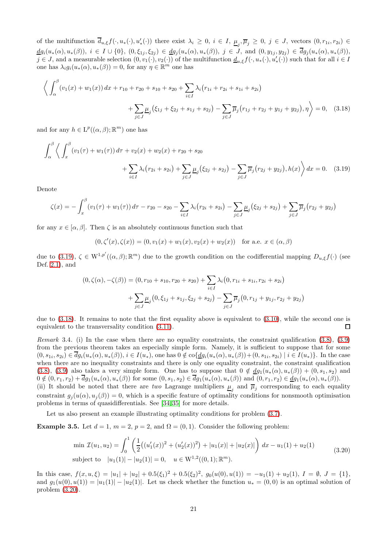of the multifunction  $\overline{d}_{u,\xi}f(\cdot,u_*(\cdot),u'_*(\cdot))$  there exist  $\lambda_i \geq 0, i \in I$ ,  $\underline{\mu}_j, \overline{\mu}_j \geq 0, j \in J$ , vectors  $(0,r_{1i},r_{2i}) \in$  $\underline{d}g_i(u_*(\alpha), u_*(\beta)), i \in I \cup \{0\}, (0, \xi_{1j}, \xi_{2j}) \in \underline{dg}_j(u_*(\alpha), u_*(\beta)), j \in J$ , and  $(0, y_{1j}, y_{2j}) \in dg_j(u_*(\alpha), u_*(\beta)),$  $j \in J$ , and a measurable selection  $(0, v_1(\cdot), v_2(\cdot))$  of the multifunction  $\underline{d}_{u,\xi} f(\cdot, u_*(\cdot), u'_*(\cdot))$  such that for all  $i \in I$ one has  $\lambda_i g_i(u_*(\alpha), u_*(\beta)) = 0$ , for any  $\eta \in \mathbb{R}^m$  one has

$$
\left\langle \int_{\alpha}^{\beta} (v_1(x) + w_1(x)) dx + r_{10} + r_{20} + s_{10} + s_{20} + \sum_{i \in I} \lambda_i (r_{1i} + r_{2i} + s_{1i} + s_{2i}) + \sum_{j \in J} \mu_j (\xi_{1j} + \xi_{2j} + s_{1j} + s_{2j}) - \sum_{j \in J} \overline{\mu}_j (r_{1j} + r_{2j} + y_{1j} + y_{2j}), \eta \right\rangle = 0, \quad (3.18)
$$

and for any  $h \in \mathrm{L}^p((\alpha, \beta); \mathbb{R}^m)$  one has

$$
\int_{\alpha}^{\beta} \left\langle \int_{x}^{\beta} (v_1(\tau) + w_1(\tau)) d\tau + v_2(x) + w_2(x) + r_{20} + s_{20} + \sum_{i \in I} \lambda_i (r_{2i} + s_{2i}) + \sum_{j \in J} \mu_j (\xi_{2j} + s_{2j}) - \sum_{j \in J} \overline{\mu}_j (r_{2j} + y_{2j}), h(x) \right\rangle dx = 0.
$$
 (3.19)

Denote

$$
\zeta(x) = -\int_x^{\beta} (v_1(\tau) + w_1(\tau)) d\tau - r_{20} - s_{20} - \sum_{i \in I} \lambda_i (r_{2i} + s_{2i}) - \sum_{j \in J} \underline{\mu}_j (\xi_{2j} + s_{2j}) + \sum_{j \in J} \overline{\mu}_j (r_{2j} + y_{2j})
$$

for any  $x \in [\alpha, \beta]$ . Then  $\zeta$  is an absolutely continuous function such that

<span id="page-20-2"></span><span id="page-20-1"></span>
$$
(0, \zeta'(x), \zeta(x)) = (0, v_1(x) + w_1(x), v_2(x) + w_2(x))
$$
 for a.e.  $x \in (\alpha, \beta)$ 

due to [\(3.19\)](#page-20-1),  $\zeta \in W^{1,p'}((\alpha,\beta);\mathbb{R}^m)$  due to the growth condition on the codifferential mapping  $D_{u,\xi}f(\cdot)$  (see Def. [2.1\)](#page-5-1), and

$$
(0, \zeta(\alpha), -\zeta(\beta)) = (0, r_{10} + s_{10}, r_{20} + s_{20}) + \sum_{i \in I} \lambda_i (0, r_{1i} + s_{1i}, r_{2i} + s_{2i}) + \sum_{j \in J} \underline{\mu}_j (0, \xi_{1j} + s_{1j}, \xi_{2j} + s_{2j}) - \sum_{j \in J} \overline{\mu}_j (0, r_{1j} + y_{1j}, r_{2j} + y_{2j})
$$

due to [\(3.18\)](#page-20-2). It remains to note that the first equality above is equivalent to [\(3.10\)](#page-18-3), while the second one is equivalent to the transversality condition [\(3.11\)](#page-18-4).  $\Box$ 

<span id="page-20-4"></span>Remark 3.4. (i) In the case when there are no equality constraints, the constraint qualification [\(3.8\)](#page-18-1), [\(3.9\)](#page-18-2) from the previous theorem takes an especially simple form. Namely, it is sufficient to suppose that for some  $(0, s_{1i}, s_{2i}) \in dg_i(u_*(\alpha), u_*(\beta)), i \in I(u_*),$  one has  $0 \notin \text{co}\{\underline{dg_i}(u_*(\alpha), u_*(\beta)) + (0, s_{1i}, s_{2i}) \mid i \in I(u_*)\}.$  In the case when there are no inequality constraints and there is only one equality constraint, the constraint qualification [\(3.8\)](#page-18-1), [\(3.9\)](#page-18-2) also takes a very simple form. One has to suppose that  $0 \notin \underline{dg_1}(u_*(\alpha), u_*(\beta)) + (0, s_1, s_2)$  and  $0 \notin (0, r_1, r_2) + dg_1(u_*(\alpha), u_*(\beta))$  for some  $(0, s_1, s_2) \in dg_1(u_*(\alpha), u_*(\beta))$  and  $(0, r_1, r_2) \in \underline{dg_1}(u_*(\alpha), u_*(\beta)).$ 

(ii) It should be noted that there are two Lagrange multipliers  $\underline{\mu}_j$  and  $\overline{\mu}_j$  corresponding to each equality constraint  $q_i(u(\alpha), u_i(\beta)) = 0$ , which is a specific feature of optimality conditions for nonsmooth optimisation problems in terms of quasidifferentials. See [\[34,](#page-27-12) [35\]](#page-27-13) for more details.

Let us also present an example illustrating optimality conditions for problem [\(3.7\)](#page-18-0).

<span id="page-20-0"></span>**Example 3.5.** Let  $d = 1$ ,  $m = 2$ ,  $p = 2$ , and  $\Omega = (0, 1)$ . Consider the following problem:

$$
\min \mathcal{I}(u_1, u_2) = \int_0^1 \left( \frac{1}{2} \left( (u_1'(x))^2 + (u_2'(x))^2 \right) + |u_1(x)| + |u_2(x)| \right) dx - u_1(1) + u_2(1)
$$
\nsubject to

\n
$$
|u_1(1)| - |u_2(1)| = 0, \quad u \in \mathbb{W}^{1,2}((0,1); \mathbb{R}^m).
$$
\n(3.20)

<span id="page-20-3"></span>In this case,  $f(x, u, \xi) = |u_1| + |u_2| + 0.5(\xi_1)^2 + 0.5(\xi_2)^2$ ,  $g_0(u(0), u(1)) = -u_1(1) + u_2(1)$ ,  $I = \emptyset$ ,  $J = \{1\}$ , and  $g_1(u(0), u(1)) = |u_1(1)| - |u_2(1)|$ . Let us check whether the function  $u_* = (0, 0)$  is an optimal solution of problem [\(3.20\)](#page-20-3).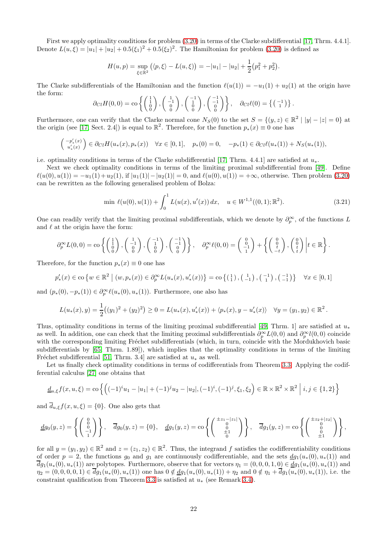First we apply optimality conditions for problem [\(3.20\)](#page-20-3) in terms of the Clarke subdifferential [\[17,](#page-26-4) Thrm. 4.4.1]. Denote  $L(u,\xi) = |u_1| + |u_2| + 0.5(\xi_1)^2 + 0.5(\xi_2)^2$ . The Hamiltonian for problem [\(3.20\)](#page-20-3) is defined as

$$
H(u,p) = \sup_{\xi \in \mathbb{R}^2} (\langle p, \xi \rangle - L(u, \xi)) = -|u_1| - |u_2| + \frac{1}{2}(p_1^2 + p_2^2).
$$

The Clarke subdifferentials of the Hamiltonian and the function  $\ell(u(1)) = -u_1(1) + u_2(1)$  at the origin have the form:

$$
\partial_{Cl} H(0,0) = \text{co}\left\{ \begin{pmatrix} 1 \\ 1 \\ 0 \\ 0 \end{pmatrix}, \begin{pmatrix} 1 \\ -1 \\ 0 \\ 0 \end{pmatrix}, \begin{pmatrix} -1 \\ 1 \\ 0 \\ 0 \end{pmatrix}, \begin{pmatrix} -1 \\ -1 \\ 0 \\ 0 \end{pmatrix} \right\}, \quad \partial_{Cl} \ell(0) = \left\{ \begin{pmatrix} -1 \\ 1 \end{pmatrix} \right\}.
$$

Furthermore, one can verify that the Clarke normal cone  $N_S(0)$  to the set  $S = \{(y, z) \in \mathbb{R}^2 \mid |y| - |z| = 0\}$  at the origin (see [\[17,](#page-26-4) Sect. 2.4]) is equal to  $\mathbb{R}^2$ . Therefore, for the function  $p_*(x) \equiv 0$  one has

$$
\begin{pmatrix} -p'_{*}(x) \\ u'_{*}(x) \end{pmatrix} \in \partial_{Cl} H(u_{*}(x), p_{*}(x)) \quad \forall x \in [0, 1], \quad p_{*}(0) = 0, \quad -p_{*}(1) \in \partial_{Cl} \ell(u_{*}(1)) + N_{S}(u_{*}(1)),
$$

i.e. optimality conditions in terms of the Clarke subdifferential [\[17,](#page-26-4) Thrm. 4.4.1] are satisfied at  $u_*$ .

Next we check optimality conditions in terms of the limiting proximal subdifferential from [\[49\]](#page-27-4). Define  $\ell(u(0), u(1)) = -u_1(1) + u_2(1)$ , if  $|u_1(1)| - |u_2(1)| = 0$ , and  $\ell(u(0), u(1)) = +\infty$ , otherwise. Then problem [\(3.20\)](#page-20-3) can be rewritten as the following generalised problem of Bolza:

$$
\min \ell(u(0), u(1)) + \int_0^1 L(u(x), u'(x)) dx, \quad u \in W^{1,1}((0,1); \mathbb{R}^2). \tag{3.21}
$$

One can readily verify that the limiting proximal subdifferentials, which we denote by  $\partial_p^{\infty}$ , of the functions L and  $\ell$  at the origin have the form:

$$
\partial_p^{\infty} L(0,0) = \text{co}\left\{ \begin{pmatrix} 1 \\ 1 \\ 0 \end{pmatrix}, \begin{pmatrix} 1 \\ -1 \\ 0 \end{pmatrix}, \begin{pmatrix} -1 \\ 1 \\ 0 \end{pmatrix}, \begin{pmatrix} -1 \\ 0 \\ 0 \end{pmatrix} \right\}, \quad \partial_p^{\infty} \ell(0,0) = \begin{pmatrix} 0 \\ 0 \\ -1 \end{pmatrix} + \left\{ \begin{pmatrix} 0 \\ 0 \\ t \end{pmatrix}, \begin{pmatrix} 0 \\ 0 \\ t \end{pmatrix} \right| t \in \mathbb{R} \right\}.
$$

Therefore, for the function  $p_*(x) \equiv 0$  one has

$$
p'_{*}(x) \in \text{co} \{ w \in \mathbb{R}^{2} \mid (w, p_{*}(x)) \in \partial_{p}^{\infty} L(u_{*}(x), u'_{*}(x)) \} = \text{co} \{ (\begin{smallmatrix} 1 \\ 1 \end{smallmatrix}, (\begin{smallmatrix} 1 \\ -1 \end{smallmatrix}, (\begin{smallmatrix} -1 \\ 1 \end{smallmatrix}), (\begin{smallmatrix} -1 \\ -1 \end{smallmatrix}) \} \quad \forall x \in [0, 1]
$$

and  $(p_*(0), -p_*(1)) \in \partial_p^{\infty} \ell(u_*(0), u_*(1)).$  Furthermore, one also has

$$
L(u_*(x), y) = \frac{1}{2}((y_1)^2 + (y_2)^2) \ge 0 = L(u_*(x), u'_*(x)) + \langle p_*(x), y - u'_*(x) \rangle \quad \forall y = (y_1, y_2) \in \mathbb{R}^2.
$$

Thus, optimality conditions in terms of the limiting proximal subdifferential [\[49,](#page-27-4) Thrm. 1] are satisfied at  $u_*$ as well. In addition, one can check that the limiting proximal subdifferentials  $\partial_p^{\infty} L(0,0)$  and  $\partial_p^{\infty} l(0,0)$  coincide with the corresponding limiting Fréchet subdifferentials (which, in turn, coincide with the Mordukhovich basic subdifferentials by [\[65,](#page-28-7) Thrm. 1.89]), which implies that the optimality conditions in terms of the limiting Fréchet subdifferential [\[51,](#page-27-5) Thrm. 3.4] are satisfied at  $u_*$  as well.

Let us finally check optimality conditions in terms of codifferentials from Theorem [3.3.](#page-18-5) Applying the codifferential calculus [\[27\]](#page-26-13) one obtains that

$$
\underline{d}_{u,\xi} f(x, u, \xi) = \text{co}\left\{ \left( (-1)^i u_1 - |u_1| + (-1)^j u_2 - |u_2|, (-1)^i, (-1)^j, \xi_1, \xi_2 \right) \in \mathbb{R} \times \mathbb{R}^2 \times \mathbb{R}^2 \; \middle| \; i, j \in \{1, 2\} \right\}
$$

and  $\overline{d}_{u,\xi}f(x, u, \xi) = \{0\}$ . One also gets that

$$
\underline{d}g_0(y,z) = \left\{ \begin{pmatrix} 0 \\ 0 \\ -1 \\ 1 \end{pmatrix} \right\}, \quad \overline{d}g_0(y,z) = \{0\}, \quad \underline{d}g_1(y,z) = \cos\left\{ \begin{pmatrix} \pm z_1 - |z_1| \\ 0 \\ \pm 1 \\ 0 \end{pmatrix} \right\}, \quad \overline{d}g_1(y,z) = \cos\left\{ \begin{pmatrix} \pm z_2 + |z_2| \\ 0 \\ 0 \\ \pm 1 \end{pmatrix} \right\},
$$

for all  $y = (y_1, y_2) \in \mathbb{R}^2$  and  $z = (z_1, z_2) \in \mathbb{R}^2$ . Thus, the integrand f satisfies the codifferentiability conditions of order  $p = 2$ , the functions  $g_0$  and  $g_1$  are continuously codifferentiable, and the sets  $dg_1(u_*(0), u_*(1))$  and  $\overline{d}g_1(u_*(0), u_*(1))$  are polytopes. Furthermore, observe that for vectors  $\eta_1 = (0, 0, 0, 1, 0) \in \underline{d}g_1(u_*(0), u_*(1))$  and  $\eta_2 = (0, 0, 0, 0, 1) \in \overline{d}g_1(u_*(0), u_*(1))$  one has  $0 \notin \underline{dg}_1(u_*(0), u_*(1)) + \eta_2$  and  $0 \notin \eta_1 + \overline{dg}_1(u_*(0), u_*(1))$ , i.e. the constraint qualification from Theorem [3.3](#page-18-5) is satisfied at  $u_*$  (see Remark [3.4\)](#page-20-4).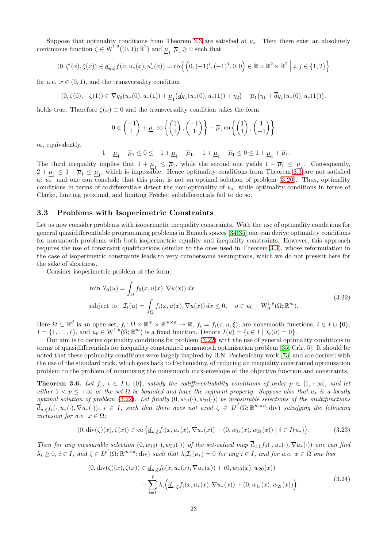Suppose that optimality conditions from Theorem [3.3](#page-18-5) are satisfied at  $u_*$ . Then there exist an absolutely continuous function  $\zeta \in W^{1,2}((0,1);\mathbb{R}^2)$  and  $\underline{\mu}_1, \overline{\mu}_1 \geq 0$  such that

$$
(0, \zeta'(x), \zeta(x)) \in \underline{d}_{u,\xi} f(x, u_*(x), u'_*(x)) = \text{co}\left\{ \left(0, (-1)^i, (-1)^j, 0, 0\right) \in \mathbb{R} \times \mathbb{R}^2 \times \mathbb{R}^2 \; \middle| \; i, j \in \{1, 2\} \right\}
$$

for a.e.  $x \in (0, 1)$ , and the transversality condition

$$
(0,\zeta(0),-\zeta(1)) \in \nabla g_0(u_*(0),u_*(1)) + \underline{\mu}_1(\underline{d} g_1(u_*(0),u_*(1)) + \eta_2) - \overline{\mu}_1\big(\eta_1 + \overline{d} g_1(u_*(0),u_*(1))\big).
$$

holds true. Therefore  $\zeta(x) \equiv 0$  and the transversality condition takes the form

$$
0 \in {\binom{-1}{1}} + \underline{\mu}_1 \operatorname{co} \left\{ {\binom{1}{1}}, {\binom{-1}{1}} \right\} - \overline{\mu}_1 \operatorname{co} \left\{ {\binom{1}{1}}, {\binom{1}{-1}} \right\}
$$

or, equivalently,

$$
-1-\underline{\mu}_1-\overline{\mu}_1\leq 0\leq -1+\underline{\mu}_1-\overline{\mu}_1,\quad 1+\underline{\mu}_1-\overline{\mu}_1\leq 0\leq 1+\underline{\mu}_1+\overline{\mu}_1.
$$

The third inequality implies that  $1 + \underline{\mu}_1 \leq \overline{\mu}_1$ , while the second one yields  $1 + \overline{\mu}_1 \leq \underline{\mu}_1$ . Consequently,  $2 + \underline{\mu}_1 \leq 1 + \overline{\mu}_1 \leq \underline{\mu}_1$ , which is impossible. Hence optimality conditions from Theorem [3.3](#page-18-5) are not satisfied at  $u_*$ , and one can conclude that this point is not an optimal solution of problem [\(3.20\)](#page-20-3). Thus, optimality conditions in terms of codifferentials detect the non-optimality of  $u_*$ , while optimality conditions in terms of Clarke, limiting proximal, and limiting Fréchet subdifferentials fail to do so.

### 3.3 Problems with Isoperimetric Constraints

Let us now consider problems with isoperimetic inequality constraints. With the use of optimality conditions for general quasidifferentiable programming problems in Banach spaces [\[34,](#page-27-12)[35\]](#page-27-13) one can derive optimality conditions for nonsmooth problems with both isoperimetric equality and inequality constraints. However, this approach requires the use of constraint qualifications (similar to the ones used in Theorem [3.3\)](#page-18-5), whose reformulation in the case of isoperimetric constraints leads to very cumbersome assumptions, which we do not present here for the sake of shortness.

Consider isoperimetric problem of the form:

$$
\min \mathcal{I}_0(u) = \int_{\Omega} f_0(x, u(x), \nabla u(x)) dx
$$
  
subject to 
$$
\mathcal{I}_i(u) = \int_{\Omega} f_i(x, u(x), \nabla u(x)) dx \le 0, \quad u \in u_0 + \mathcal{W}_0^{1, p}(\Omega; \mathbb{R}^m).
$$
 (3.22)

<span id="page-22-0"></span>Here  $\Omega \subset \mathbb{R}^d$  is an open set,  $f_i \colon \Omega \times \mathbb{R}^m \times \mathbb{R}^{m \times d} \to \mathbb{R}$ ,  $f_i = f_i(x, u, \xi)$ , are nonsmooth functions,  $i \in I \cup \{0\}$ ,  $I = \{1, \ldots, \ell\}$ , and  $u_0 \in W^{1,p}(\Omega; \mathbb{R}^m)$  is a fixed function. Denote  $I(u) = \{i \in I \mid \mathcal{I}_i(u) = 0\}$ .

Our aim is to derive optimality conditions for problem [\(3.22\)](#page-22-0) with the use of general optimality conditions in terms of quasidifferentials for inequality constrained nonsmooth optimisation problem [\[35,](#page-27-13) Crlr. 5]. It should be noted that these optimality conditions were largely inspired by B.N. Pschenichny work [\[73\]](#page-28-17) and are derived with the use of the standard trick, which goes back to Pschenichny, of reducing an inequality constrained optimisation problem to the problem of minimising the nonsmooth max-envelope of the objective function and constraints.

<span id="page-22-3"></span>**Theorem 3.6.** Let  $f_i$ ,  $i \in I \cup \{0\}$ , satisfy the codifferentiability conditions of order  $p \in [1, +\infty]$ , and let either  $1 < p \leq +\infty$  or the set  $\Omega$  be bounded and have the segment property. Suppose also that  $u_*$  is a locally optimal solution of problem [\(3.22\)](#page-22-0). Let finally  $(0, w_{1i}(\cdot), w_{2i}(\cdot))$  be measurable selections of the multifunctions  $\overline{d}_{u,\xi}f_i(\cdot,u_*(\cdot),\nabla u_*(\cdot)),\ i\in I$ , such that there does not exist  $\zeta\in L^{p'}(\Omega;\mathbb{R}^{m\times d};\mathrm{div})$  satisfying the following inclusion for a.e.  $x \in \Omega$ :

<span id="page-22-1"></span>
$$
(0, \operatorname{div}(\zeta)(x), \zeta(x)) \in \operatorname{co} \{ \underline{d}_{u,\xi} f_i(x, u_*(x), \nabla u_*(x)) + (0, w_{1i}(x), w_{2i}(x)) \mid i \in I(u_*) \}. \tag{3.23}
$$

<span id="page-22-2"></span>Then for any measurable selection  $(0, w_{10}(\cdot), w_{20}(\cdot))$  of the set-valued map  $\overline{d}_{u,\xi}f_0(\cdot, u_*(\cdot), \nabla u_*(\cdot))$  one can find  $\lambda_i \geq 0, i \in I$ , and  $\zeta \in L^{p'}(\Omega; \mathbb{R}^{m \times d}; \text{div})$  such that  $\lambda_i \mathcal{I}_i(u_*) = 0$  for any  $i \in I$ , and for a.e.  $x \in \Omega$  one has

$$
(0, \operatorname{div}(\zeta)(x), \zeta(x)) \in \underline{d}_{u,\xi} f_0(x, u_*(x), \nabla u_*(x)) + (0, w_{10}(x), w_{20}(x)) + \sum_{i=1}^{\ell} \lambda_i \Big( \underline{d}_{u,\xi} f_i(x, u_*(x), \nabla u_*(x)) + (0, w_{1i}(x), w_{2i}(x)) \Big).
$$
\n(3.24)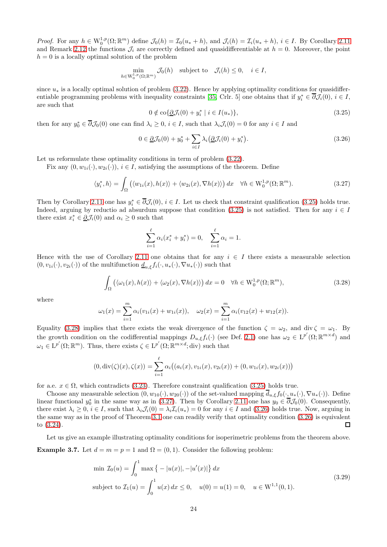*Proof.* For any  $h \in W_0^{1,p}(\Omega; \mathbb{R}^m)$  define  $\mathcal{J}_0(h) = \mathcal{I}_0(u_* + h)$ , and  $\mathcal{J}_i(h) = \mathcal{I}_i(u_* + h)$ ,  $i \in I$ . By Corollary [2.11](#page-15-3) and Remark [2.12](#page-15-4) the functions  $\mathcal{J}_i$  are correctly defined and quasidifferentiable at  $h = 0$ . Moreover, the point  $h = 0$  is a locally optimal solution of the problem

$$
\min_{h \in \mathcal{W}_0^{1,p}(\Omega;\mathbb{R}^m)} \mathcal{J}_0(h) \quad \text{subject to} \quad \mathcal{J}_i(h) \le 0, \quad i \in I,
$$

since  $u_*$  is a locally optimal solution of problem [\(3.22\)](#page-22-0). Hence by applying optimality conditions for quasidiffer-entiable programming problems with inequality constraints [\[35,](#page-27-13) Crlr. 5] one obtains that if  $y_i^* \in \overline{\partial} \mathcal{J}_i(0), i \in I$ , are such that

<span id="page-23-1"></span>
$$
0 \notin \text{co}\{\underline{\partial}\mathcal{J}_i(0) + y_i^* \mid i \in I(u_*)\},\tag{3.25}
$$

then for any  $y_0^* \in \overline{\partial} \mathcal{J}_0(0)$  one can find  $\lambda_i \geq 0$ ,  $i \in I$ , such that  $\lambda_i \mathcal{J}_i(0) = 0$  for any  $i \in I$  and

<span id="page-23-4"></span>
$$
0 \in \underline{\partial} \mathcal{J}_0(0) + y_0^* + \sum_{i \in I} \lambda_i \big(\underline{\partial} \mathcal{J}_i(0) + y_i^*\big). \tag{3.26}
$$

Let us reformulate these optimality conditions in term of problem  $(3.22)$ .

Fix any  $(0, w_{1i}(\cdot), w_{2i}(\cdot)), i \in I$ , satisfying the assumptions of the theorem. Define

<span id="page-23-3"></span>
$$
\langle y_i^*, h \rangle = \int_{\Omega} \left( \langle w_{1i}(x), h(x) \rangle + \langle w_{2i}(x), \nabla h(x) \rangle \right) dx \quad \forall h \in W_0^{1,p}(\Omega; \mathbb{R}^m). \tag{3.27}
$$

Then by Corollary [2.11](#page-15-3) one has  $y_i^* \in \overline{\partial} \mathcal{J}_i(0), i \in I$ . Let us check that constraint qualification [\(3.25\)](#page-23-1) holds true. Indeed, arguing by reductio ad absurdum suppose that condition [\(3.25\)](#page-23-1) is not satisfied. Then for any  $i \in I$ there exist  $x_i^* \in \underline{\partial} \mathcal{J}_i(0)$  and  $\alpha_i \geq 0$  such that

$$
\sum_{i=1}^{\ell} \alpha_i (x_i^* + y_i^*) = 0, \quad \sum_{i=1}^{\ell} \alpha_i = 1.
$$

Hence with the use of Corollary [2.11](#page-15-3) one obtains that for any  $i \in I$  there exists a measurable selection  $(0, v_{1i}(\cdot), v_{2i}(\cdot))$  of the multifunction  $\underline{d}_{u,\xi} f_i(\cdot, u_*(\cdot), \nabla u_*(\cdot))$  such that

<span id="page-23-2"></span>
$$
\int_{\Omega} \left( \langle \omega_1(x), h(x) \rangle + \langle \omega_2(x), \nabla h(x) \rangle \right) dx = 0 \quad \forall h \in W_0^{1,p}(\Omega; \mathbb{R}^m),
$$
\n(3.28)

where

$$
\omega_1(x) = \sum_{i=1}^m \alpha_i (v_{1i}(x) + w_{1i}(x)), \quad \omega_2(x) = \sum_{i=1}^m \alpha_i (v_{12}(x) + w_{12}(x)).
$$

Equality [\(3.28\)](#page-23-2) implies that there exists the weak divergence of the function  $\zeta = \omega_2$ , and div  $\zeta = \omega_1$ . By the growth condition on the codifferential mappings  $D_{u,\xi} f_i(\cdot)$  (see Def. [2.1\)](#page-5-1) one has  $\omega_2 \in L^{p'}(\Omega;\mathbb{R}^{m\times d})$  and  $\omega_1 \in L^{p'}(\Omega;\mathbb{R}^m)$ . Thus, there exists  $\zeta \in L^{p'}(\Omega;\mathbb{R}^{m \times d};\text{div})$  such that

$$
(0, \operatorname{div}(\zeta)(x), \zeta(x)) = \sum_{i=1}^{\ell} \alpha_i \big( (a_i(x), v_{1i}(x), v_{2i}(x)) + (0, w_{1i}(x), w_{2i}(x)) \big)
$$

for a.e.  $x \in \Omega$ , which contradicts [\(3.23\)](#page-22-1). Therefore constraint qualification [\(3.25\)](#page-23-1) holds true.

Choose any measurable selection  $(0, w_{10}(\cdot), w_{20}(\cdot))$  of the set-valued mapping  $\overline{d}_{u,\xi}f_0(\cdot, u_*(\cdot), \nabla u_*(\cdot))$ . Define linear functional  $y_0^*$  in the same way as in [\(3.27\)](#page-23-3). Then by Corollary [2.11](#page-15-3) one has  $y_0 \in \overline{\partial} \mathcal{J}_0(0)$ . Consequently, there exist  $\lambda_i \geq 0$ ,  $i \in I$ , such that  $\lambda_i \mathcal{J}_i(0) = \lambda_i \mathcal{I}_i(u_*) = 0$  for any  $i \in I$  and [\(3.26\)](#page-23-4) holds true. Now, arguing in the same way as in the proof of Theorem [3.1](#page-16-4) one can readily verify that optimality condition [\(3.26\)](#page-23-4) is equivalent to [\(3.24\)](#page-22-2).  $\Box$ 

<span id="page-23-5"></span><span id="page-23-0"></span>Let us give an example illustrating optimality conditions for isoperimetric problems from the theorem above. **Example 3.7.** Let  $d = m = p = 1$  and  $\Omega = (0, 1)$ . Consider the following problem:

$$
\min \mathcal{I}_0(u) = \int_0^1 \max \left\{ -|u(x)|, -|u'(x)| \right\} dx
$$
\nsubject to

\n
$$
\mathcal{I}_1(u) = \int_0^1 u(x) \, dx \le 0, \quad u(0) = u(1) = 0, \quad u \in \mathbb{W}^{1,1}(0,1).
$$
\n(3.29)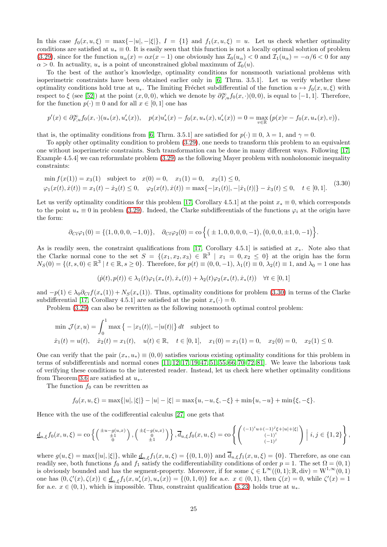In this case  $f_0(x, u, \xi) = \max\{-|u|, -|\xi|\}, I = \{1\}$  and  $f_1(x, u, \xi) = u$ . Let us check whether optimality conditions are satisfied at  $u_* \equiv 0$ . It is easily seen that this function is not a locally optimal solution of problem [\(3.29\)](#page-23-5), since for the function  $u_{\alpha}(x) = \alpha x(x-1)$  one obviously has  $\mathcal{I}_0(u_{\alpha}) < 0$  and  $\mathcal{I}_1(u_{\alpha}) = -\alpha/6 < 0$  for any  $\alpha > 0$ . In actuality,  $u_*$  is a point of unconstrained global maximum of  $\mathcal{I}_0(u)$ .

To the best of the author's knowledge, optimality conditions for nonsmooth variational problems with isoperimetric constraints have been obtained earlier only in [\[6,](#page-26-8) Thrm. 3.5.1]. Let us verify whether these optimality conditions hold true at  $u_*$ . The limiting Fréchet subdifferential of the function  $u \mapsto f_0(x, u, \xi)$  with respect to  $\xi$  (see [\[52\]](#page-27-20)) at the point  $(x, 0, 0)$ , which we denote by  $\partial_{F,u}^{\infty} f_0(x, \cdot)(0,0)$ , is equal to [-1, 1]. Therefore, for the function  $p(\cdot) \equiv 0$  and for all  $x \in [0, 1]$  one has

$$
p'(x) \in \partial_{F,u}^{\infty} f_0(x,\cdot) (u_*(x),u'_*(x)), \quad p(x)u'_*(x)-f_0(x,u_*(x),u'_*(x))=0=\max_{v\in \mathbb{R}} \big(p(x)v-f_0(x,u_*(x),v)\big),
$$

that is, the optimality conditions from [\[6,](#page-26-8) Thrm. 3.5.1] are satisfied for  $p(\cdot) \equiv 0$ ,  $\lambda = 1$ , and  $\gamma = 0$ .

To apply other optimality condition to problem [\(3.29\)](#page-23-5), one needs to transform this problem to an equivalent one without isoperimetric constraints. Such transformation can be done in many different ways. Following [\[17,](#page-26-4) Example 4.5.4] we can reformulate problem [\(3.29\)](#page-23-5) as the following Mayer problem with nonholonomic inequality constraints:

<span id="page-24-0"></span>
$$
\min f(x(1)) = x_3(1) \text{ subject to } x(0) = 0, \quad x_1(1) = 0, \quad x_2(1) \le 0,
$$
  

$$
\varphi_1(x(t), \dot{x}(t)) = x_1(t) - \dot{x}_2(t) \le 0, \quad \varphi_2(x(t), \dot{x}(t)) = \max\{-|x_1(t)|, -|\dot{x}_1(t)|\} - \dot{x}_3(t) \le 0, \quad t \in [0, 1].
$$
 (3.30)

Let us verify optimality conditions for this problem [\[17,](#page-26-4) Corollary 4.5.1] at the point  $x_* \equiv 0$ , which corresponds to the point  $u_* \equiv 0$  in problem [\(3.29\)](#page-23-5). Indeed, the Clarke subdifferentials of the functions  $\varphi_i$  at the origin have the form:

$$
\partial_{Cl}\varphi_1(0) = \{(1,0,0,0,-1,0)\}, \quad \partial_{Cl}\varphi_2(0) = \text{co}\left\{(\pm 1,0,0,0,0,-1), (0,0,0,\pm 1,0,-1)\right\}.
$$

As is readily seen, the constraint qualifications from [\[17,](#page-26-4) Corollary 4.5.1] is satisfied at  $x_*$ . Note also that the Clarke normal cone to the set  $S = \{(x_1, x_2, x_3) \in \mathbb{R}^3 \mid x_1 = 0, x_2 \le 0\}$  at the origin has the form  $N_S(0) = \{(t, s, 0) \in \mathbb{R}^3 \mid t \in \mathbb{R}, s \ge 0\}$ . Therefore, for  $p(t) \equiv (0, 0, -1), \lambda_1(t) \equiv 0, \lambda_2(t) \equiv 1$ , and  $\lambda_0 = 1$  one has

$$
(\dot{p}(t), p(t)) \in \lambda_1(t)\varphi_1(x_*(t), \dot{x}_*(t)) + \lambda_2(t)\varphi_2(x_*(t), \dot{x}_*(t)) \quad \forall t \in [0, 1]
$$

and  $-p(1) \in \lambda_0 \partial_{Cl} f(x_*(1)) + N_S(x_*(1))$ . Thus, optimality conditions for problem [\(3.30\)](#page-24-0) in terms of the Clarke subdifferential [\[17,](#page-26-4) Corollary 4.5.1] are satisfied at the point  $x_*(\cdot) = 0$ .

Problem [\(3.29\)](#page-23-5) can also be rewritten as the following nonsmooth optimal control problem:

$$
\min \mathcal{J}(x, u) = \int_0^1 \max \{-|x_1(t)|, -|u(t)|\} dt \quad \text{subject to}
$$
  

$$
\dot{x}_1(t) = u(t), \quad \dot{x}_2(t) = x_1(t), \quad u(t) \in \mathbb{R}, \quad t \in [0, 1], \quad x_1(0) = x_1(1) = 0, \quad x_2(0) = 0, \quad x_2(1) \le 0.
$$

One can verify that the pair  $(x_*, u_*) \equiv (0,0)$  satisfies various existing optimality conditions for this problem in terms of subdifferentials and normal cones [\[11,](#page-26-21) [12,](#page-26-15) [17,](#page-26-4) [19,](#page-26-22) [47,](#page-27-10) [51,](#page-27-5) [55,](#page-28-9) [66,](#page-28-8) [70–](#page-28-18)[72,](#page-28-19) [81\]](#page-29-3). We leave the laborious task of verifying these conditions to the interested reader. Instead, let us check here whether optimality conditions from Theorem [3.6](#page-22-3) are satisfied at  $u_*$ .

The function  $f_0$  can be rewritten as

$$
f_0(x, u, \xi) = \max\{|u|, |\xi|\} - |u| - |\xi| = \max\{u, -u, \xi, -\xi\} + \min\{u, -u\} + \min\{\xi, -\xi\}.
$$

Hence with the use of the codifferential calculus [\[27\]](#page-26-13) one gets that

$$
\underline{d}_{u,\xi}f_0(x,u,\xi)=\text{co}\left\{\begin{pmatrix} \pm u-g(u,x)\\ \pm 1\\ 0 \end{pmatrix},\begin{pmatrix} \pm \xi-g(u,x)\\ 0\\ \pm 1 \end{pmatrix}\right\},\overline{d}_{u,\xi}f_0(x,u,\xi)=\text{co}\left\{\begin{pmatrix} (-1)^i u+(-1)^j\xi+|u|+|\xi|\\ (-1)^i\\ (-1)^j\\ (-1)^j \end{pmatrix} \middle| i,j\in\{1,2\}\right\},\
$$

where  $g(u,\xi) = \max\{|u|, |\xi|\}$ , while  $\underline{d}_{u,\xi}f_1(x,u,\xi) = \{(0,1,0)\}$  and  $\overline{d}_{u,\xi}f_1(x,u,\xi) = \{0\}$ . Therefore, as one can readily see, both functions  $f_0$  and  $f_1$  satisfy the codifferentiability conditions of order  $p = 1$ . The set  $\Omega = (0, 1)$ is obviously bounded and has the segment-property. Moreover, if for some  $\zeta \in L^{\infty}((0,1); \mathbb{R}, \text{div}) = W^{1,\infty}(0,1)$ one has  $(0, \zeta'(x), \zeta(x)) \in \underline{d}_{u,\xi} f_1(x, u_*(x), u_*(x)) = \{(0,1,0)\}\)$  for a.e.  $x \in (0,1)$ , then  $\zeta(x) = 0$ , while  $\zeta'(x) = 1$ for a.e.  $x \in (0, 1)$ , which is impossible. Thus, constraint qualification [\(3.23\)](#page-22-1) holds true at  $u_*$ .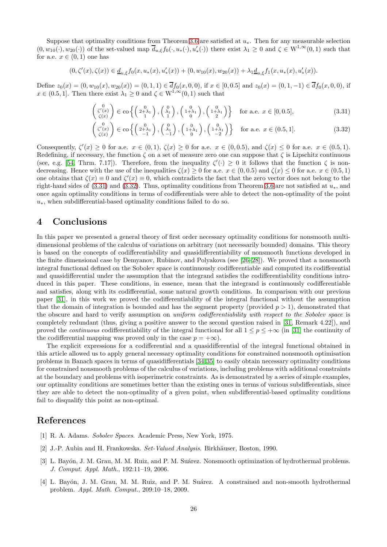Suppose that optimality conditions from Theorem [3.6](#page-22-3) are satisfied at  $u_*$ . Then for any measurable selection  $(0, w_{10}(\cdot), w_{20}(\cdot))$  of the set-valued map  $\overline{d}_{u,\xi} f_0(\cdot, u_*(\cdot), u'_*(\cdot))$  there exist  $\lambda_1 \geq 0$  and  $\zeta \in W^{1,\infty}(0,1)$  such that for a.e.  $x \in (0,1)$  one has

$$
(0,\zeta'(x),\zeta(x))\in \underline{d}_{u,\xi}f_0(x,u_*(x),u_*'(x))+(0,w_{10}(x),w_{20}(x))+\lambda_1\underline{d}_{u,\xi}f_1(x,u_*(x),u_*'(x)).
$$

Define  $z_0(x) = (0, w_{10}(x), w_{20}(x)) = (0, 1, 1) \in df_0(x, 0, 0)$ , if  $x \in [0, 0.5]$  and  $z_0(x) = (0, 1, -1) \in df_0(x, 0, 0)$ , if  $x \in (0.5, 1]$ . Then there exist  $\lambda_1 \geq 0$  and  $\zeta \in W^{1, \infty}(0, 1)$  such that

<span id="page-25-3"></span>
$$
\begin{pmatrix} 0 \\ \zeta'(x) \\ \zeta(x) \end{pmatrix} \in \text{co}\left\{ \begin{pmatrix} 0 \\ 2+\lambda_1 \\ 1 \end{pmatrix}, \begin{pmatrix} 0 \\ \lambda_1 \\ 1 \end{pmatrix}, \begin{pmatrix} 0 \\ 1+\lambda_1 \\ 0 \end{pmatrix}, \begin{pmatrix} 0 \\ 1+\lambda_1 \\ 2 \end{pmatrix} \right\} \quad \text{for a.e. } x \in [0, 0.5],
$$
 (3.31)

<span id="page-25-4"></span>
$$
\begin{pmatrix} 0 \\ \zeta'(x) \\ \zeta(x) \end{pmatrix} \in \text{co}\left\{ \begin{pmatrix} 0 \\ 2+\lambda_1 \\ -1 \end{pmatrix}, \begin{pmatrix} 0 \\ \lambda_1 \\ -1 \end{pmatrix}, \begin{pmatrix} 0 \\ 1+\lambda_1 \\ 0 \end{pmatrix}, \begin{pmatrix} 0 \\ 1+\lambda_1 \\ -2 \end{pmatrix} \right\} \quad \text{for a.e. } x \in (0.5, 1].
$$
 (3.32)

Consequently,  $\zeta'(x) \ge 0$  for a.e.  $x \in (0,1)$ ,  $\zeta(x) \ge 0$  for a.e.  $x \in (0,0.5)$ , and  $\zeta(x) \le 0$  for a.e.  $x \in (0.5,1)$ . Redefining, if necessary, the function  $\zeta$  on a set of measure zero one can suppose that  $\zeta$  is Lipschitz continuous (see, e.g. [\[54,](#page-28-16) Thrm. 7.17]). Therefore, from the inequality  $\zeta'(\cdot) \geq 0$  it follows that the function  $\zeta$  is nondecreasing. Hence with the use of the inequalities  $\zeta(x) \geq 0$  for a.e.  $x \in (0, 0.5)$  and  $\zeta(x) \leq 0$  for a.e.  $x \in (0.5, 1)$ one obtains that  $\zeta(x) \equiv 0$  and  $\zeta'(x) \equiv 0$ , which contradicts the fact that the zero vector does not belong to the right-hand sides of [\(3.31\)](#page-25-3) and [\(3.32\)](#page-25-4). Thus, optimality conditions from Theorem [3.6](#page-22-3) are not satisfied at  $u_*$ , and once again optimality conditions in terms of codifferentials were able to detect the non-optimality of the point  $u<sub>*</sub>$ , when subdifferential-based optimality conditions failed to do so.

# 4 Conclusions

In this paper we presented a general theory of first order necessary optimality conditions for nonsmooth multidimensional problems of the calculus of variations on arbitrary (not necessarily bounded) domains. This theory is based on the concepts of codifferentiability and quasidifferentiability of nonsmooth functions developed in the finite dimensional case by Demyanov, Rubinov, and Polyakova (see [\[26](#page-26-11)[–28\]](#page-26-12)). We proved that a nonsmooth integral functional defined on the Sobolev space is continuously codifferentiable and computed its codifferential and quasidifferential under the assumption that the integrand satisfies the codifferentiability conditions introduced in this paper. These conditions, in essence, mean that the integrand is continuously codifferentiable and satisfies, along with its codifferential, some natural growth conditions. In comparison with our previous paper [\[31\]](#page-27-6), in this work we proved the codifferentiability of the integral functional without the assumption that the domain of integration is bounded and has the segment property (provided  $p > 1$ ), demonstrated that the obscure and hard to verify assumption on uniform codifferentiability with respect to the Sobolev space is completely redundant (thus, giving a positive answer to the second question raised in [\[31,](#page-27-6) Remark 4.22]), and proved the *continuous* codifferentiability of the integral functional for all  $1 \leq p \leq +\infty$  (in [\[31\]](#page-27-6) the continuity of the codifferential mapping was proved only in the case  $p = +\infty$ ).

The explicit expressions for a codifferential and a quasidifferential of the integral functional obtained in this article allowed us to apply general necessary optimality conditions for constrained nonsmooth optimisation problems in Banach spaces in terms of quasidifferentials [\[34,](#page-27-12)[35\]](#page-27-13) to easily obtain necessary optimality conditions for constrained nonsmooth problems of the calculus of variations, including problems with additional constraints at the boundary and problems with isoperimetric constraints. As is demonstrated by a series of simple examples, our optimality conditions are sometimes better than the existing ones in terms of various subdifferentials, since they are able to detect the non-optimality of a given point, when subdifferential-based optimality conditions fail to disqualify this point as non-optimal.

# <span id="page-25-2"></span>References

- <span id="page-25-1"></span>[1] R. A. Adams. Sobolev Spaces. Academic Press, New York, 1975.
- <span id="page-25-0"></span>[2] J.-P. Aubin and H. Frankowska. Set-Valued Analysis. Birkhäuser, Boston, 1990.
- [3] L. Bayón, J. M. Grau, M. M. Ruiz, and P. M. Suárez. Nonsmooth optimization of hydrothermal problems. J. Comput. Appl. Math., 192:11–19, 2006.
- [4] L. Bayón, J. M. Grau, M. M. Ruiz, and P. M. Suárez. A constrained and non-smooth hydrothermal problem. Appl. Math. Comput., 209:10–18, 2009.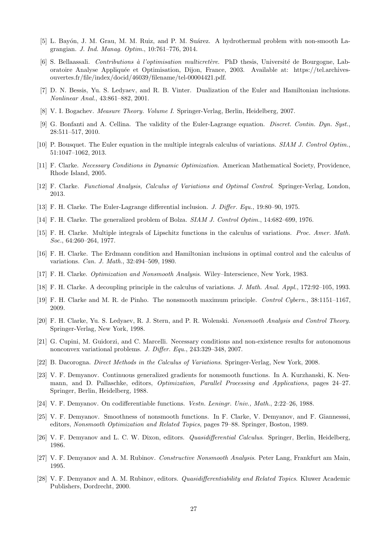- <span id="page-26-8"></span><span id="page-26-0"></span>[5] L. Bayón, J. M. Grau, M. M. Ruiz, and P. M. Suárez. A hydrothermal problem with non-smooth Lagrangian. J. Ind. Manag. Optim., 10:761–776, 2014.
- [6] S. Bellaassali. Contributions à l'optimisation multicretère. PhD thesis, Université de Bourgogne, Laboratoire Analyse Appliqu´ee et Optimisation, Dijon, France, 2003. Available at: https://tel.archivesouvertes.fr/file/index/docid/46039/filename/tel-00004421.pdf.
- <span id="page-26-20"></span><span id="page-26-5"></span>[7] D. N. Bessis, Yu. S. Ledyaev, and R. B. Vinter. Dualization of the Euler and Hamiltonian inclusions. Nonlinear Anal., 43:861–882, 2001.
- <span id="page-26-17"></span>[8] V. I. Bogachev. Measure Theory. Volume I. Springer-Verlag, Berlin, Heidelberg, 2007.
- [9] G. Bonfanti and A. Cellina. The validity of the Euler-Lagrange equation. Discret. Contin. Dyn. Syst., 28:511–517, 2010.
- <span id="page-26-21"></span><span id="page-26-16"></span>[10] P. Bousquet. The Euler equation in the multiple integrals calculus of variations. SIAM J. Control Optim., 51:1047–1062, 2013.
- <span id="page-26-15"></span>[11] F. Clarke. Necessary Conditions in Dynamic Optimization. American Mathematical Society, Providence, Rhode Island, 2005.
- <span id="page-26-1"></span>[12] F. Clarke. Functional Analysis, Calculus of Variations and Optimal Control. Springer-Verlag, London, 2013.
- <span id="page-26-2"></span>[13] F. H. Clarke. The Euler-Lagrange differential inclusion. J. Differ. Equ., 19:80–90, 1975.
- <span id="page-26-14"></span>[14] F. H. Clarke. The generalized problem of Bolza. SIAM J. Control Optim., 14:682–699, 1976.
- [15] F. H. Clarke. Multiple integrals of Lipschitz functions in the calculus of variations. Proc. Amer. Math. Soc., 64:260–264, 1977.
- <span id="page-26-3"></span>[16] F. H. Clarke. The Erdmann condition and Hamiltonian inclusions in optimal control and the calculus of variations. Can. J. Math., 32:494–509, 1980.
- <span id="page-26-6"></span><span id="page-26-4"></span>[17] F. H. Clarke. Optimization and Nonsmooth Analysis. Wiley–Interscience, New York, 1983.
- <span id="page-26-22"></span>[18] F. H. Clarke. A decoupling principle in the calculus of variations. J. Math. Anal. Appl., 172:92–105, 1993.
- <span id="page-26-18"></span>[19] F. H. Clarke and M. R. de Pinho. The nonsmooth maximum principle. Control Cybern., 38:1151–1167, 2009.
- [20] F. H. Clarke, Yu. S. Ledyaev, R. J. Stern, and P. R. Wolenski. Nonsmooth Analysis and Control Theory. Springer-Verlag, New York, 1998.
- <span id="page-26-7"></span>[21] G. Cupini, M. Guidorzi, and C. Marcelli. Necessary conditions and non-existence results for autonomous nonconvex variational problems. J. Differ. Equ., 243:329–348, 2007.
- <span id="page-26-19"></span><span id="page-26-9"></span>[22] B. Dacorogna. Direct Methods in the Calculus of Variations. Springer-Verlag, New York, 2008.
- [23] V. F. Demyanov. Continuous generalized gradients for nonsmooth functions. In A. Kurzhanski, K. Neumann, and D. Pallaschke, editors, Optimization, Parallel Processing and Applications, pages 24–27. Springer, Berlin, Heidelberg, 1988.
- <span id="page-26-10"></span>[24] V. F. Demyanov. On codifferentiable functions. Vestn. Leningr. Univ., Math., 2:22–26, 1988.
- [25] V. F. Demyanov. Smoothness of nonsmooth functions. In F. Clarke, V. Demyanov, and F. Giannesssi, editors, Nonsmooth Optimization and Related Topics, pages 79–88. Springer, Boston, 1989.
- <span id="page-26-13"></span><span id="page-26-11"></span>[26] V. F. Demyanov and L. C. W. Dixon, editors. Quasidifferential Calculus. Springer, Berlin, Heidelberg, 1986.
- <span id="page-26-12"></span>[27] V. F. Demyanov and A. M. Rubinov. Constructive Nonsmooth Analysis. Peter Lang, Frankfurt am Main, 1995.
- [28] V. F. Demyanov and A. M. Rubinov, editors. Quasidifferentiability and Related Topics. Kluwer Academic Publishers, Dordrecht, 2000.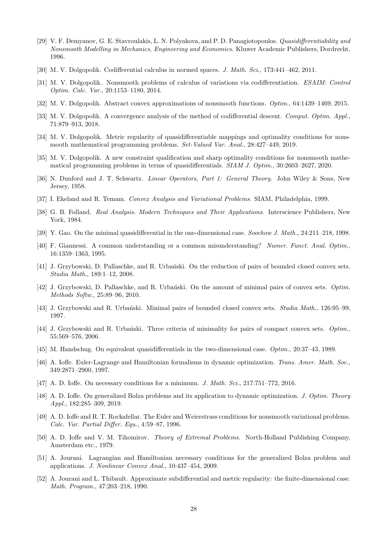- <span id="page-27-0"></span>[29] V. F. Demyanov, G. E. Stavroulakis, L. N. Polyakova, and P. D. Panagiotopoulos. Quasidifferentiability and Nonsmooth Modelling in Mechanics, Engineering and Economics. Kluwer Academic Publishers, Dordrecht, 1996.
- <span id="page-27-7"></span><span id="page-27-6"></span>[30] M. V. Dolgopolik. Codifferential calculus in normed spaces. J. Math. Sci., 173:441–462, 2011.
- [31] M. V. Dolgopolik. Nonsmooth problems of calculus of variations via codifferentiation. ESAIM: Control Optim. Calc. Var., 20:1153–1180, 2014.
- <span id="page-27-9"></span><span id="page-27-8"></span>[32] M. V. Dolgopolik. Abstract convex approximations of nonsmooth functions. Optim., 64:1439–1469, 2015.
- <span id="page-27-12"></span>[33] M. V. Dolgopolik. A convergence analysis of the method of codifferential descent. Comput. Optim. Appl., 71:879–913, 2018.
- <span id="page-27-13"></span>[34] M. V. Dolgopolik. Metric regularity of quasidifferentiable mappings and optimality conditions for nonsmooth mathematical programming problems. Set-Valued Var. Anal., 28:427–449, 2019.
- <span id="page-27-19"></span>[35] M. V. Dolgopolik. A new constraint qualification and sharp optimality conditions for nonsmooth mathematical programming problems in terms of quasidifferentials. SIAM J. Optim., 30:2603–2627, 2020.
- <span id="page-27-1"></span>[36] N. Dunford and J. T. Schwartz. Linear Operators, Part 1: General Theory. John Wiley & Sons, New Jersey, 1958.
- <span id="page-27-18"></span>[37] I. Ekeland and R. Temam. Convex Analysis and Variational Problems. SIAM, Philadelphia, 1999.
- <span id="page-27-14"></span>[38] G. B. Folland. Real Analysis. Modern Techniques and Their Applications. Interscience Publishers, New York, 1984.
- <span id="page-27-17"></span>[39] Y. Gao. On the minimal quasidifferential in the one-dimensional case. Soochow J. Math., 24:211–218, 1998.
- [40] F. Giannessi. A common understanding or a common misunderstanding? Numer. Funct. Anal. Optim., 16:1359–1363, 1995.
- <span id="page-27-15"></span>[41] J. Grzybowski, D. Pallaschke, and R. Urbański. On the reduction of pairs of bounded closed convex sets. Studia Math., 189:1–12, 2008.
- [42] J. Grzybowski, D. Pallaschke, and R. Urbański. On the amount of minimal pairs of convex sets. Optim. Methods Softw., 25:89–96, 2010.
- [43] J. Grzybowski and R. Urbański. Minimal pairs of bounded closed convex sets. *Studia Math.*, 126:95–99, 1997.
- [44] J. Grzybowski and R. Urbański. Three criteria of minimality for pairs of compact convex sets. *Optim.*, 55:569–576, 2006.
- <span id="page-27-16"></span><span id="page-27-3"></span>[45] M. Handschug. On equivalent quasidifferentials in the two-dimensional case. Optim., 20:37–43, 1989.
- [46] A. Ioffe. Euler-Lagrange and Hamiltonian formalisms in dynamic optimization. Trans. Amer. Math. Soc., 349:2871–2900, 1997.
- <span id="page-27-11"></span><span id="page-27-10"></span>[47] A. D. Ioffe. On necessary conditions for a minimum. J. Math. Sci., 217:751–772, 2016.
- [48] A. D. Ioffe. On generalized Bolza problems and its application to dynamic optimization. J. Optim. Theory Appl., 182:285–309, 2019.
- <span id="page-27-4"></span>[49] A. D. Ioffe and R. T. Rockafellar. The Euler and Weierstrass conditions for nonsmooth variational problems. Calc. Var. Partial Differ. Equ., 4:59–87, 1996.
- <span id="page-27-2"></span>[50] A. D. Ioffe and V. M. Tihomirov. Theory of Extremal Problems. North-Holland Publishing Company, Amsterdam etc., 1979.
- <span id="page-27-5"></span>[51] A. Jourani. Lagrangian and Hamiltonian necessary conditions for the generalized Bolza problem and applications. J. Nonlinear Convex Anal., 10:437–454, 2009.
- <span id="page-27-20"></span>[52] A. Jourani and L. Thibault. Approximate subdifferential and metric regularity: the finite-dimensional case. Math. Program., 47:203–218, 1990.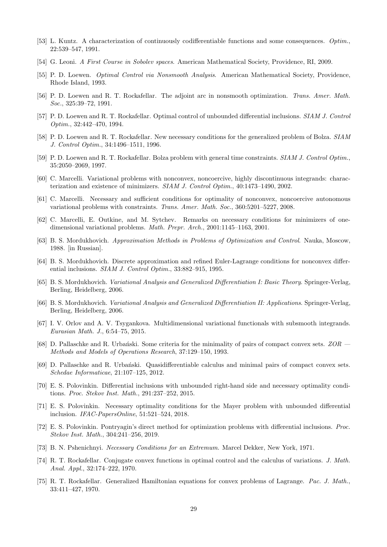- <span id="page-28-16"></span><span id="page-28-15"></span>[53] L. Kuntz. A characterization of continuously codifferentiable functions and some consequences. Optim., 22:539–547, 1991.
- <span id="page-28-9"></span>[54] G. Leoni. A First Course in Sobolev spaces. American Mathematical Society, Providence, RI, 2009.
- <span id="page-28-1"></span>[55] P. D. Loewen. Optimal Control via Nonsmooth Analysis. American Mathematical Society, Providence, Rhode Island, 1993.
- <span id="page-28-2"></span>[56] P. D. Loewen and R. T. Rockafellar. The adjoint arc in nonsmooth optimization. Trans. Amer. Math. Soc., 325:39–72, 1991.
- <span id="page-28-10"></span>[57] P. D. Loewen and R. T. Rockafellar. Optimal control of unbounded differential inclusions. SIAM J. Control Optim., 32:442–470, 1994.
- <span id="page-28-11"></span>[58] P. D. Loewen and R. T. Rockafellar. New necessary conditions for the generalized problem of Bolza. SIAM J. Control Optim., 34:1496–1511, 1996.
- <span id="page-28-3"></span>[59] P. D. Loewen and R. T. Rockafellar. Bolza problem with general time constraints. SIAM J. Control Optim., 35:2050–2069, 1997.
- [60] C. Marcelli. Variational problems with nonconvex, noncoercive, highly discontinuous integrands: characterization and existence of minimizers. SIAM J. Control Optim., 40:1473–1490, 2002.
- <span id="page-28-4"></span>[61] C. Marcelli. Necessary and sufficient conditions for optimality of nonconvex, noncoercive autonomous variational problems with constraints. Trans. Amer. Math. Soc., 360:5201–5227, 2008.
- [62] C. Marcelli, E. Outkine, and M. Sytchev. Remarks on necessary conditions for minimizers of onedimensional variational problems. Math. Prepr. Arch., 2001:1145–1163, 2001.
- <span id="page-28-5"></span>[63] B. S. Mordukhovich. Approximation Methods in Problems of Optimization and Control. Nauka, Moscow, 1988. [in Russian].
- <span id="page-28-6"></span>[64] B. S. Mordukhovich. Discrete approximation and refined Euler-Lagrange conditions for nonconvex differential inclusions. SIAM J. Control Optim., 33:882–915, 1995.
- <span id="page-28-7"></span>[65] B. S. Mordukhovich. Variational Analysis and Generalized Differentiation I: Basic Theory. Springer-Verlag, Berling, Heidelberg, 2006.
- <span id="page-28-8"></span>[66] B. S. Mordukhovich. Variational Analysis and Generalized Differentiation II: Applications. Springer-Verlag, Berling, Heidelberg, 2006.
- <span id="page-28-12"></span>[67] I. V. Orlov and A. V. Tsygankova. Multidimensional variational functionals with subsmooth integrands. Eurasian Math. J., 6:54–75, 2015.
- <span id="page-28-13"></span>[68] D. Pallaschke and R. Urbański. Some criteria for the minimality of pairs of compact convex sets.  $ZOR$  — Methods and Models of Operations Research, 37:129–150, 1993.
- <span id="page-28-14"></span>[69] D. Pallaschke and R. Urbański. Quasidifferentiable calculus and minimal pairs of compact convex sets. Schedae Informaticae, 21:107–125, 2012.
- <span id="page-28-18"></span>[70] E. S. Polovinkin. Differential inclusions with unbounded right-hand side and necessary optimality conditions. Proc. Stekov Inst. Math., 291:237–252, 2015.
- [71] E. S. Polovinkin. Necessary optimality conditions for the Mayer problem with unbounded differential inclusion. IFAC-PapersOnline, 51:521–524, 2018.
- <span id="page-28-19"></span>[72] E. S. Polovinkin. Pontryagin's direct method for optimization problems with differential inclusions. Proc. Stekov Inst. Math., 304:241–256, 2019.
- <span id="page-28-17"></span><span id="page-28-0"></span>[73] B. N. Pshenichnyi. Necessary Conditions for an Extremum. Marcel Dekker, New York, 1971.
- [74] R. T. Rockafellar. Conjugate convex functions in optimal control and the calculus of variations. J. Math. Anal. Appl., 32:174–222, 1970.
- [75] R. T. Rockafellar. Generalized Hamiltonian equations for convex problems of Lagrange. Pac. J. Math., 33:411–427, 1970.